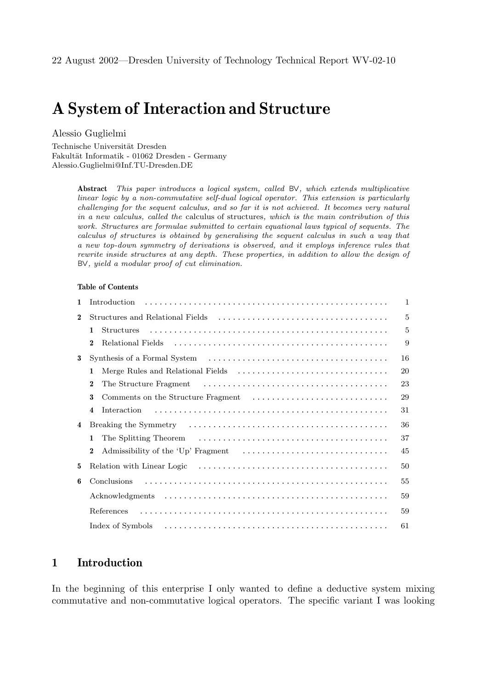# A System of Interaction and Structure

Alessio Guglielmi

Technische Universität Dresden Fakultät Informatik - 01062 Dresden - Germany Alessio.Guglielmi@Inf.TU-Dresden.DE

> Abstract This paper introduces a logical system, called BV , which extends multiplicative linear logic by a non-commutative self-dual logical operator. This extension is particularly challenging for the sequent calculus, and so far it is not achieved. It becomes very natural in a new calculus, called the calculus of structures, which is the main contribution of this work. Structures are formulae submitted to certain equational laws typical of sequents. The calculus of structures is obtained by generalising the sequent calculus in such a way that a new top-down symmetry of derivations is observed, and it employs inference rules that rewrite inside structures at any depth. These properties, in addition to allow the design of BV , yield a modular proof of cut elimination.

#### Table of Contents

| $\mathbf{1}$   |              | Introduction                                                                                                                                                                                                                   | $\mathbf{1}$   |
|----------------|--------------|--------------------------------------------------------------------------------------------------------------------------------------------------------------------------------------------------------------------------------|----------------|
| $\mathbf{2}$   |              |                                                                                                                                                                                                                                | $\overline{5}$ |
|                | $\mathbf{1}$ |                                                                                                                                                                                                                                | 5              |
|                | $\mathbf{2}$ | Relational Fields (and according to the set of the set of the set of the set of the set of the set of the set of the set of the set of the set of the set of the set of the set of the set of the set of the set of the set of | 9              |
| $\bf{3}$       |              |                                                                                                                                                                                                                                | 16             |
|                | 1            |                                                                                                                                                                                                                                | 20             |
|                | $\mathbf{2}$ |                                                                                                                                                                                                                                | 23             |
|                | 3            |                                                                                                                                                                                                                                | 29             |
|                | 4            | Interaction                                                                                                                                                                                                                    | 31             |
| $\overline{4}$ |              | Breaking the Symmetry (and according to the Symmetry of the Symmetry of the Symmetry of the Symmetry of the Symmetry of the Symmetry of the Symmetry of the Symmetry of the Symmetry of the Symmetry of the Symmetry of the Sy | 36             |
|                | 1            |                                                                                                                                                                                                                                | 37             |
|                | $\mathbf{2}$ |                                                                                                                                                                                                                                | 45             |
| 5              |              |                                                                                                                                                                                                                                | 50             |
| 6              |              | Conclusions                                                                                                                                                                                                                    | 55             |
|                |              |                                                                                                                                                                                                                                | 59             |
|                |              |                                                                                                                                                                                                                                | 59             |
|                |              | Index of Symbols                                                                                                                                                                                                               | 61             |

# 1 Introduction

In the beginning of this enterprise I only wanted to define a deductive system mixing commutative and non-commutative logical operators. The specific variant I was looking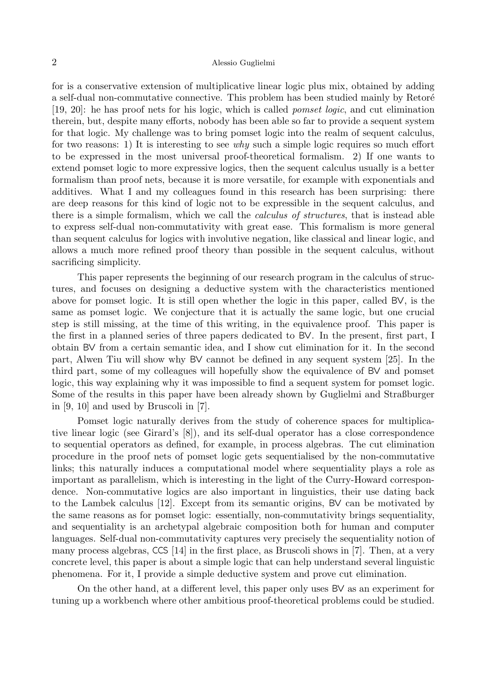for is a conservative extension of multiplicative linear logic plus mix, obtained by adding a self-dual non-commutative connective. This problem has been studied mainly by Retoré [19, 20]: he has proof nets for his logic, which is called pomset logic, and cut elimination therein, but, despite many efforts, nobody has been able so far to provide a sequent system for that logic. My challenge was to bring pomset logic into the realm of sequent calculus, for two reasons: 1) It is interesting to see why such a simple logic requires so much effort to be expressed in the most universal proof-theoretical formalism. 2) If one wants to extend pomset logic to more expressive logics, then the sequent calculus usually is a better formalism than proof nets, because it is more versatile, for example with exponentials and additives. What I and my colleagues found in this research has been surprising: there are deep reasons for this kind of logic not to be expressible in the sequent calculus, and there is a simple formalism, which we call the *calculus of structures*, that is instead able to express self-dual non-commutativity with great ease. This formalism is more general than sequent calculus for logics with involutive negation, like classical and linear logic, and allows a much more refined proof theory than possible in the sequent calculus, without sacrificing simplicity.

This paper represents the beginning of our research program in the calculus of structures, and focuses on designing a deductive system with the characteristics mentioned above for pomset logic. It is still open whether the logic in this paper, called BV , is the same as pomset logic. We conjecture that it is actually the same logic, but one crucial step is still missing, at the time of this writing, in the equivalence proof. This paper is the first in a planned series of three papers dedicated to BV . In the present, first part, I obtain BV from a certain semantic idea, and I show cut elimination for it. In the second part, Alwen Tiu will show why BV cannot be defined in any sequent system [25]. In the third part, some of my colleagues will hopefully show the equivalence of BV and pomset logic, this way explaining why it was impossible to find a sequent system for pomset logic. Some of the results in this paper have been already shown by Guglielmi and Straßburger in [9, 10] and used by Bruscoli in [7].

Pomset logic naturally derives from the study of coherence spaces for multiplicative linear logic (see Girard's [8]), and its self-dual operator has a close correspondence to sequential operators as defined, for example, in process algebras. The cut elimination procedure in the proof nets of pomset logic gets sequentialised by the non-commutative links; this naturally induces a computational model where sequentiality plays a role as important as parallelism, which is interesting in the light of the Curry-Howard correspondence. Non-commutative logics are also important in linguistics, their use dating back to the Lambek calculus [12]. Except from its semantic origins, BV can be motivated by the same reasons as for pomset logic: essentially, non-commutativity brings sequentiality, and sequentiality is an archetypal algebraic composition both for human and computer languages. Self-dual non-commutativity captures very precisely the sequentiality notion of many process algebras, CCS [14] in the first place, as Bruscoli shows in [7]. Then, at a very concrete level, this paper is about a simple logic that can help understand several linguistic phenomena. For it, I provide a simple deductive system and prove cut elimination.

On the other hand, at a different level, this paper only uses BV as an experiment for tuning up a workbench where other ambitious proof-theoretical problems could be studied.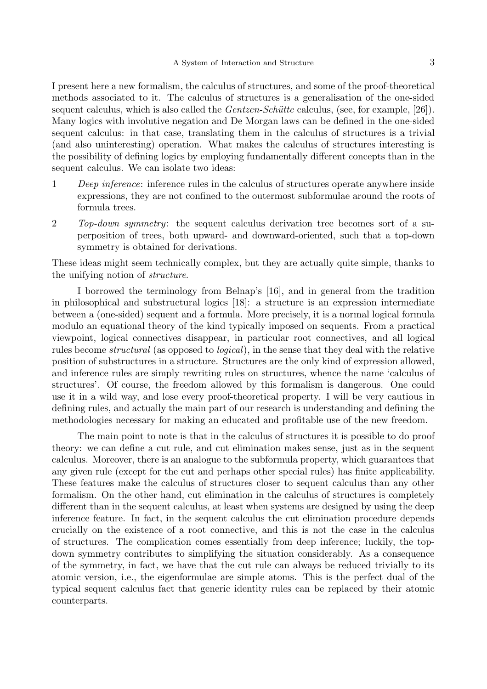I present here a new formalism, the calculus of structures, and some of the proof-theoretical methods associated to it. The calculus of structures is a generalisation of the one-sided sequent calculus, which is also called the *Gentzen-Schütte* calculus, (see, for example, [26]). Many logics with involutive negation and De Morgan laws can be defined in the one-sided sequent calculus: in that case, translating them in the calculus of structures is a trivial (and also uninteresting) operation. What makes the calculus of structures interesting is the possibility of defining logics by employing fundamentally different concepts than in the sequent calculus. We can isolate two ideas:

- 1 Deep inference: inference rules in the calculus of structures operate anywhere inside expressions, they are not confined to the outermost subformulae around the roots of formula trees.
- 2 Top-down symmetry: the sequent calculus derivation tree becomes sort of a superposition of trees, both upward- and downward-oriented, such that a top-down symmetry is obtained for derivations.

These ideas might seem technically complex, but they are actually quite simple, thanks to the unifying notion of *structure*.

I borrowed the terminology from Belnap's [16], and in general from the tradition in philosophical and substructural logics [18]: a structure is an expression intermediate between a (one-sided) sequent and a formula. More precisely, it is a normal logical formula modulo an equational theory of the kind typically imposed on sequents. From a practical viewpoint, logical connectives disappear, in particular root connectives, and all logical rules become *structural* (as opposed to *logical*), in the sense that they deal with the relative position of substructures in a structure. Structures are the only kind of expression allowed, and inference rules are simply rewriting rules on structures, whence the name 'calculus of structures'. Of course, the freedom allowed by this formalism is dangerous. One could use it in a wild way, and lose every proof-theoretical property. I will be very cautious in defining rules, and actually the main part of our research is understanding and defining the methodologies necessary for making an educated and profitable use of the new freedom.

The main point to note is that in the calculus of structures it is possible to do proof theory: we can define a cut rule, and cut elimination makes sense, just as in the sequent calculus. Moreover, there is an analogue to the subformula property, which guarantees that any given rule (except for the cut and perhaps other special rules) has finite applicability. These features make the calculus of structures closer to sequent calculus than any other formalism. On the other hand, cut elimination in the calculus of structures is completely different than in the sequent calculus, at least when systems are designed by using the deep inference feature. In fact, in the sequent calculus the cut elimination procedure depends crucially on the existence of a root connective, and this is not the case in the calculus of structures. The complication comes essentially from deep inference; luckily, the topdown symmetry contributes to simplifying the situation considerably. As a consequence of the symmetry, in fact, we have that the cut rule can always be reduced trivially to its atomic version, i.e., the eigenformulae are simple atoms. This is the perfect dual of the typical sequent calculus fact that generic identity rules can be replaced by their atomic counterparts.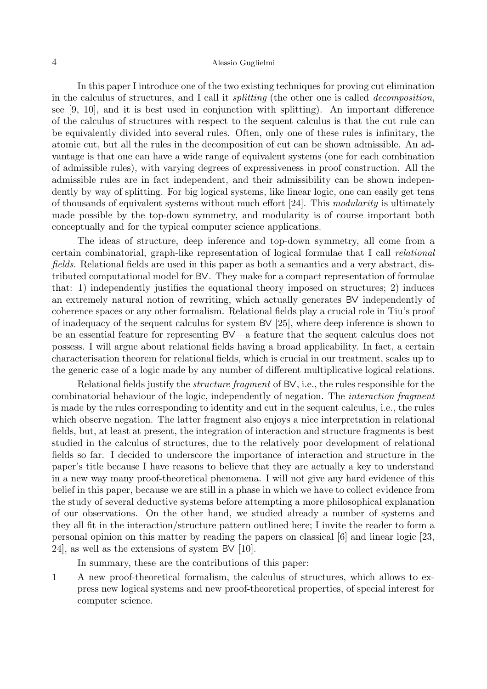#### 4 Alessio Guglielmi

In this paper I introduce one of the two existing techniques for proving cut elimination in the calculus of structures, and I call it *splitting* (the other one is called *decomposition*, see [9, 10], and it is best used in conjunction with splitting). An important difference of the calculus of structures with respect to the sequent calculus is that the cut rule can be equivalently divided into several rules. Often, only one of these rules is infinitary, the atomic cut, but all the rules in the decomposition of cut can be shown admissible. An advantage is that one can have a wide range of equivalent systems (one for each combination of admissible rules), with varying degrees of expressiveness in proof construction. All the admissible rules are in fact independent, and their admissibility can be shown independently by way of splitting. For big logical systems, like linear logic, one can easily get tens of thousands of equivalent systems without much effort [24]. This modularity is ultimately made possible by the top-down symmetry, and modularity is of course important both conceptually and for the typical computer science applications.

The ideas of structure, deep inference and top-down symmetry, all come from a certain combinatorial, graph-like representation of logical formulae that I call relational fields. Relational fields are used in this paper as both a semantics and a very abstract, distributed computational model for BV . They make for a compact representation of formulae that: 1) independently justifies the equational theory imposed on structures; 2) induces an extremely natural notion of rewriting, which actually generates BV independently of coherence spaces or any other formalism. Relational fields play a crucial role in Tiu's proof of inadequacy of the sequent calculus for system BV [25], where deep inference is shown to be an essential feature for representing BV —a feature that the sequent calculus does not possess. I will argue about relational fields having a broad applicability. In fact, a certain characterisation theorem for relational fields, which is crucial in our treatment, scales up to the generic case of a logic made by any number of different multiplicative logical relations.

Relational fields justify the *structure fragment* of BV, i.e., the rules responsible for the combinatorial behaviour of the logic, independently of negation. The interaction fragment is made by the rules corresponding to identity and cut in the sequent calculus, i.e., the rules which observe negation. The latter fragment also enjoys a nice interpretation in relational fields, but, at least at present, the integration of interaction and structure fragments is best studied in the calculus of structures, due to the relatively poor development of relational fields so far. I decided to underscore the importance of interaction and structure in the paper's title because I have reasons to believe that they are actually a key to understand in a new way many proof-theoretical phenomena. I will not give any hard evidence of this belief in this paper, because we are still in a phase in which we have to collect evidence from the study of several deductive systems before attempting a more philosophical explanation of our observations. On the other hand, we studied already a number of systems and they all fit in the interaction/structure pattern outlined here; I invite the reader to form a personal opinion on this matter by reading the papers on classical [6] and linear logic [23, 24], as well as the extensions of system BV [10].

In summary, these are the contributions of this paper:

1 A new proof-theoretical formalism, the calculus of structures, which allows to express new logical systems and new proof-theoretical properties, of special interest for computer science.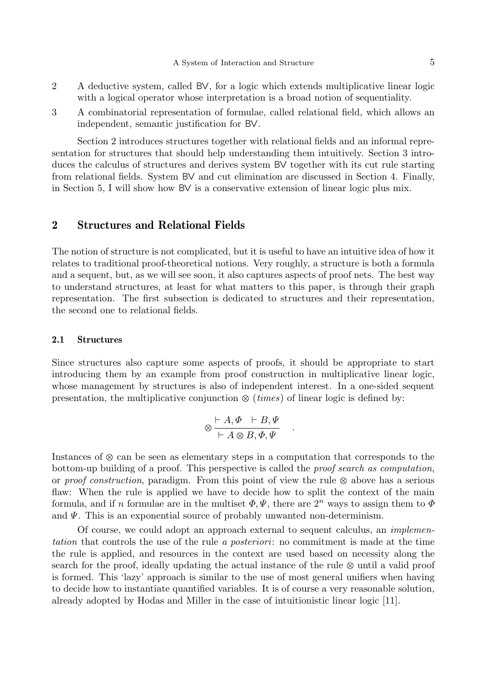- 2 A deductive system, called BV , for a logic which extends multiplicative linear logic with a logical operator whose interpretation is a broad notion of sequentiality.
- 3 A combinatorial representation of formulae, called relational field, which allows an independent, semantic justification for BV .

Section 2 introduces structures together with relational fields and an informal representation for structures that should help understanding them intuitively. Section 3 introduces the calculus of structures and derives system BV together with its cut rule starting from relational fields. System BV and cut elimination are discussed in Section 4. Finally, in Section 5, I will show how BV is a conservative extension of linear logic plus mix.

# 2 Structures and Relational Fields

The notion of structure is not complicated, but it is useful to have an intuitive idea of how it relates to traditional proof-theoretical notions. Very roughly, a structure is both a formula and a sequent, but, as we will see soon, it also captures aspects of proof nets. The best way to understand structures, at least for what matters to this paper, is through their graph representation. The first subsection is dedicated to structures and their representation, the second one to relational fields.

# 2.1 Structures

Since structures also capture some aspects of proofs, it should be appropriate to start introducing them by an example from proof construction in multiplicative linear logic, whose management by structures is also of independent interest. In a one-sided sequent presentation, the multiplicative conjunction  $\otimes$  (*times*) of linear logic is defined by:

$$
\otimes \frac{\vdash A, \varPhi \quad \vdash B, \varPsi}{\vdash A \otimes B, \varPhi, \varPsi}
$$

.

Instances of  $\otimes$  can be seen as elementary steps in a computation that corresponds to the bottom-up building of a proof. This perspective is called the proof search as computation, or *proof construction*, paradigm. From this point of view the rule  $\otimes$  above has a serious flaw: When the rule is applied we have to decide how to split the context of the main formula, and if n formulae are in the multiset  $\Phi, \Psi$ , there are  $2^n$  ways to assign them to  $\Phi$ and  $\Psi$ . This is an exponential source of probably unwanted non-determinism.

Of course, we could adopt an approach external to sequent calculus, an implementation that controls the use of the rule a posteriori: no commitment is made at the time the rule is applied, and resources in the context are used based on necessity along the search for the proof, ideally updating the actual instance of the rule  $\otimes$  until a valid proof is formed. This 'lazy' approach is similar to the use of most general unifiers when having to decide how to instantiate quantified variables. It is of course a very reasonable solution, already adopted by Hodas and Miller in the case of intuitionistic linear logic [11].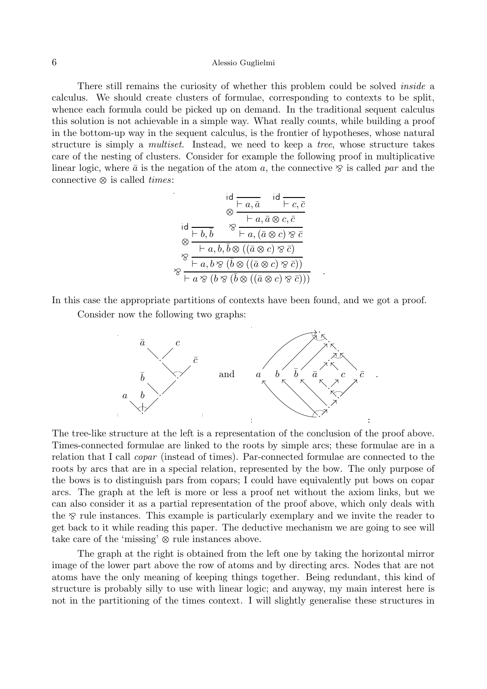6 Alessio Guglielmi

There still remains the curiosity of whether this problem could be solved *inside* a calculus. We should create clusters of formulae, corresponding to contexts to be split, whence each formula could be picked up on demand. In the traditional sequent calculus this solution is not achievable in a simple way. What really counts, while building a proof in the bottom-up way in the sequent calculus, is the frontier of hypotheses, whose natural structure is simply a multiset. Instead, we need to keep a tree, whose structure takes care of the nesting of clusters. Consider for example the following proof in multiplicative linear logic, where  $\bar{a}$  is the negation of the atom a, the connective  $\otimes$  is called par and the connective  $\otimes$  is called *times*:

$$
\operatorname{id} \frac{\operatorname{id} \overline{\vdash a, \overline{a}} \quad \operatorname{id} \overline{\vdash c, \overline{c}}}{\otimes \operatorname{ \overline{\vdash a, \overline{a} \otimes c, \overline{c}}}}
$$
\n
$$
\operatorname{id} \frac{\overline{\vdash b, \overline{b}} \quad \otimes \operatorname{ \overline{\vdash a, \overline{a} \otimes c, \overline{c} }}}{\uparrow a, \overline{b, \overline{b} \otimes ((\overline{a} \otimes c) \otimes \overline{c})}
$$
\n
$$
\otimes \frac{\overline{\vdash a, b, \overline{b} \otimes ((\overline{a} \otimes c) \otimes \overline{c})}}{\uparrow a, \overline{b \otimes (\overline{b} \otimes ((\overline{a} \otimes c) \otimes \overline{c}))}}
$$

In this case the appropriate partitions of contexts have been found, and we got a proof.

Consider now the following two graphs:



The tree-like structure at the left is a representation of the conclusion of the proof above. Times-connected formulae are linked to the roots by simple arcs; these formulae are in a relation that I call copar (instead of times). Par-connected formulae are connected to the roots by arcs that are in a special relation, represented by the bow. The only purpose of the bows is to distinguish pars from copars; I could have equivalently put bows on copar arcs. The graph at the left is more or less a proof net without the axiom links, but we can also consider it as a partial representation of the proof above, which only deals with the  $\delta$  rule instances. This example is particularly exemplary and we invite the reader to get back to it while reading this paper. The deductive mechanism we are going to see will take care of the 'missing'  $\otimes$  rule instances above.

The graph at the right is obtained from the left one by taking the horizontal mirror image of the lower part above the row of atoms and by directing arcs. Nodes that are not atoms have the only meaning of keeping things together. Being redundant, this kind of structure is probably silly to use with linear logic; and anyway, my main interest here is not in the partitioning of the times context. I will slightly generalise these structures in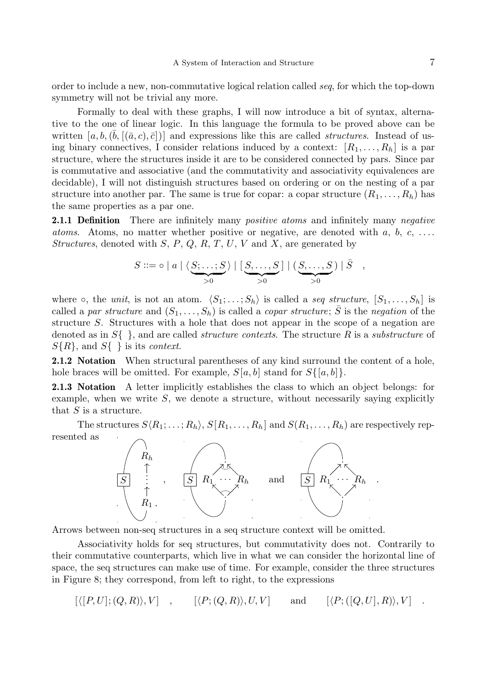order to include a new, non-commutative logical relation called seq, for which the top-down symmetry will not be trivial any more.

Formally to deal with these graphs, I will now introduce a bit of syntax, alternative to the one of linear logic. In this language the formula to be proved above can be written  $[a, b, (\bar{b}, [(\bar{a}, c), \bar{c}])]$  and expressions like this are called *structures*. Instead of using binary connectives, I consider relations induced by a context:  $[R_1, \ldots, R_h]$  is a par structure, where the structures inside it are to be considered connected by pars. Since par is commutative and associative (and the commutativity and associativity equivalences are decidable), I will not distinguish structures based on ordering or on the nesting of a par structure into another par. The same is true for copar: a copar structure  $(R_1, \ldots, R_h)$  has the same properties as a par one.

**2.1.1 Definition** There are infinitely many *positive atoms* and infinitely many *negative* atoms. Atoms, no matter whether positive or negative, are denoted with  $a, b, c, \ldots$ . Structures, denoted with  $S, P, Q, R, T, U, V$  and X, are generated by

$$
S ::= \circ | a | \langle \underbrace{S; \dots; S}_{>0} \rangle | [\underbrace{S, \dots, S}_{>0}] | (\underbrace{S, \dots, S}_{>0}) | \overline{S} ,
$$

where  $\circ$ , the *unit*, is not an atom.  $\langle S_1; \ldots; S_h \rangle$  is called a seq structure,  $[S_1, \ldots, S_h]$  is called a par structure and  $(S_1, \ldots, S_h)$  is called a copar structure;  $\overline{S}$  is the negation of the structure S. Structures with a hole that does not appear in the scope of a negation are denoted as in  $S\{\}\$ , and are called *structure contexts*. The structure R is a *substructure* of  $S\{R\}$ , and  $S\{\}\$ is its *context*.

**2.1.2 Notation** When structural parentheses of any kind surround the content of a hole, hole braces will be omitted. For example,  $S[a, b]$  stand for  $S[{a, b}]$ .

**2.1.3 Notation** A letter implicitly establishes the class to which an object belongs: for example, when we write  $S$ , we denote a structure, without necessarily saying explicitly that  $S$  is a structure.

The structures  $S\langle R_1;\ldots;R_h\rangle$ ,  $S[R_1,\ldots,R_h]$  and  $S(R_1,\ldots,R_h)$  are respectively represented as



Arrows between non-seq structures in a seq structure context will be omitted.

Associativity holds for seq structures, but commutativity does not. Contrarily to their commutative counterparts, which live in what we can consider the horizontal line of space, the seq structures can make use of time. For example, consider the three structures in Figure 8; they correspond, from left to right, to the expressions

 $[\langle [P, U];(Q, R)\rangle, V]$ ,  $[\langle P; (Q, R)\rangle, U, V]$  and  $[\langle P; ([Q, U], R)\rangle, V]$ .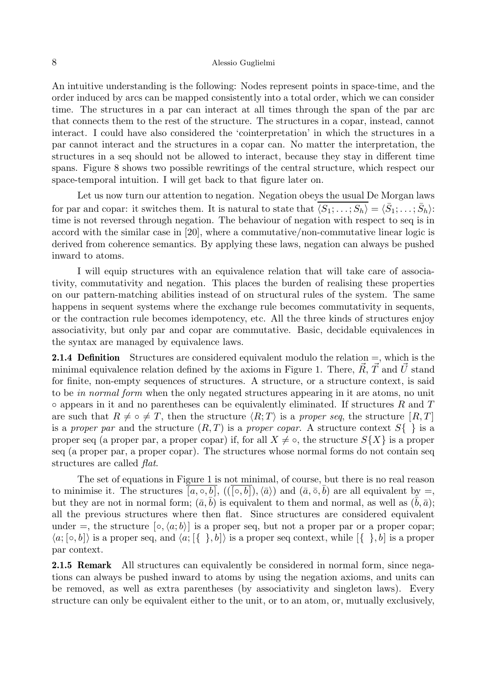#### 8 Alessio Guglielmi

An intuitive understanding is the following: Nodes represent points in space-time, and the order induced by arcs can be mapped consistently into a total order, which we can consider time. The structures in a par can interact at all times through the span of the par arc that connects them to the rest of the structure. The structures in a copar, instead, cannot interact. I could have also considered the 'cointerpretation' in which the structures in a par cannot interact and the structures in a copar can. No matter the interpretation, the structures in a seq should not be allowed to interact, because they stay in different time spans. Figure 8 shows two possible rewritings of the central structure, which respect our space-temporal intuition. I will get back to that figure later on.

Let us now turn our attention to negation. Negation obeys the usual De Morgan laws for par and copar: it switches them. It is natural to state that  $\overline{\langle S_1; \ldots; S_h \rangle} = \langle \overline{S}_1; \ldots; \overline{S}_h \rangle$ : time is not reversed through negation. The behaviour of negation with respect to seq is in accord with the similar case in [20], where a commutative/non-commutative linear logic is derived from coherence semantics. By applying these laws, negation can always be pushed inward to atoms.

I will equip structures with an equivalence relation that will take care of associativity, commutativity and negation. This places the burden of realising these properties on our pattern-matching abilities instead of on structural rules of the system. The same happens in sequent systems where the exchange rule becomes commutativity in sequents, or the contraction rule becomes idempotency, etc. All the three kinds of structures enjoy associativity, but only par and copar are commutative. Basic, decidable equivalences in the syntax are managed by equivalence laws.

**2.1.4 Definition** Structures are considered equivalent modulo the relation  $=$ , which is the minimal equivalence relation defined by the axioms in Figure 1. There,  $\vec{R}, \vec{T}$  and  $\vec{U}$  stand for finite, non-empty sequences of structures. A structure, or a structure context, is said to be *in normal form* when the only negated structures appearing in it are atoms, no unit  $\circ$  appears in it and no parentheses can be equivalently eliminated. If structures R and T are such that  $R \neq \infty \neq T$ , then the structure  $\langle R; T \rangle$  is a proper seq, the structure  $[R, T]$ is a proper par and the structure  $(R, T)$  is a proper copar. A structure context  $S\{\}\$ is a proper seq (a proper par, a proper copar) if, for all  $X \neq \circ$ , the structure  $S\{X\}$  is a proper seq (a proper par, a proper copar). The structures whose normal forms do not contain seq structures are called flat.

The set of equations in Figure 1 is not minimal, of course, but there is no real reason to minimise it. The structures  $\overline{[a,\circ,b]}$ ,  $((\overline{[\circ,b]}),\langle\bar{a}\rangle)$  and  $(\overline{a},\overline{\circ},\overline{b})$  are all equivalent by =, but they are not in normal form;  $(\bar{a}, \bar{b})$  is equivalent to them and normal, as well as  $(\bar{b}, \bar{a})$ ; all the previous structures where then flat. Since structures are considered equivalent under =, the structure  $[\circ, \langle a;b \rangle]$  is a proper seq, but not a proper par or a proper copar;  $\langle a; [\circ, b] \rangle$  is a proper seq, and  $\langle a; [{\} \}, b] \rangle$  is a proper seq context, while  $[{\} \}, b]$  is a proper par context.

2.1.5 Remark All structures can equivalently be considered in normal form, since negations can always be pushed inward to atoms by using the negation axioms, and units can be removed, as well as extra parentheses (by associativity and singleton laws). Every structure can only be equivalent either to the unit, or to an atom, or, mutually exclusively,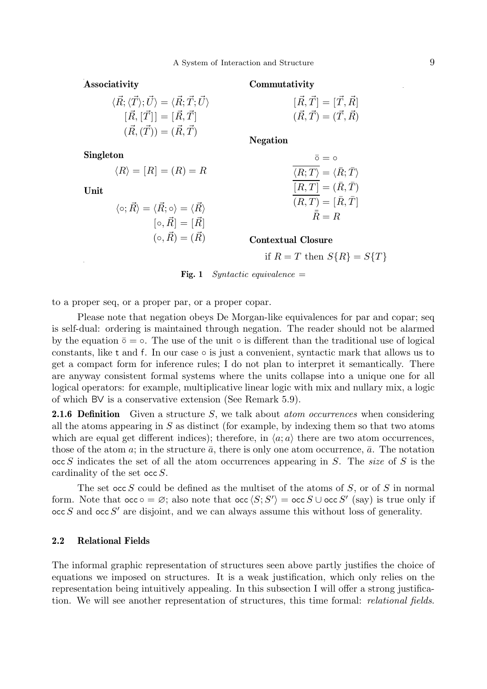# Associativity

 $\langle\vec{R};\langle\vec{T}\rangle;\vec{U}\rangle = \langle\vec{R};\vec{T};\vec{U}\rangle$  $[\vec{R}, [\vec{T}] ] = [\vec{R}, \vec{T}]$  $(\vec{R}, (\vec{T})) = (\vec{R}, \vec{T})$ 

Commutativity

Singleton

$$
\langle R \rangle = [R] = (R) = R
$$

Unit

$$
\langle \circ; \vec{R} \rangle = \langle \vec{R}; \circ \rangle = \langle \vec{R} \rangle
$$

$$
[\circ, \vec{R}] = [\vec{R}]
$$

$$
(\circ, \vec{R}) = (\vec{R})
$$

$$
[\vec{R}, \vec{T}] = [\vec{T}, \vec{R}]
$$

$$
(\vec{R}, \vec{T}) = (\vec{T}, \vec{R})
$$

Negation

$$
\bar{\sigma} = \sigma
$$

$$
\overline{\langle R; T \rangle} = \langle \bar{R}; \bar{T} \rangle
$$

$$
\overline{\overline{[R, T]}} = (\bar{R}, \bar{T})
$$

$$
\overline{\overline{(R, T)}} = [\bar{R}, \bar{T}]
$$

$$
\overline{\bar{R}} = R
$$

### Contextual Closure

if 
$$
R = T
$$
 then  $S\{R\} = S\{T\}$ 

Fig. 1 Syntactic equivalence  $=$ 

to a proper seq, or a proper par, or a proper copar.

Please note that negation obeys De Morgan-like equivalences for par and copar; seq is self-dual: ordering is maintained through negation. The reader should not be alarmed by the equation  $\bar{\circ} = \circ$ . The use of the unit  $\circ$  is different than the traditional use of logical constants, like  $t$  and  $f$ . In our case  $\circ$  is just a convenient, syntactic mark that allows us to get a compact form for inference rules; I do not plan to interpret it semantically. There are anyway consistent formal systems where the units collapse into a unique one for all logical operators: for example, multiplicative linear logic with mix and nullary mix, a logic of which BV is a conservative extension (See Remark 5.9).

**2.1.6 Definition** Given a structure S, we talk about *atom occurrences* when considering all the atoms appearing in S as distinct (for example, by indexing them so that two atoms which are equal get different indices); therefore, in  $\langle a; a \rangle$  there are two atom occurrences, those of the atom a; in the structure  $\bar{a}$ , there is only one atom occurrence,  $\bar{a}$ . The notation  $\operatorname{occ} S$  indicates the set of all the atom occurrences appearing in S. The *size* of S is the cardinality of the set occ  $S$ .

The set  $\operatorname{occ} S$  could be defined as the multiset of the atoms of S, or of S in normal form. Note that  $\text{occ} \circ = \varnothing$ ; also note that  $\text{occ } \langle S; S' \rangle = \text{occ } S \cup \text{occ } S'$  (say) is true only if  $\operatorname{occ}\nolimits S$  and  $\operatorname{occ}\nolimits S'$  are disjoint, and we can always assume this without loss of generality.

## 2.2 Relational Fields

The informal graphic representation of structures seen above partly justifies the choice of equations we imposed on structures. It is a weak justification, which only relies on the representation being intuitively appealing. In this subsection I will offer a strong justification. We will see another representation of structures, this time formal: *relational fields*.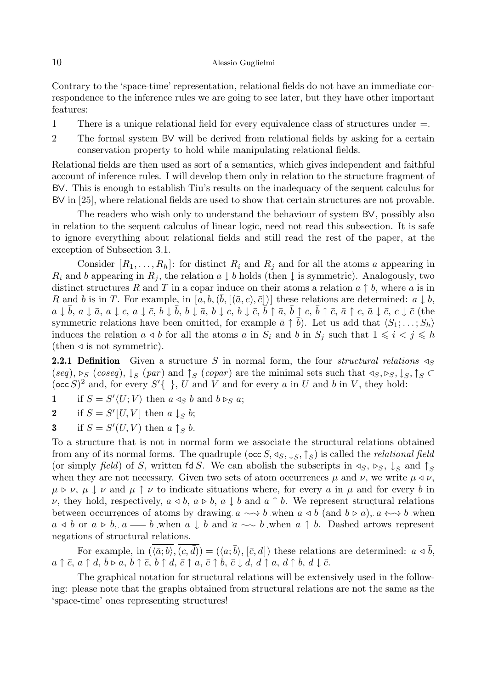#### 10 Alessio Guglielmi

Contrary to the 'space-time' representation, relational fields do not have an immediate correspondence to the inference rules we are going to see later, but they have other important features:

- 1 There is a unique relational field for every equivalence class of structures under =.
- 2 The formal system BV will be derived from relational fields by asking for a certain conservation property to hold while manipulating relational fields.

Relational fields are then used as sort of a semantics, which gives independent and faithful account of inference rules. I will develop them only in relation to the structure fragment of BV . This is enough to establish Tiu's results on the inadequacy of the sequent calculus for BV in [25], where relational fields are used to show that certain structures are not provable.

The readers who wish only to understand the behaviour of system BV , possibly also in relation to the sequent calculus of linear logic, need not read this subsection. It is safe to ignore everything about relational fields and still read the rest of the paper, at the exception of Subsection 3.1.

Consider  $[R_1, \ldots, R_h]$ : for distinct  $R_i$  and  $R_j$  and for all the atoms a appearing in  $R_i$  and b appearing in  $R_j$ , the relation  $a \downarrow b$  holds (then  $\downarrow$  is symmetric). Analogously, two distinct structures R and T in a copar induce on their atoms a relation  $a \uparrow b$ , where a is in R and b is in T. For example, in  $[a, b, (\bar{b}, [(\bar{a}, c), \bar{c}])]$  these relations are determined:  $a \downarrow b$ ,  $a\downarrow \bar{b},\ a\downarrow \bar{a},\ a\downarrow c,\ a\downarrow \bar{c},\ b\downarrow \bar{b},\ b\downarrow \bar{a},\ b\downarrow c,\ b\downarrow \bar{c},\ \bar{b}\uparrow \bar{a},\ \bar{b}\uparrow c,\ \bar{b}\uparrow \bar{c},\ \bar{a}\uparrow c,\ \bar{a}\uparrow c,\ \bar{a}\downarrow \bar{c},\ c\downarrow \bar{c} \text{ (the }a\downarrow \bar{b},\ a\downarrow \bar{c},\ a\downarrow \bar{c},\ a\downarrow \bar{c},\ b\downarrow \bar{c},\ b\downarrow \bar{c},\ b\downarrow \bar{$ symmetric relations have been omitted, for example  $\bar{a} \uparrow \bar{b}$ ). Let us add that  $\langle S_1; \ldots; S_h \rangle$ induces the relation  $a \triangleleft b$  for all the atoms a in  $S_i$  and b in  $S_j$  such that  $1 \leq i \leq j \leq h$ (then  $\triangleleft$  is not symmetric).

**2.2.1 Definition** Given a structure S in normal form, the four *structural relations*  $\triangleleft_S$ (seq),  $\triangleright_S$  (coseq),  $\downarrow_S$  (par) and  $\uparrow_S$  (copar) are the minimal sets such that  $\triangleleft_S$ ,  $\triangleright_S$ ,  $\downarrow_S$ ,  $\uparrow_S \subset$  $(\csc S)^2$  and, for every  $S'$ { }, U and V and for every a in U and b in V, they hold:

1 if  $S = S'\langle U; V \rangle$  then  $a \triangleleft_S b$  and  $b \triangleright_S a;$ 

2 if  $S = S'[U, V]$  then  $a \downarrow_S b$ ;

3 if  $S = S'(U, V)$  then  $a \uparrow_S b$ .

To a structure that is not in normal form we associate the structural relations obtained from any of its normal forms. The quadruple ( $\csc S$ ,  $\triangleleft$ s,  $\downarrow$ s,  $\uparrow$ s) is called the *relational field* (or simply field) of S, written fd S. We can abolish the subscripts in  $\triangleleft_S$ ,  $\triangleright_S$ ,  $\downarrow_S$  and  $\uparrow_S$ when they are not necessary. Given two sets of atom occurrences  $\mu$  and  $\nu$ , we write  $\mu \triangleleft \nu$ ,  $\mu \triangleright \nu$ ,  $\mu \downarrow \nu$  and  $\mu \uparrow \nu$  to indicate situations where, for every a in  $\mu$  and for every b in  $\nu$ , they hold, respectively,  $a \triangleleft b$ ,  $a \triangleright b$ ,  $a \downarrow b$  and  $a \uparrow b$ . We represent structural relations between occurrences of atoms by drawing  $a \rightarrow b$  when  $a \triangleleft b$  (and  $b \triangleright a$ ),  $a \leftrightarrow b$  when  $a \triangleleft b$  or  $a \triangleright b$ ,  $a \longrightarrow b$  when  $a \downarrow b$  and  $a \sim b$  when  $a \uparrow b$ . Dashed arrows represent negations of structural relations.

For example, in  $(\langle \overline{a}; b \rangle, \langle c, \overline{d} \rangle) = (\langle a; \overline{b} \rangle, [\overline{c}, d])$  these relations are determined:  $a \triangleleft \overline{b}$ ,  $a\uparrow \bar{c},\, a\uparrow d,\, \bar{b}\triangleright a,\, \bar{b}\uparrow \bar{c},\, \bar{b}\uparrow d,\, \bar{c}\uparrow \bar{a},\, \bar{c}\uparrow \bar{b},\, \bar{c}\downarrow d,\, d\uparrow a,\, d\uparrow \bar{b},\, d\downarrow \bar{c}.$ 

The graphical notation for structural relations will be extensively used in the following: please note that the graphs obtained from structural relations are not the same as the 'space-time' ones representing structures!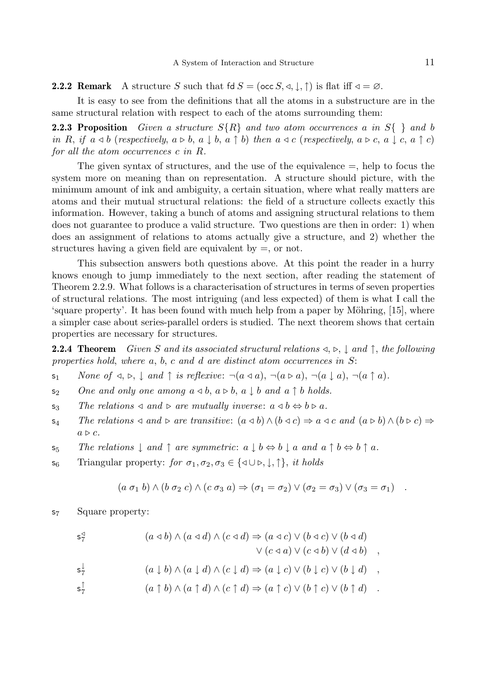**2.2.2 Remark** A structure S such that  $f \circ f = (\text{occ } S, \triangleleft, \perp, \uparrow)$  is flat iff  $\triangleleft = \emptyset$ .

It is easy to see from the definitions that all the atoms in a substructure are in the same structural relation with respect to each of the atoms surrounding them:

**2.2.3 Proposition** Given a structure  $S\{R\}$  and two atom occurrences a in  $S\{\}\$  and b in R, if  $a \triangleleft b$  (respectively,  $a \triangleright b$ ,  $a \downarrow b$ ,  $a \uparrow b$ ) then  $a \triangleleft c$  (respectively,  $a \triangleright c$ ,  $a \downarrow c$ ,  $a \uparrow c$ ) for all the atom occurrences c in R.

The given syntax of structures, and the use of the equivalence  $=$ , help to focus the system more on meaning than on representation. A structure should picture, with the minimum amount of ink and ambiguity, a certain situation, where what really matters are atoms and their mutual structural relations: the field of a structure collects exactly this information. However, taking a bunch of atoms and assigning structural relations to them does not guarantee to produce a valid structure. Two questions are then in order: 1) when does an assignment of relations to atoms actually give a structure, and 2) whether the structures having a given field are equivalent by  $=$ , or not.

This subsection answers both questions above. At this point the reader in a hurry knows enough to jump immediately to the next section, after reading the statement of Theorem 2.2.9. What follows is a characterisation of structures in terms of seven properties of structural relations. The most intriguing (and less expected) of them is what I call the 'square property'. It has been found with much help from a paper by Möhring,  $[15]$ , where a simpler case about series-parallel orders is studied. The next theorem shows that certain properties are necessary for structures.

**2.2.4 Theorem** Given S and its associated structural relations  $\triangleleft$ ,  $\triangleright$ ,  $\downarrow$  and  $\uparrow$ , the following properties hold, where  $a, b, c$  and  $d$  are distinct atom occurrences in  $S$ :

- $s_1$  None of  $\triangleleft, \triangleright, \perp$  and  $\uparrow$  is reflexive:  $\neg(a \triangleleft a), \neg(a \triangleright a), \neg(a \perp a), \neg(a \uparrow a)$ .
- $s_2$  One and only one among  $a \triangleleft b$ ,  $a \triangleright b$ ,  $a \downarrow b$  and  $a \uparrow b$  holds.
- $s_3$  The relations  $\triangleleft$  and  $\triangleright$  are mutually inverse:  $a \triangleleft b \Leftrightarrow b \triangleright a$ .
- $s_4$  The relations  $\triangleleft$  and  $\triangleright$  are transitive:  $(a \triangleleft b) \wedge (b \triangleleft c) \Rightarrow a \triangleleft c$  and  $(a \triangleright b) \wedge (b \triangleright c) \Rightarrow$  $a \triangleright c.$
- $\mathsf{s}_5$  The relations  $\downarrow$  and  $\uparrow$  are symmetric:  $a \downarrow b \Leftrightarrow b \downarrow a$  and  $a \uparrow b \Leftrightarrow b \uparrow a$ .
- $s_6$  Triangular property: for  $\sigma_1, \sigma_2, \sigma_3 \in \{\triangleleft \cup \triangleright, \downarrow, \uparrow\}, \text{ it holds}$

$$
(a \sigma_1 b) \wedge (b \sigma_2 c) \wedge (c \sigma_3 a) \Rightarrow (\sigma_1 = \sigma_2) \vee (\sigma_2 = \sigma_3) \vee (\sigma_3 = \sigma_1) .
$$

s<sup>7</sup> Square property:

$$
\begin{array}{lll}\n\mathsf{s}_{7}^{4} & (a \triangleleft b) \wedge (a \triangleleft d) \wedge (c \triangleleft d) \Rightarrow (a \triangleleft c) \vee (b \triangleleft c) \vee (b \triangleleft d) \\
& \vee (c \triangleleft a) \vee (c \triangleleft b) \vee (d \triangleleft b) \\
\mathsf{s}_{7}^{1} & (a \downarrow b) \wedge (a \downarrow d) \wedge (c \downarrow d) \Rightarrow (a \downarrow c) \vee (b \downarrow c) \vee (b \downarrow d) \\
& \mathsf{s}_{7}^{1} & (a \uparrow b) \wedge (a \uparrow d) \wedge (c \uparrow d) \Rightarrow (a \uparrow c) \vee (b \uparrow c) \vee (b \uparrow d) \quad .\n\end{array}
$$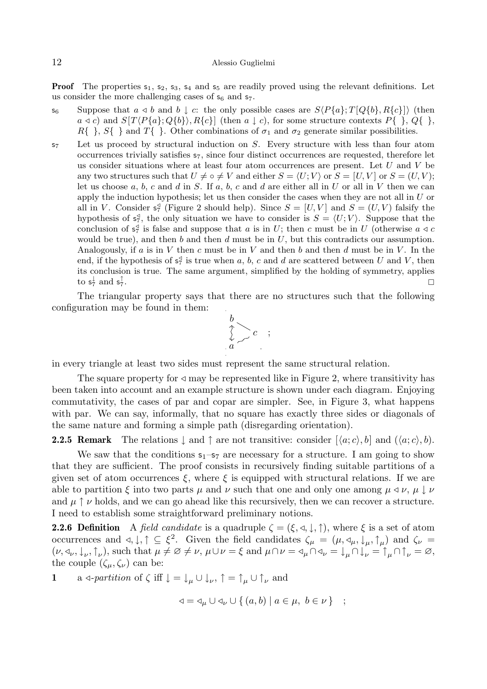## 12 Alessio Guglielmi

**Proof** The properties  $s_1$ ,  $s_2$ ,  $s_3$ ,  $s_4$  and  $s_5$  are readily proved using the relevant definitions. Let us consider the more challenging cases of  $s_6$  and  $s_7$ .

- s<sub>6</sub> Suppose that  $a \triangleleft b$  and  $b \downarrow c$ : the only possible cases are  $S\langle P\{a\}; T[Q\{b\}, R\{c\}] \rangle$  (then  $a \triangleleft c$ ) and  $S[T\langle P\{a\}; Q\{b\}\rangle, R\{c\}]$  (then  $a \downarrow c$ ), for some structure contexts  $P\{\}$ ,  $Q\{\}$ ,  $R\{\}\$  and  $T\{\}\$ . Other combinations of  $\sigma_1$  and  $\sigma_2$  generate similar possibilities.
- s<sup>7</sup> Let us proceed by structural induction on S. Every structure with less than four atom occurrences trivially satisfies  $s_7$ , since four distinct occurrences are requested, therefore let us consider situations where at least four atom occurrences are present. Let  $U$  and  $V$  be any two structures such that  $U \neq \infty \neq V$  and either  $S = \langle U, V \rangle$  or  $S = [U, V]$  or  $S = (U, V)$ ; let us choose  $a, b, c$  and  $d$  in  $S$ . If  $a, b, c$  and  $d$  are either all in  $U$  or all in  $V$  then we can apply the induction hypothesis; let us then consider the cases when they are not all in  $U$  or all in V. Consider  $s_7^4$  (Figure 2 should help). Since  $S = [U, V]$  and  $S = (U, V)$  falsify the hypothesis of  $s_7^4$ , the only situation we have to consider is  $S = \langle U, V \rangle$ . Suppose that the conclusion of  $s_7^4$  is false and suppose that a is in U; then c must be in U (otherwise  $a \triangleleft c$ would be true), and then  $b$  and then  $d$  must be in  $U$ , but this contradicts our assumption. Analogously, if a is in V then c must be in V and then b and then d must be in V. In the end, if the hypothesis of  $s_7^4$  is true when a, b, c and d are scattered between U and V, then its conclusion is true. The same argument, simplified by the holding of symmetry, applies to  $\mathsf{s}_7^\downarrow$  and  $\mathsf{s}_7^\uparrow$ . The contract of the contract of the contract of the contract of the contract of the contract of the contract<br>The contract of the contract of the contract of the contract of the contract of the contract of the contract o

The triangular property says that there are no structures such that the following configuration may be found in them:

$$
\begin{array}{c}\nb \\
\updownarrow \\
a\n\end{array}c ;
$$

in every triangle at least two sides must represent the same structural relation.

The square property for  $\triangleleft$  may be represented like in Figure 2, where transitivity has been taken into account and an example structure is shown under each diagram. Enjoying commutativity, the cases of par and copar are simpler. See, in Figure 3, what happens with par. We can say, informally, that no square has exactly three sides or diagonals of the same nature and forming a simple path (disregarding orientation).

**2.2.5 Remark** The relations  $\downarrow$  and  $\uparrow$  are not transitive: consider  $\left[\langle a; c \rangle, b\right]$  and  $\left(\langle a; c \rangle, b\right)$ .

We saw that the conditions  $s_1-s_7$  are necessary for a structure. I am going to show that they are sufficient. The proof consists in recursively finding suitable partitions of a given set of atom occurrences  $\xi$ , where  $\xi$  is equipped with structural relations. If we are able to partition  $\xi$  into two parts  $\mu$  and  $\nu$  such that one and only one among  $\mu \triangleleft \nu$ ,  $\mu \downarrow \nu$ and  $\mu \uparrow \nu$  holds, and we can go ahead like this recursively, then we can recover a structure. I need to establish some straightforward preliminary notions.

**2.2.6 Definition** A field candidate is a quadruple  $\zeta = (\xi, \varphi, \psi, \hat{\zeta})$ , where  $\xi$  is a set of atom occurrences and  $\langle \varphi, \varphi \rangle$ ,  $\uparrow \subseteq \xi^2$ . Given the field candidates  $\zeta_{\mu} = (\mu, \varphi_{\mu}, \psi_{\mu}, \psi_{\mu})$  and  $\zeta_{\nu} =$  $(\nu, \varphi_{\nu}, \psi_{\nu}, \uparrow_{\nu}),$  such that  $\mu \neq \varnothing \neq \nu$ ,  $\mu \cup \nu = \xi$  and  $\mu \cap \nu = \varphi_{\mu} \cap \varphi_{\nu} = \psi_{\mu} \cap \psi_{\nu} = \varphi_{\mu} \cap \psi_{\nu} = \varphi_{\mu}$ the couple  $(\zeta_{\mu}, \zeta_{\nu})$  can be:

1 a  $\triangleleft$ -partition of  $\zeta$  iff  $\downarrow = \downarrow_{\mu} \cup \downarrow_{\nu}$ ,  $\uparrow = \uparrow_{\mu} \cup \uparrow_{\nu}$  and

$$
\vartriangleleft = \vartriangleleft_{\mu} \cup \vartriangleleft_{\nu} \cup \{ (a, b) \mid a \in \mu, b \in \nu \} \quad ;
$$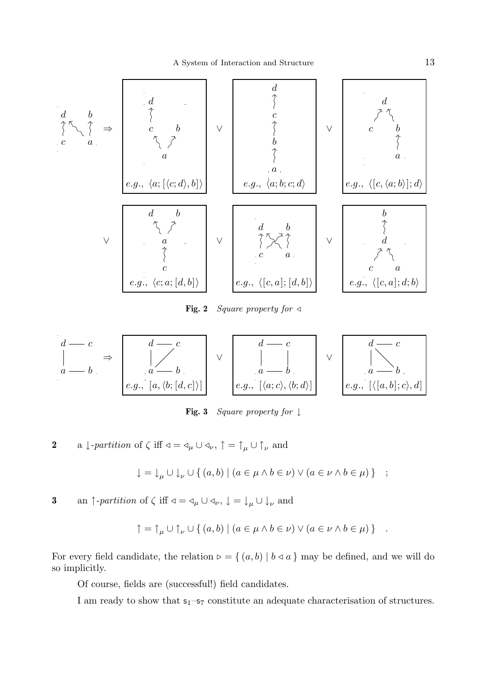

Fig. 2 Square property for  $\triangleleft$ 



Fig. 3 Square property for  $\downarrow$ 

2 a ↓-partition of  $\zeta$  iff  $\triangleleft = \triangleleft_{\mu} \cup \triangleleft_{\nu}$ ,  $\uparrow = \uparrow_{\mu} \cup \uparrow_{\nu}$  and

 $\downarrow$  =  $\downarrow$ <sub>*u*</sub> ∪  $\downarrow$   $\downarrow$   $\downarrow$   $\downarrow$   $\{ (a, b) | (a \in \mu \land b \in \nu) \lor (a \in \nu \land b \in \mu) \}$ ;

3 an ↑-partition of  $\zeta$  iff  $\triangleleft = \triangleleft_{\mu} \cup \triangleleft_{\nu}$ ,  $\downarrow = \downarrow_{\mu} \cup \downarrow_{\nu}$  and

$$
\uparrow = \uparrow_{\mu} \cup \uparrow_{\nu} \cup \{ (a, b) \mid (a \in \mu \land b \in \nu) \lor (a \in \nu \land b \in \mu) \} .
$$

For every field candidate, the relation  $\rho = \{ (a, b) | b \triangleleft a \}$  may be defined, and we will do so implicitly.

Of course, fields are (successful!) field candidates.

I am ready to show that  $s_1-s_7$  constitute an adequate characterisation of structures.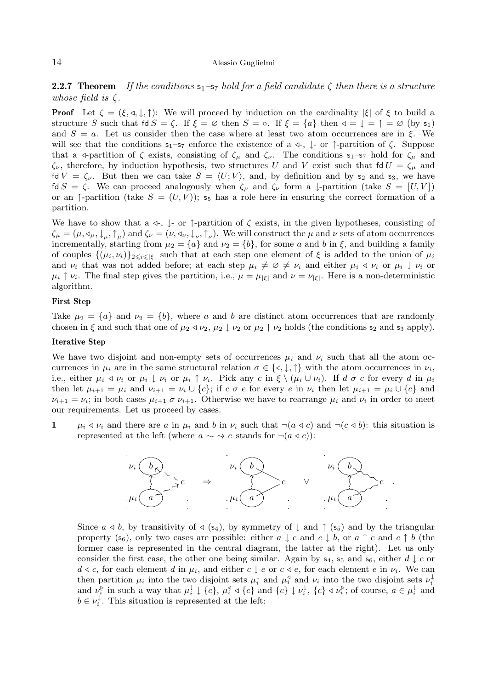**2.2.7 Theorem** If the conditions  $s_1$ - $s_7$  hold for a field candidate  $\zeta$  then there is a structure whose field is ζ.

**Proof** Let  $\zeta = (\xi, \xi, \xi, \zeta)$ : We will proceed by induction on the cardinality  $|\xi|$  of  $\xi$  to build a structure S such that  $f \circ S = \zeta$ . If  $\xi = \emptyset$  then  $S = \circ$ . If  $\xi = \{a\}$  then  $\varphi = \zeta = \hat{\zeta} = \emptyset$  (by  $s_1$ ) and  $S = a$ . Let us consider then the case where at least two atom occurrences are in ξ. We will see that the conditions  $s_1-s_7$  enforce the existence of a  $\leq$ ,  $\downarrow$ - or  $\uparrow$ -partition of  $\zeta$ . Suppose that a  $\triangleleft$ -partition of  $\zeta$  exists, consisting of  $\zeta_\mu$  and  $\zeta_\nu$ . The conditions  $s_1-s_7$  hold for  $\zeta_\mu$  and  $\zeta_{\nu}$ , therefore, by induction hypothesis, two structures U and V exist such that fd  $U = \zeta_{\mu}$  and fd  $V = \zeta_{\nu}$ . But then we can take  $S = \langle U; V \rangle$ , and, by definition and by s<sub>2</sub> and s<sub>3</sub>, we have fd  $S = \zeta$ . We can proceed analogously when  $\zeta_{\mu}$  and  $\zeta_{\nu}$  form a  $\downarrow$ -partition (take  $S = [U, V]$ ) or an  $\uparrow$ -partition (take  $S = (U, V)$ ); s<sub>5</sub> has a role here in ensuring the correct formation of a partition.

We have to show that a  $\leftarrow$ ,  $\downarrow$ - or  $\uparrow$ -partition of  $\zeta$  exists, in the given hypotheses, consisting of  $\zeta_{\mu} = (\mu, \triangleleft_{\mu}, \uparrow_{\mu}, \uparrow_{\mu})$  and  $\zeta_{\nu} = (\nu, \triangleleft_{\nu}, \downarrow_{\nu}, \uparrow_{\nu})$ . We will construct the  $\mu$  and  $\nu$  sets of atom occurrences incrementally, starting from  $\mu_2 = \{a\}$  and  $\nu_2 = \{b\}$ , for some a and b in  $\xi$ , and building a family of couples  $\{(\mu_i, \nu_i)\}_{2 \leq i \leq |\xi|}$  such that at each step one element of  $\xi$  is added to the union of  $\mu_i$ and  $\nu_i$  that was not added before; at each step  $\mu_i \neq \emptyset \neq \nu_i$  and either  $\mu_i \triangleleft \nu_i$  or  $\mu_i \downarrow \nu_i$  or  $\mu_i \uparrow \nu_i$ . The final step gives the partition, i.e.,  $\mu = \mu_{|\xi|}$  and  $\nu = \nu_{|\xi|}$ . Here is a non-deterministic algorithm.

# First Step

Take  $\mu_2 = \{a\}$  and  $\nu_2 = \{b\}$ , where a and b are distinct atom occurrences that are randomly chosen in  $\xi$  and such that one of  $\mu_2 \triangleleft \nu_2$ ,  $\mu_2 \downarrow \nu_2$  or  $\mu_2 \uparrow \nu_2$  holds (the conditions  $s_2$  and  $s_3$  apply).

#### Iterative Step

We have two disjoint and non-empty sets of occurrences  $\mu_i$  and  $\nu_i$  such that all the atom occurrences in  $\mu_i$  are in the same structural relation  $\sigma \in \{\triangleleft, \downarrow, \uparrow\}$  with the atom occurrences in  $\nu_i$ , i.e., either  $\mu_i \triangleleft \nu_i$  or  $\mu_i \downarrow \nu_i$  or  $\mu_i \uparrow \nu_i$ . Pick any c in  $\xi \setminus (\mu_i \cup \nu_i)$ . If  $d \sigma c$  for every d in  $\mu_i$ then let  $\mu_{i+1} = \mu_i$  and  $\nu_{i+1} = \nu_i \cup \{c\}$ ; if  $c \sigma e$  for every  $e$  in  $\nu_i$  then let  $\mu_{i+1} = \mu_i \cup \{c\}$  and  $\nu_{i+1} = \nu_i$ ; in both cases  $\mu_{i+1} \sigma \nu_{i+1}$ . Otherwise we have to rearrange  $\mu_i$  and  $\nu_i$  in order to meet our requirements. Let us proceed by cases.

1  $\mu_i \triangleleft \nu_i$  and there are a in  $\mu_i$  and b in  $\nu_i$  such that  $\neg(a \triangleleft c)$  and  $\neg(c \triangleleft b)$ : this situation is represented at the left (where  $a \sim \rightarrow c$  stands for  $\neg(a \triangleleft c)$ ):



Since  $a \triangleleft b$ , by transitivity of  $\triangleleft (s_4)$ , by symmetry of  $\downarrow$  and  $\uparrow$  ( $s_5$ ) and by the triangular property (s<sub>6</sub>), only two cases are possible: either  $a \downarrow c$  and  $c \downarrow b$ , or  $a \uparrow c$  and  $c \uparrow b$  (the former case is represented in the central diagram, the latter at the right). Let us only consider the first case, the other one being similar. Again by  $s_4$ ,  $s_5$  and  $s_6$ , either d  $\downarrow$  c or  $d \triangleleft c$ , for each element d in  $\mu_i$ , and either  $c \downarrow e$  or  $c \triangleleft e$ , for each element e in  $\nu_i$ . We can then partition  $\mu_i$  into the two disjoint sets  $\mu_i^{\downarrow}$  and  $\mu_i^{\triangleleft}$  and  $\nu_i$  into the two disjoint sets  $\nu_i^{\downarrow}$ and  $\nu_i^{\triangleright}$  in such a way that  $\mu_i^{\downarrow} \downarrow \{c\}$ ,  $\mu_i^{\triangleleft} \triangleleft \{c\}$  and  $\{c\} \downarrow \nu_i^{\downarrow}$ ,  $\{c\} \triangleleft \nu_i^{\triangleright}$ ; of course,  $a \in \mu_i^{\downarrow}$  and  $b \in \nu_i^{\downarrow}$ . This situation is represented at the left: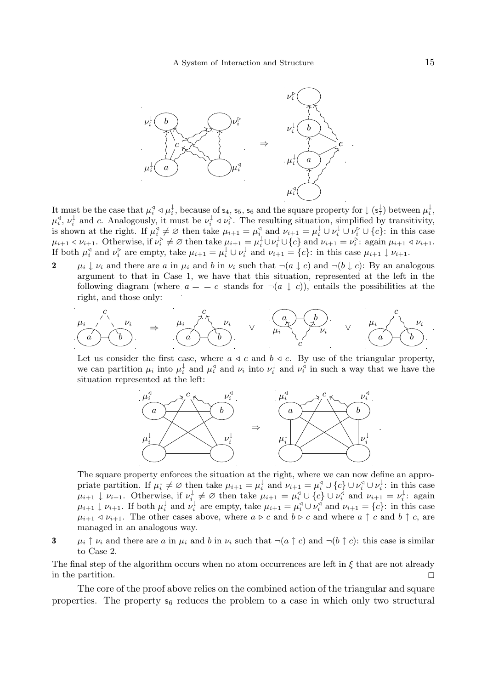

It must be the case that  $\mu_i^{\perp} \triangleleft \mu_i^{\perp}$ , because of s<sub>4</sub>, s<sub>5</sub>, s<sub>6</sub> and the square property for  $\downarrow$  (s<sup> $\downarrow$ </sup>) between  $\mu_i^{\perp}$ ,  $\mu_i^{\mathcal{A}}, \nu_i^{\downarrow}$  and c. Analogously, it must be  $\nu_i^{\downarrow} \triangleleft \nu_i^{\mathcal{B}}$ . The resulting situation, simplified by transitivity, is shown at the right. If  $\mu_i^q \neq \emptyset$  then take  $\mu_{i+1} = \mu_i^q$  and  $\nu_{i+1} = \mu_i^{\downarrow} \cup \nu_i^{\downarrow} \cup \nu_i^{\circ} \cup \{c\}$ : in this case  $\mu_{i+1} \triangleleft \nu_{i+1}$ . Otherwise, if  $\nu_i^{\triangleright} \neq \emptyset$  then take  $\mu_{i+1} = \mu_i^{\downarrow} \cup \nu_i^{\downarrow} \cup \{c\}$  and  $\nu_{i+1} = \nu_i^{\triangleright}$ : again  $\mu_{i+1} \triangleleft \nu_{i+1}$ . If both  $\mu_i^{\mathcal{A}}$  and  $\nu_i^{\mathcal{B}}$  are empty, take  $\mu_{i+1} = \mu_i^{\mathcal{A}} \cup \nu_i^{\mathcal{A}}$  and  $\nu_{i+1} = \{c\}$ : in this case  $\mu_{i+1} \downarrow \nu_{i+1}$ .

2  $\mu_i \downarrow \nu_i$  and there are a in  $\mu_i$  and b in  $\nu_i$  such that  $\neg(a \downarrow c)$  and  $\neg(b \downarrow c)$ : By an analogous argument to that in Case 1, we have that this situation, represented at the left in the following diagram (where  $a - c$  stands for  $\neg(a \downarrow c)$ ), entails the possibilities at the right, and those only:



Let us consider the first case, where  $a \triangleleft c$  and  $b \triangleleft c$ . By use of the triangular property, we can partition  $\mu_i$  into  $\mu_i^{\downarrow}$  and  $\mu_i^{\uparrow}$  and  $\nu_i$  into  $\nu_i^{\downarrow}$  and  $\nu_i^{\uparrow}$  in such a way that we have the situation represented at the left:



The square property enforces the situation at the right, where we can now define an appropriate partition. If  $\mu_i^{\downarrow} \neq \emptyset$  then take  $\mu_{i+1} = \mu_i^{\downarrow}$  and  $\nu_{i+1} = \mu_i^{\triangleleft} \cup \{c\} \cup \nu_i^{\triangleleft} \cup \nu_i^{\downarrow}$ : in this case  $\mu_{i+1} \downarrow \nu_{i+1}$ . Otherwise, if  $\nu_i^{\downarrow} \neq \emptyset$  then take  $\mu_{i+1} = \mu_i^{\triangleleft} \cup \{c\} \cup \nu_i^{\triangleleft}$  and  $\nu_{i+1} = \nu_i^{\downarrow}$ : again  $\mu_{i+1} \downarrow \nu_{i+1}$ . If both  $\mu_i^{\downarrow}$  and  $\nu_i^{\downarrow}$  are empty, take  $\mu_{i+1} = \mu_i^{\triangleleft} \cup \nu_i^{\triangleleft}$  and  $\nu_{i+1} = \{c\}$ : in this case  $\mu_{i+1} \triangleleft \nu_{i+1}$ . The other cases above, where  $a \triangleright c$  and  $b \triangleright c$  and where  $a \uparrow c$  and  $b \uparrow c$ , are managed in an analogous way.

3  $\mu_i \uparrow \nu_i$  and there are a in  $\mu_i$  and b in  $\nu_i$  such that  $\neg(a \uparrow c)$  and  $\neg(b \uparrow c)$ : this case is similar to Case 2.

The final step of the algorithm occurs when no atom occurrences are left in  $\xi$  that are not already in the partition.

The core of the proof above relies on the combined action of the triangular and square properties. The property  $s_6$  reduces the problem to a case in which only two structural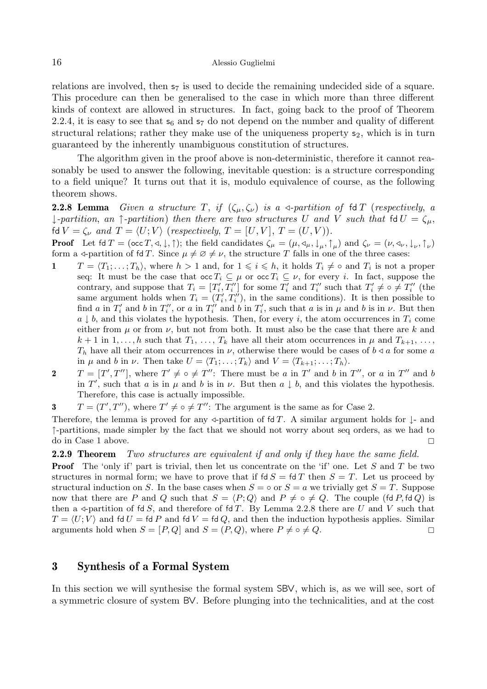relations are involved, then  $s<sub>7</sub>$  is used to decide the remaining undecided side of a square. This procedure can then be generalised to the case in which more than three different kinds of context are allowed in structures. In fact, going back to the proof of Theorem 2.2.4, it is easy to see that  $s_6$  and  $s_7$  do not depend on the number and quality of different structural relations; rather they make use of the uniqueness property  $s_2$ , which is in turn guaranteed by the inherently unambiguous constitution of structures.

The algorithm given in the proof above is non-deterministic, therefore it cannot reasonably be used to answer the following, inevitable question: is a structure corresponding to a field unique? It turns out that it is, modulo equivalence of course, as the following theorem shows.

**2.2.8 Lemma** Given a structure T, if  $(\zeta_{\mu}, \zeta_{\nu})$  is a  $\triangleleft$ -partition of  $\Box$  (respectively, a ↓-partition, an ↑-partition) then there are two structures U and V such that  $\text{fd }U = \zeta_{\mu}$ , fd  $V = \zeta_{\nu}$  and  $T = \langle U; V \rangle$  (respectively,  $T = [U, V], T = (U, V)$ ).

**Proof** Let  $\mathsf{fd}\,T = (\mathsf{occ}\,T, \mathsf{d}, \mathsf{l}, \uparrow);$  the field candidates  $\zeta_{\mu} = (\mu, \mathsf{d}_{\mu}, \mathsf{l}_{\mu}, \uparrow_{\mu})$  and  $\zeta_{\nu} = (\nu, \mathsf{d}_{\nu}, \mathsf{l}_{\nu}, \uparrow_{\nu})$ form a  $\triangle$ -partition of fd T. Since  $\mu \neq \emptyset \neq \nu$ , the structure T falls in one of the three cases:

- 1  $T = \langle T_1; \ldots; T_h \rangle$ , where  $h > 1$  and, for  $1 \leq i \leq h$ , it holds  $T_i \neq \circ$  and  $T_i$  is not a proper seq: It must be the case that  $\mathrm{occ}\,T_i \subseteq \mu$  or  $\mathrm{occ}\,T_i \subseteq \nu$ , for every i. In fact, suppose the contrary, and suppose that  $T_i = [T'_i, T''_i]$  for some  $T'_i$  and  $T''_i$  such that  $T'_i \neq \infty \neq T''_i$  (the same argument holds when  $T_i = (T'_i, T''_i)$ , in the same conditions). It is then possible to find a in  $T_i'$  and b in  $T_i''$ , or a in  $T_i''$  and b in  $T_i'$ , such that a is in  $\mu$  and b is in  $\nu$ . But then  $a \downarrow b$ , and this violates the hypothesis. Then, for every i, the atom occurrences in  $T_i$  come either from  $\mu$  or from  $\nu$ , but not from both. It must also be the case that there are k and  $k+1$  in  $1, \ldots, h$  such that  $T_1, \ldots, T_k$  have all their atom occurrences in  $\mu$  and  $T_{k+1}, \ldots,$  $T_h$  have all their atom occurrences in  $\nu$ , otherwise there would be cases of  $b \triangleleft a$  for some a in  $\mu$  and b in  $\nu$ . Then take  $U = \langle T_1; \ldots; T_k \rangle$  and  $V = \langle T_{k+1}; \ldots; T_h \rangle$ .
- 2  $T = [T', T'']$ , where  $T' \neq \infty \neq T''$ : There must be a in T' and b in T'', or a in T'' and b in T', such that a is in  $\mu$  and b is in  $\nu$ . But then  $a \downarrow b$ , and this violates the hypothesis. Therefore, this case is actually impossible.

3  $T = (T', T'')$ , where  $T' \neq \infty \neq T''$ : The argument is the same as for Case 2.

Therefore, the lemma is proved for any  $\triangleleft$ -partition of  $\Box$  A similar argument holds for  $\Box$ - and ↑-partitions, made simpler by the fact that we should not worry about seq orders, as we had to do in Case 1 above.

**2.2.9 Theorem** Two structures are equivalent if and only if they have the same field.

**Proof** The 'only if' part is trivial, then let us concentrate on the 'if' one. Let  $S$  and  $T$  be two structures in normal form; we have to prove that if  $\text{fd } S = \text{fd } T$  then  $S = T$ . Let us proceed by structural induction on S. In the base cases when  $S = \circ$  or  $S = a$  we trivially get  $S = T$ . Suppose now that there are P and Q such that  $S = \langle P; Q \rangle$  and  $P \neq \circ \circ \circ P$ . The couple (fd P, fd Q) is then a  $\triangleleft$ -partition of fd S, and therefore of fd T. By Lemma 2.2.8 there are U and V such that  $T = \langle U; V \rangle$  and fd  $U =$  fd P and fd V = fd Q, and then the induction hypothesis applies. Similar arguments hold when  $S = [P, Q]$  and  $S = (P, Q)$ , where  $P \neq \circ \neq Q$ .

# 3 Synthesis of a Formal System

In this section we will synthesise the formal system SBV , which is, as we will see, sort of a symmetric closure of system BV . Before plunging into the technicalities, and at the cost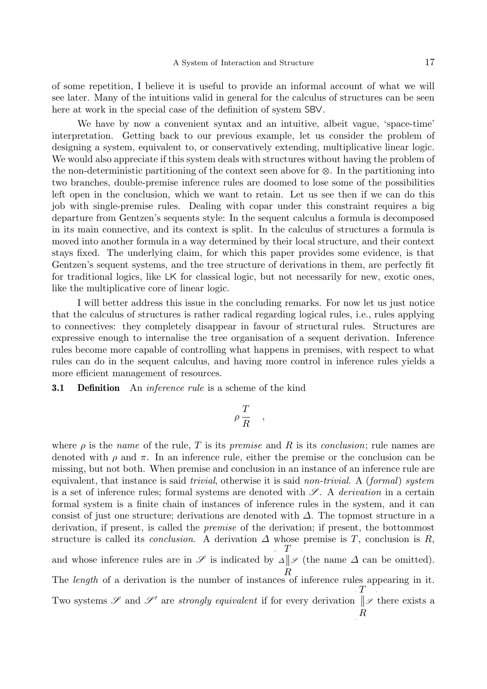of some repetition, I believe it is useful to provide an informal account of what we will see later. Many of the intuitions valid in general for the calculus of structures can be seen here at work in the special case of the definition of system SBV .

We have by now a convenient syntax and an intuitive, albeit vague, 'space-time' interpretation. Getting back to our previous example, let us consider the problem of designing a system, equivalent to, or conservatively extending, multiplicative linear logic. We would also appreciate if this system deals with structures without having the problem of the non-deterministic partitioning of the context seen above for  $\otimes$ . In the partitioning into two branches, double-premise inference rules are doomed to lose some of the possibilities left open in the conclusion, which we want to retain. Let us see then if we can do this job with single-premise rules. Dealing with copar under this constraint requires a big departure from Gentzen's sequents style: In the sequent calculus a formula is decomposed in its main connective, and its context is split. In the calculus of structures a formula is moved into another formula in a way determined by their local structure, and their context stays fixed. The underlying claim, for which this paper provides some evidence, is that Gentzen's sequent systems, and the tree structure of derivations in them, are perfectly fit for traditional logics, like LK for classical logic, but not necessarily for new, exotic ones, like the multiplicative core of linear logic.

I will better address this issue in the concluding remarks. For now let us just notice that the calculus of structures is rather radical regarding logical rules, i.e., rules applying to connectives: they completely disappear in favour of structural rules. Structures are expressive enough to internalise the tree organisation of a sequent derivation. Inference rules become more capable of controlling what happens in premises, with respect to what rules can do in the sequent calculus, and having more control in inference rules yields a more efficient management of resources.

**3.1 Definition** An *inference rule* is a scheme of the kind

$$
\rho \frac{T}{R} \quad ,
$$

where  $\rho$  is the *name* of the rule, T is its *premise* and R is its *conclusion*; rule names are denoted with  $\rho$  and  $\pi$ . In an inference rule, either the premise or the conclusion can be missing, but not both. When premise and conclusion in an instance of an inference rule are equivalent, that instance is said *trivial*, otherwise it is said *non-trivial*. A *(formal)* system is a set of inference rules; formal systems are denoted with  $\mathscr{S}$ . A *derivation* in a certain formal system is a finite chain of instances of inference rules in the system, and it can consist of just one structure; derivations are denoted with  $\Delta$ . The topmost structure in a derivation, if present, is called the *premise* of the derivation; if present, the bottommost structure is called its *conclusion*. A derivation  $\Delta$  whose premise is T, conclusion is R, and whose inference rules are in  $\mathscr S$  is indicated by  $\mathcal I$ R  $\Delta \parallel \mathscr{S}$  (the name  $\Delta$  can be omitted). The *length* of a derivation is the number of instances of inference rules appearing in it. Two systems  $\mathscr S$  and  $\mathscr S'$  are *strongly equivalent* if for every derivation  $\|\mathscr S$  there exists a  $\mathcal I$ R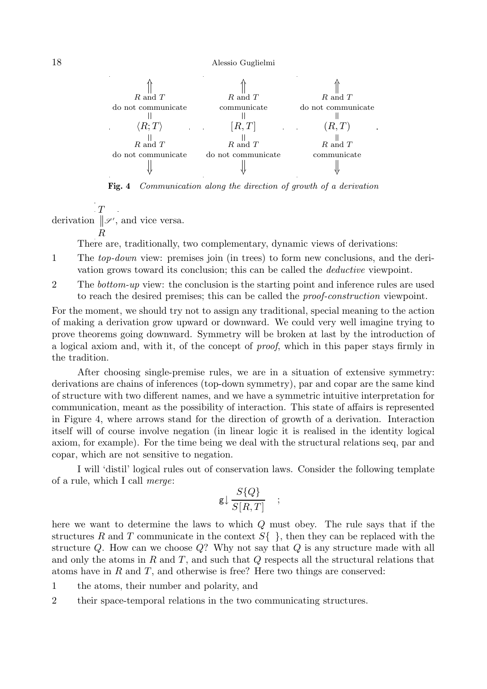

Fig. 4 Communication along the direction of growth of a derivation

derivation  $\|\mathscr{S}'\|$ , and vice versa.  $T$ R

There are, traditionally, two complementary, dynamic views of derivations:

- 1 The top-down view: premises join (in trees) to form new conclusions, and the derivation grows toward its conclusion; this can be called the deductive viewpoint.
- 2 The bottom-up view: the conclusion is the starting point and inference rules are used to reach the desired premises; this can be called the proof-construction viewpoint.

For the moment, we should try not to assign any traditional, special meaning to the action of making a derivation grow upward or downward. We could very well imagine trying to prove theorems going downward. Symmetry will be broken at last by the introduction of a logical axiom and, with it, of the concept of proof, which in this paper stays firmly in the tradition.

After choosing single-premise rules, we are in a situation of extensive symmetry: derivations are chains of inferences (top-down symmetry), par and copar are the same kind of structure with two different names, and we have a symmetric intuitive interpretation for communication, meant as the possibility of interaction. This state of affairs is represented in Figure 4, where arrows stand for the direction of growth of a derivation. Interaction itself will of course involve negation (in linear logic it is realised in the identity logical axiom, for example). For the time being we deal with the structural relations seq, par and copar, which are not sensitive to negation.

I will 'distil' logical rules out of conservation laws. Consider the following template of a rule, which I call merge:

$$
\mathsf{g} \downarrow \frac{S\{Q\}}{S[R,T]} \quad ;
$$

here we want to determine the laws to which Q must obey. The rule says that if the structures R and T communicate in the context  $S\{\}\,$ , then they can be replaced with the structure  $Q$ . How can we choose  $Q$ ? Why not say that  $Q$  is any structure made with all and only the atoms in  $R$  and  $T$ , and such that  $Q$  respects all the structural relations that atoms have in  $R$  and  $T$ , and otherwise is free? Here two things are conserved:

- 1 the atoms, their number and polarity, and
- 2 their space-temporal relations in the two communicating structures.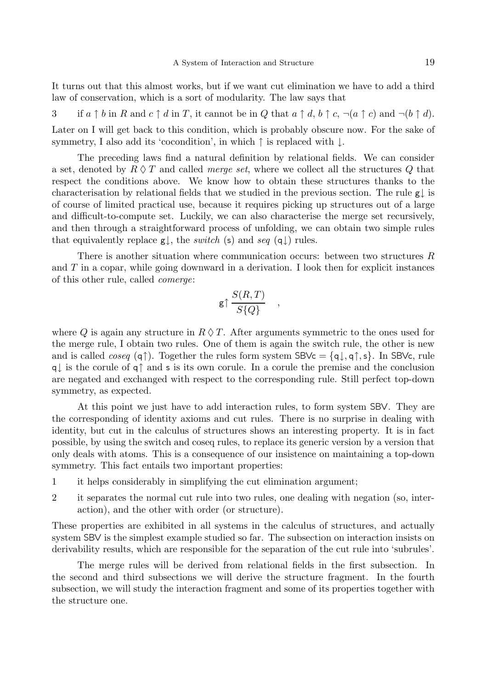It turns out that this almost works, but if we want cut elimination we have to add a third law of conservation, which is a sort of modularity. The law says that

3 if  $a \uparrow b$  in R and  $c \uparrow d$  in T, it cannot be in Q that  $a \uparrow d$ ,  $b \uparrow c$ ,  $\neg(a \uparrow c)$  and  $\neg(b \uparrow d)$ . Later on I will get back to this condition, which is probably obscure now. For the sake of symmetry, I also add its 'cocondition', in which  $\uparrow$  is replaced with  $\downarrow$ .

The preceding laws find a natural definition by relational fields. We can consider a set, denoted by  $R \Diamond T$  and called merge set, where we collect all the structures Q that respect the conditions above. We know how to obtain these structures thanks to the characterisation by relational fields that we studied in the previous section. The rule  $g\downarrow$  is of course of limited practical use, because it requires picking up structures out of a large and difficult-to-compute set. Luckily, we can also characterise the merge set recursively, and then through a straightforward process of unfolding, we can obtain two simple rules that equivalently replace  $g\downarrow$ , the *switch* (s) and seq (q $\downarrow$ ) rules.

There is another situation where communication occurs: between two structures R and T in a copar, while going downward in a derivation. I look then for explicit instances of this other rule, called comerge:

$$
\mathsf{g} \uparrow \frac{S(R,T)}{S\{Q\}} \quad ,
$$

where Q is again any structure in  $R \Diamond T$ . After arguments symmetric to the ones used for the merge rule, I obtain two rules. One of them is again the switch rule, the other is new and is called *coseq* (q<sup> $\uparrow$ </sup>). Together the rules form system SBVc = {q $\downarrow$ , q $\uparrow$ , s}. In SBVc, rule q↓ is the corule of q↑ and s is its own corule. In a corule the premise and the conclusion are negated and exchanged with respect to the corresponding rule. Still perfect top-down symmetry, as expected.

At this point we just have to add interaction rules, to form system SBV. They are the corresponding of identity axioms and cut rules. There is no surprise in dealing with identity, but cut in the calculus of structures shows an interesting property. It is in fact possible, by using the switch and coseq rules, to replace its generic version by a version that only deals with atoms. This is a consequence of our insistence on maintaining a top-down symmetry. This fact entails two important properties:

- 1 it helps considerably in simplifying the cut elimination argument;
- 2 it separates the normal cut rule into two rules, one dealing with negation (so, interaction), and the other with order (or structure).

These properties are exhibited in all systems in the calculus of structures, and actually system SBV is the simplest example studied so far. The subsection on interaction insists on derivability results, which are responsible for the separation of the cut rule into 'subrules'.

The merge rules will be derived from relational fields in the first subsection. In the second and third subsections we will derive the structure fragment. In the fourth subsection, we will study the interaction fragment and some of its properties together with the structure one.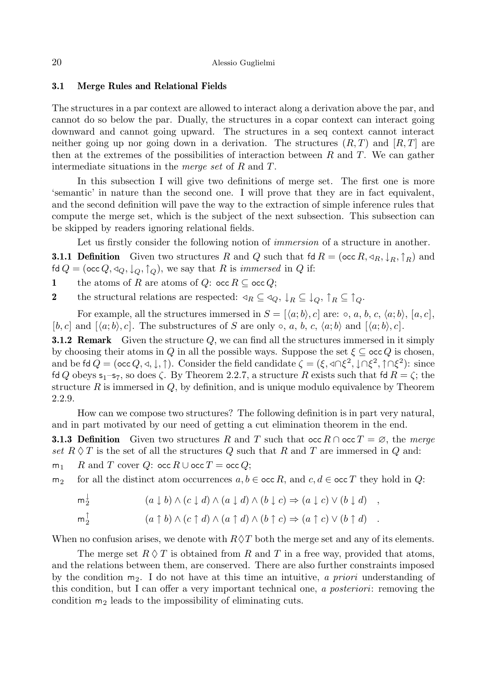# 3.1 Merge Rules and Relational Fields

The structures in a par context are allowed to interact along a derivation above the par, and cannot do so below the par. Dually, the structures in a copar context can interact going downward and cannot going upward. The structures in a seq context cannot interact neither going up nor going down in a derivation. The structures  $(R, T)$  and  $[R, T]$  are then at the extremes of the possibilities of interaction between  $R$  and  $T$ . We can gather intermediate situations in the merge set of R and T.

In this subsection I will give two definitions of merge set. The first one is more 'semantic' in nature than the second one. I will prove that they are in fact equivalent, and the second definition will pave the way to the extraction of simple inference rules that compute the merge set, which is the subject of the next subsection. This subsection can be skipped by readers ignoring relational fields.

Let us firstly consider the following notion of *immersion* of a structure in another. **3.1.1 Definition** Given two structures R and Q such that  $dR = (\text{occ } R, \triangleleft_R, \downarrow_R, \uparrow_R)$  and

 $\text{fd } Q = (\text{occ } Q, \triangleleft_Q, \downarrow_Q, \uparrow_Q),$  we say that R is *immersed* in Q if:

1 the atoms of R are atoms of Q: occ  $R \subseteq$  occ  $Q$ ;

2 the structural relations are respected:  $\triangleleft_R \subseteq \triangleleft_Q$ ,  $\downarrow_R \subseteq \downarrow_O$ ,  $\uparrow_R \subseteq \uparrow_O$ .

For example, all the structures immersed in  $S = [\langle a; b \rangle, c]$  are:  $\circ$ ,  $a$ ,  $b$ ,  $c$ ,  $\langle a; b \rangle$ ,  $[a, c]$ , [b, c] and  $\lbrack (a; b), c \rbrack$ . The substructures of S are only  $\circ$ , a, b, c,  $\langle a; b \rangle$  and  $\lbrack \langle a; b \rangle, c \rbrack$ .

**3.1.2 Remark** Given the structure  $Q$ , we can find all the structures immersed in it simply by choosing their atoms in Q in all the possible ways. Suppose the set  $\xi \subseteq \text{occ } Q$  is chosen, and be fd  $Q = (\text{occ } Q, \triangleleft, \downarrow, \uparrow)$ . Consider the field candidate  $\zeta = (\xi, \triangleleft \cap \xi^2, \downarrow \cap \xi^2, \uparrow \cap \xi^2)$ : since fd Q obeys  $s_1-s_7$ , so does  $\zeta$ . By Theorem 2.2.7, a structure R exists such that fd  $R = \zeta$ ; the structure R is immersed in  $Q$ , by definition, and is unique modulo equivalence by Theorem 2.2.9.

How can we compose two structures? The following definition is in part very natural, and in part motivated by our need of getting a cut elimination theorem in the end.

**3.1.3 Definition** Given two structures R and T such that  $\text{occ } R \cap \text{occ } T = \emptyset$ , the merge set  $R \lozenge T$  is the set of all the structures Q such that R and T are immersed in Q and:

m<sub>1</sub> R and T cover Q: occ R ∪ occ T = occ Q;

m<sub>2</sub> for all the distinct atom occurrences  $a, b \in \text{occ } R$ , and  $c, d \in \text{occ } T$  they hold in Q:

$$
\mathsf{m}_2^{\downarrow} \qquad \qquad (a \downarrow b) \land (c \downarrow d) \land (a \downarrow d) \land (b \downarrow c) \Rightarrow (a \downarrow c) \lor (b \downarrow d) \quad ,
$$

$$
\mathsf{m}_2^{\uparrow} \qquad \qquad (a \uparrow b) \land (c \uparrow d) \land (a \uparrow d) \land (b \uparrow c) \Rightarrow (a \uparrow c) \lor (b \uparrow d) \quad .
$$

When no confusion arises, we denote with  $R\Diamond T$  both the merge set and any of its elements.

The merge set  $R \Diamond T$  is obtained from R and T in a free way, provided that atoms, and the relations between them, are conserved. There are also further constraints imposed by the condition  $m_2$ . I do not have at this time an intuitive, a priori understanding of this condition, but I can offer a very important technical one, a posteriori: removing the condition  $m_2$  leads to the impossibility of eliminating cuts.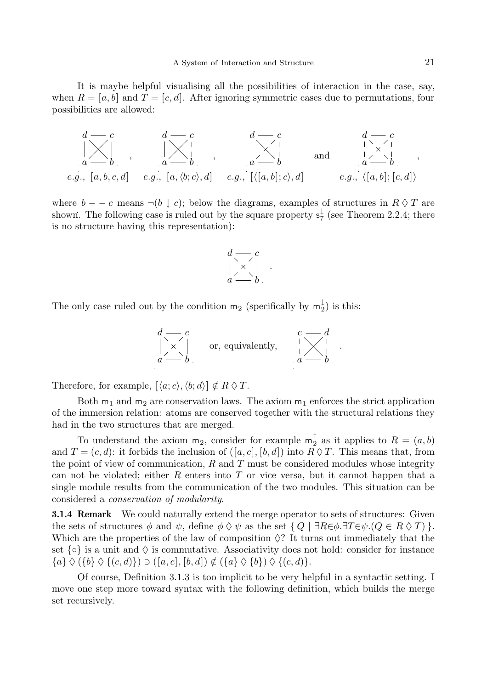It is maybe helpful visualising all the possibilities of interaction in the case, say, when  $R = [a, b]$  and  $T = [c, d]$ . After ignoring symmetric cases due to permutations, four possibilities are allowed:



where  $b - c$  means  $\neg (b \downarrow c)$ ; below the diagrams, examples of structures in  $R \Diamond T$  are shown. The following case is ruled out by the square property  $s_7^{\downarrow}$  $\frac{1}{7}$  (see Theorem 2.2.4; there is no structure having this representation):

$$
\begin{array}{c}\n d \longrightarrow c \\
 |\times| \\
 a \longrightarrow b\n\end{array}
$$

.

.

The only case ruled out by the condition  $m_2$  (specifically by  $m_2^{\downarrow}$  $_{2}^{\downarrow}$ ) is this:

$$
\begin{array}{ccc}\n d & \overbrace{\phantom{aa}}^c & c & \overbrace{\phantom{aa}}^d \\
 d & \xrightarrow{a} & b & \text{equivalently,} & & & \\
 & a & \xrightarrow{a} & b & & \\
 \end{array}
$$

Therefore, for example,  $\vert \langle a; c \rangle, \langle b; d \rangle \vert \notin R \Diamond T$ .

Both  $m_1$  and  $m_2$  are conservation laws. The axiom  $m_1$  enforces the strict application of the immersion relation: atoms are conserved together with the structural relations they had in the two structures that are merged.

To understand the axiom  $m_2$ , consider for example  $m_2^{\uparrow}$  $a_2^{\dagger}$  as it applies to  $R = (a, b)$ and  $T = (c, d)$ : it forbids the inclusion of  $([a, c], [b, d])$  into  $R \Diamond T$ . This means that, from the point of view of communication,  $R$  and  $T$  must be considered modules whose integrity can not be violated; either R enters into T or vice versa, but it cannot happen that a single module results from the communication of the two modules. This situation can be considered a conservation of modularity.

**3.1.4 Remark** We could naturally extend the merge operator to sets of structures: Given the sets of structures  $\phi$  and  $\psi$ , define  $\phi \Diamond \psi$  as the set  $\{Q \mid \exists R \in \phi \exists T \in \psi \ (Q \in R \Diamond T) \}$ . Which are the properties of the law of composition  $\Diamond$ ? It turns out immediately that the set  $\{\circ\}$  is a unit and  $\Diamond$  is commutative. Associativity does not hold: consider for instance  ${a} \ \ \Diamond \ (\{b\} \ \Diamond \ \{(c, d)\}) \ \ni \ ([a, c], [b, d]) \notin (\{a\} \ \Diamond \ \{b\}) \ \Diamond \ \{(c, d)\}.$ 

Of course, Definition 3.1.3 is too implicit to be very helpful in a syntactic setting. I move one step more toward syntax with the following definition, which builds the merge set recursively.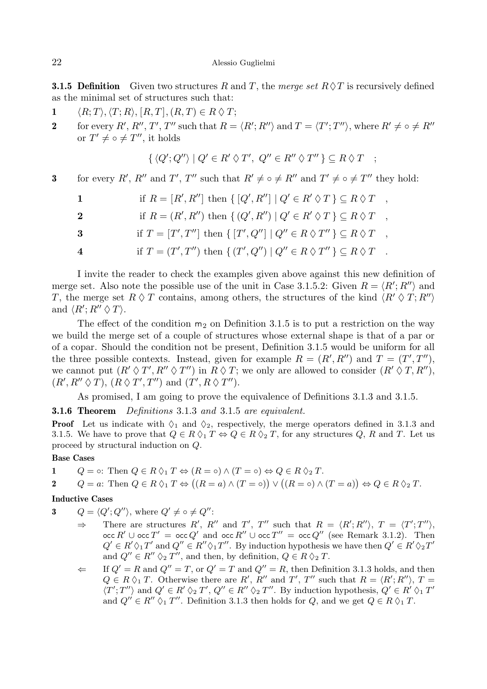**3.1.5 Definition** Given two structures R and T, the merge set  $R \Diamond T$  is recursively defined as the minimal set of structures such that:

- 1  $\langle R; T \rangle, \langle T; R \rangle, [R, T], (R, T) \in R \Diamond T;$
- 2 for every R', R'', T'' such that  $R = \langle R'; R'' \rangle$  and  $T = \langle T'; T'' \rangle$ , where  $R' \neq \in \mathbb{R}$ '' or  $T' \neq \circ \neq T''$ , it holds

$$
\{ \langle Q';Q'' \rangle \mid Q' \in R' \Diamond T', \ Q'' \in R'' \Diamond T'' \} \subseteq R \Diamond T \quad ;
$$

- 3 for every R', R'' and T', T'' such that  $R' \neq \circ \neq R''$  and  $T' \neq \circ \neq T''$  they hold:
	- 1 if  $R = [R', R'']$  then  $\{ [Q', R''] | Q' \in R' \Diamond T \} \subseteq R \Diamond T$ ,
	- 2 if  $R = (R', R'')$  then  $\{ (Q', R'') | Q' \in R' \Diamond T \} \subseteq R \Diamond T$ ,
	- 3 if  $T = [T', T'']$  then  $\{ [T', Q''] | Q'' \in R \land T'' \} \subseteq R \land T$ ,
	- 4 if  $T = (T', T'')$  then  $\{ (T', Q'') | Q'' \in R \land T'' \} \subseteq R \land T$ .

I invite the reader to check the examples given above against this new definition of merge set. Also note the possible use of the unit in Case 3.1.5.2: Given  $R = \langle R'; R'' \rangle$  and T, the merge set  $R \Diamond T$  contains, among others, the structures of the kind  $\langle R' \Diamond T; R'' \rangle$ and  $\langle R'; R'' \Diamond T \rangle$ .

The effect of the condition  $m_2$  on Definition 3.1.5 is to put a restriction on the way we build the merge set of a couple of structures whose external shape is that of a par or of a copar. Should the condition not be present, Definition 3.1.5 would be uniform for all the three possible contexts. Instead, given for example  $R = (R', R'')$  and  $T = (T', T'')$ , we cannot put  $(R' \Diamond T', R'' \Diamond T'')$  in  $R \Diamond T$ ; we only are allowed to consider  $(R' \Diamond T, R'')$ ,  $(R', R'' \lozenge T), (R \lozenge T', T'')$  and  $(T', R \lozenge T'')$ .

As promised, I am going to prove the equivalence of Definitions 3.1.3 and 3.1.5.

**3.1.6 Theorem** Definitions 3.1.3 and 3.1.5 are equivalent.

**Proof** Let us indicate with  $\Diamond_1$  and  $\Diamond_2$ , respectively, the merge operators defined in 3.1.3 and 3.1.5. We have to prove that  $Q \in R \Diamond_1 T \Leftrightarrow Q \in R \Diamond_2 T$ , for any structures Q, R and T. Let us proceed by structural induction on Q.

#### Base Cases

1  $Q = \circ$ : Then  $Q \in R \land_1 T \Leftrightarrow (R = \circ) \land (T = \circ) \Leftrightarrow Q \in R \land_2 T$ .

2  $Q = a$ : Then  $Q \in R \otimes_1 T \Leftrightarrow ((R = a) \wedge (T = \circ)) \vee ((R = \circ) \wedge (T = a)) \Leftrightarrow Q \in R \otimes_2 T$ .

## Inductive Cases

3  $Q = \langle Q'; Q'' \rangle$ , where  $Q' \neq \circ \neq Q''$ :

- $\Rightarrow$  There are structures R', R'' and T', T'' such that  $R = \langle R'; R'' \rangle$ ,  $T = \langle T'; T'' \rangle$ , occ  $R' \cup$  occ  $T' \,=\,$  occ  $Q' \,$  and  $\,$  occ  $R'' \cup$  occ  $T'' \,=\,$  occ  $Q'' \,$  (see  $\, {\rm Remark} \,\, 3.1.2) . \,\,\,$  Then  $Q' \in R' \Diamond_1 T'$  and  $Q'' \in R'' \Diamond_1 T''$ . By induction hypothesis we have then  $Q' \in R' \Diamond_2 T'$ and  $Q'' \in R'' \otimes_2 T''$ , and then, by definition,  $Q \in R \otimes_2 T$ .
- $\Leftarrow$  If  $Q' = R$  and  $Q'' = T$ , or  $Q' = T$  and  $Q'' = R$ , then Definition 3.1.3 holds, and then  $Q \in R \lozenge_1 T$ . Otherwise there are R', R'' and T', T'' such that  $R = \langle R'; R'' \rangle$ ,  $T =$  $\langle T';T'' \rangle$  and  $Q' \in R' \otimes T', Q'' \in R'' \otimes T''$ . By induction hypothesis,  $Q' \in R' \otimes T''$ and  $Q'' \in R'' \otimes_1 T''$ . Definition 3.1.3 then holds for Q, and we get  $Q \in R \otimes_1 T$ .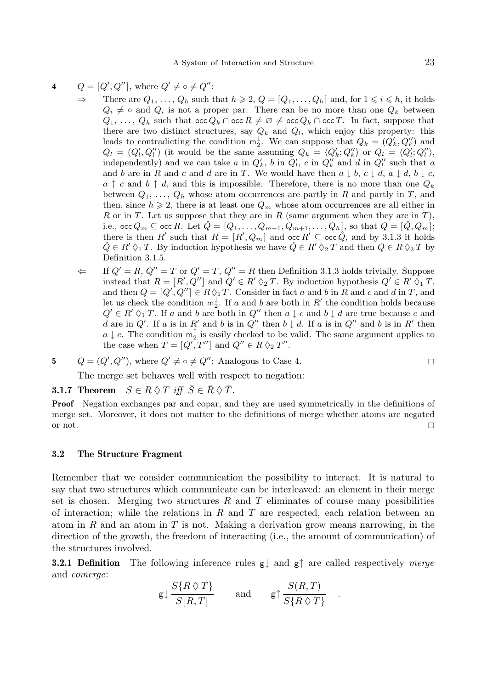- 4  $Q = [Q', Q'']$ , where  $Q' \neq \circ \neq Q''$ :
	- There are  $Q_1, \ldots, Q_h$  such that  $h \geq 2, Q = [Q_1, \ldots, Q_h]$  and, for  $1 \leq i \leq h$ , it holds  $Q_i \neq o$  and  $Q_i$  is not a proper par. There can be no more than one  $Q_k$  between  $Q_1, \ldots, Q_h$  such that  $\operatorname{occ} Q_k \cap \operatorname{occ} R \neq \emptyset \neq \operatorname{occ} Q_k \cap \operatorname{occ} T$ . In fact, suppose that there are two distinct structures, say  $Q_k$  and  $Q_l$ , which enjoy this property: this leads to contradicting the condition  $m_2^{\downarrow}$ . We can suppose that  $Q_k = (Q'_k, Q''_k)$  and  $Q_l = (Q'_l, Q''_l)$  (it would be the same assuming  $Q_k = \langle Q'_k; Q''_k \rangle$  or  $Q_l = \langle Q'_l; Q''_l \rangle$ , independently) and we can take a in  $Q'_k$ , b in  $Q'_l$ , c in  $Q''_k$  and d in  $Q''_l$  such that a and b are in R and c and d are in T. We would have then  $a \downarrow b$ ,  $c \downarrow d$ ,  $a \downarrow d$ ,  $b \downarrow c$ ,  $a \uparrow c$  and  $b \uparrow d$ , and this is impossible. Therefore, there is no more than one  $Q_k$ between  $Q_1, \ldots, Q_h$  whose atom occurrences are partly in R and partly in T, and then, since  $h \geq 2$ , there is at least one  $Q_m$  whose atom occurrences are all either in R or in T. Let us suppose that they are in R (same argument when they are in T), i.e., occ  $Q_m \subseteq$  occ R. Let  $\hat{Q} = [Q_1, \ldots, Q_{m-1}, Q_{m+1}, \ldots, Q_h]$ , so that  $Q = [\hat{Q}, Q_m]$ ; there is then R' such that  $R = [R', Q_m]$  and  $\operatorname{occ} R' \subseteq \operatorname{occ} \hat{Q}$ , and by 3.1.3 it holds  $\hat{Q} \in R' \hat{Q}_1 T$ . By induction hypothesis we have  $\hat{Q} \in R' \hat{Q}_2 T$  and then  $Q \in R \hat{Q}_2 T$  by Definition 3.1.5.
	- $\Leftarrow$  If  $Q' = R$ ,  $Q'' = T$  or  $Q' = T$ ,  $Q'' = R$  then Definition 3.1.3 holds trivially. Suppose instead that  $R = [R', Q'']$  and  $Q' \in R' \otimes_2 T$ . By induction hypothesis  $Q' \in R' \otimes_1 T$ , and then  $Q = [Q', Q''] \in R \, \Diamond_1 T$ . Consider in fact a and b in R and c and d in T, and let us check the condition  $m_2^{\downarrow}$ . If a and b are both in R' the condition holds because  $Q' \in R' \diamondsuit_1 T$ . If a and b are both in  $Q''$  then a  $\downarrow c$  and b  $\downarrow d$  are true because c and d are in Q'. If a is in R' and b is in Q'' then  $b \downarrow d$ . If a is in Q'' and b is in R' then  $a \downarrow c$ . The condition  $m_2^{\uparrow}$  is easily checked to be valid. The same argument applies to the case when  $T = [Q', T'']$  and  $Q'' \in R \, \Diamond_2 T''$ .
- 5  $Q = (Q', Q'')$ , where  $Q' \neq \infty \neq Q''$ : Analogous to Case 4.

The merge set behaves well with respect to negation:

**3.1.7** Theorem  $S \in R \Diamond T$  iff  $\overline{S} \in \overline{R} \Diamond \overline{T}$ .

**Proof** Negation exchanges par and copar, and they are used symmetrically in the definitions of merge set. Moreover, it does not matter to the definitions of merge whether atoms are negated or not.  $\Box$ 

# 3.2 The Structure Fragment

Remember that we consider communication the possibility to interact. It is natural to say that two structures which communicate can be interleaved: an element in their merge set is chosen. Merging two structures  $R$  and  $T$  eliminates of course many possibilities of interaction; while the relations in R and T are respected, each relation between an atom in R and an atom in T is not. Making a derivation grow means narrowing, in the direction of the growth, the freedom of interacting (i.e., the amount of communication) of the structures involved.

**3.2.1 Definition** The following inference rules  $g\downarrow$  and  $g\uparrow$  are called respectively merge and comerge:

$$
g \downarrow \frac{S\{R \lozenge T\}}{S[R, T]}
$$
 and  $g \uparrow \frac{S(R, T)}{S\{R \lozenge T\}}$ 

.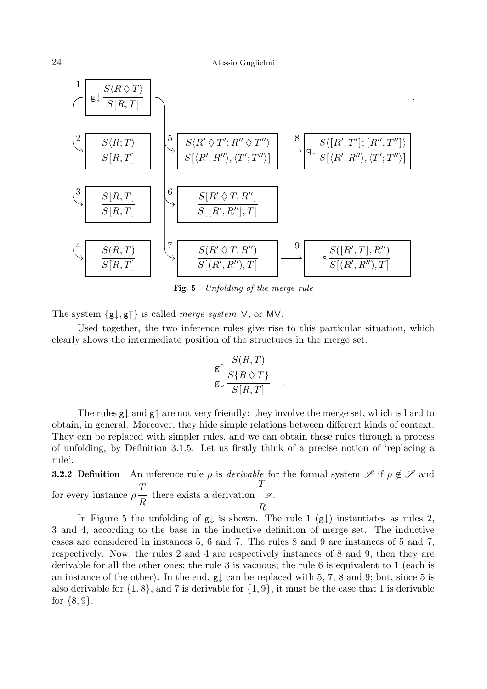

Fig. 5 Unfolding of the merge rule

The system  $\{g\downarrow, g\uparrow\}$  is called *merge system*  $\vee$ , or M $\vee$ .

Used together, the two inference rules give rise to this particular situation, which clearly shows the intermediate position of the structures in the merge set:

$$
\mathsf{g} \uparrow \frac{S(R,T)}{S\{R \lozenge T\}} \quad .
$$

The rules  $g\downarrow$  and  $g\uparrow$  are not very friendly: they involve the merge set, which is hard to obtain, in general. Moreover, they hide simple relations between different kinds of context. They can be replaced with simpler rules, and we can obtain these rules through a process of unfolding, by Definition 3.1.5. Let us firstly think of a precise notion of 'replacing a rule'.

**3.2.2 Definition** An inference rule  $\rho$  is *derivable* for the formal system  $\mathscr S$  if  $\rho \notin \mathscr S$  and for every instance T ρ R there exists a derivation T R  $\mathscr{S}.$ 

In Figure 5 the unfolding of  $g\downarrow$  is shown. The rule 1  $(g\downarrow)$  instantiates as rules 2, 3 and 4, according to the base in the inductive definition of merge set. The inductive cases are considered in instances 5, 6 and 7. The rules 8 and 9 are instances of 5 and 7, respectively. Now, the rules 2 and 4 are respectively instances of 8 and 9, then they are derivable for all the other ones; the rule 3 is vacuous; the rule 6 is equivalent to 1 (each is an instance of the other). In the end,  $g\downarrow$  can be replaced with 5, 7, 8 and 9; but, since 5 is also derivable for  $\{1, 8\}$ , and 7 is derivable for  $\{1, 9\}$ , it must be the case that 1 is derivable for  $\{8, 9\}.$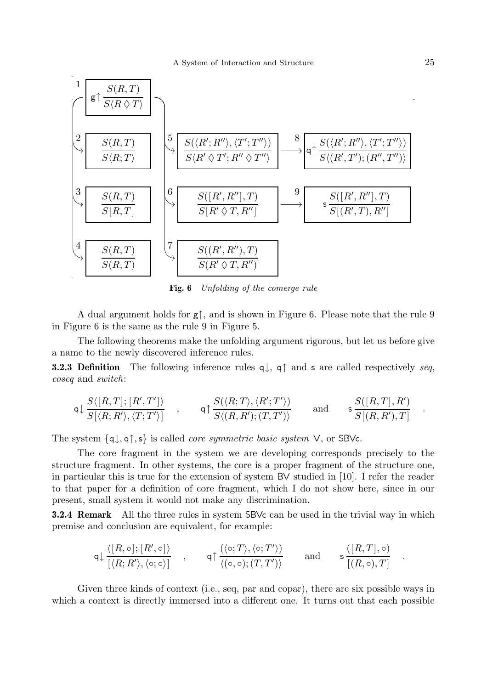

Fig. 6 Unfolding of the comerge rule

A dual argument holds for g↑, and is shown in Figure 6. Please note that the rule 9 in Figure 6 is the same as the rule 9 in Figure 5.

The following theorems make the unfolding argument rigorous, but let us before give a name to the newly discovered inference rules.

**3.2.3 Definition** The following inference rules  $q\downarrow$ ,  $q\uparrow$  and s are called respectively seq. coseq and switch:

$$
\mathsf{q} \downarrow \frac{S\langle [R,T]; [R',T'] \rangle}{S[\langle R;R'\rangle,\langle T;T'\rangle]}\quad,\qquad \mathsf{q} \uparrow \frac{S(\langle R;T\rangle,\langle R';T'\rangle)}{S\langle (R,R');(T,T')\rangle} \qquad\text{and}\qquad \mathsf{s}\frac{S([R,T],R')}{S[(R,R'),T]}
$$

The system  $\{q\}, q\uparrow, s\}$  is called *core symmetric basic system*  $\vee$ , or SBVc.

The core fragment in the system we are developing corresponds precisely to the structure fragment. In other systems, the core is a proper fragment of the structure one, in particular this is true for the extension of system BV studied in [10]. I refer the reader to that paper for a definition of core fragment, which I do not show here, since in our present, small system it would not make any discrimination.

**3.2.4 Remark** All the three rules in system SBVc can be used in the trivial way in which premise and conclusion are equivalent, for example:

$$
\mathsf{q} \downarrow \frac{\langle [R, \circ]; [R', \circ] \rangle}{[\langle R; R' \rangle, \langle \circ; \circ \rangle]} \quad , \qquad \mathsf{q} \uparrow \frac{(\langle \circ; T \rangle, \langle \circ; T' \rangle)}{\langle (\circ, \circ); (T, T') \rangle} \qquad \text{and} \qquad \mathsf{s} \frac{([R, T], \circ)}{[(R, \circ), T]}
$$

Given three kinds of context (i.e., seq, par and copar), there are six possible ways in which a context is directly immersed into a different one. It turns out that each possible

.

.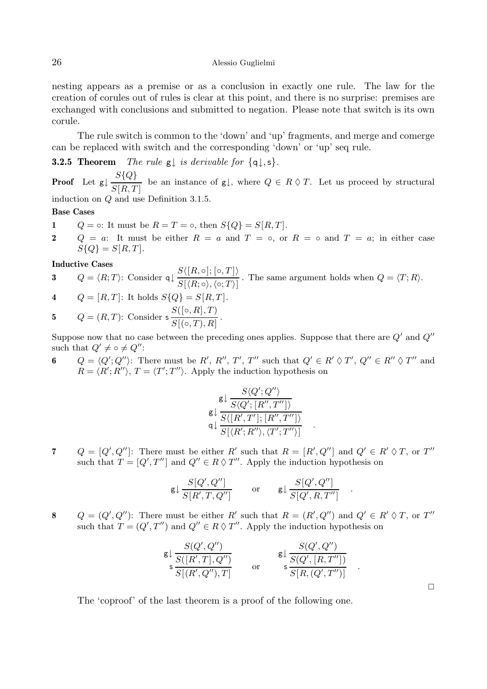nesting appears as a premise or as a conclusion in exactly one rule. The law for the creation of corules out of rules is clear at this point, and there is no surprise: premises are exchanged with conclusions and submitted to negation. Please note that switch is its own corule.

The rule switch is common to the 'down' and 'up' fragments, and merge and comerge can be replaced with switch and the corresponding 'down' or 'up' seq rule.

**3.2.5 Theorem** The rule  $g \downarrow$  is derivable for  $\{q \downarrow, s\}.$ 

Proof Let  $S\{Q\}$ g↓  $S[R, T]$ be an instance of  $g\downarrow$ , where  $Q \in R \land T$ . Let us proceed by structural induction on Q and use Definition 3.1.5.

Base Cases

- 1  $Q = \circ$ : It must be  $R = T = \circ$ , then  $S\{Q\} = S[R, T]$ .
- 2 Q = a: It must be either  $R = a$  and  $T = \circ$ , or  $R = \circ$  and  $T = a$ ; in either case  $S\{Q\} = S[R, T].$

Inductive Cases

3 
$$
Q = \langle R; T \rangle
$$
: Consider  $\mathsf{q} \downarrow \frac{S\langle [R, \circ]; [\circ, T] \rangle}{S[\langle R; \circ \rangle, \langle \circ; T \rangle]}$ . The same argument holds when  $Q = \langle T; R \rangle$ .

- 4  $Q = [R, T]$ : It holds  $S\{Q\} = S[R, T]$ .
- 5  $Q = (R, T)$ : Consider s  $\frac{S([\circ,R],T)}{S^{K}(\mathbb{R}^n,\mathbb{R}^n)}$  $S[(\circ,T),R]$ .

Suppose now that no case between the preceding ones applies. Suppose that there are  $Q'$  and  $Q''$ such that  $Q' \neq \circ \neq Q''$ :

6  $Q = \langle Q'; Q'' \rangle$ : There must be R', R'', T'', T'' such that  $Q' \in R' \otimes T'$ ,  $Q'' \in R'' \otimes T''$  and  $R = \langle R'; R'' \rangle$ ,  $T = \langle T'; T'' \rangle$ . Apply the induction hypothesis on

$$
\mathrm{g} \!\downarrow \frac{S\langle Q';Q''\rangle}{S\langle Q';[R'',T'']\rangle} \mathrm{g} \!\downarrow \frac{S\langle [R',T'] ; [R'',T'']\rangle}{S\langle [R';R''\rangle,\langle T';T''\rangle)} \quad .
$$

7  $Q = [Q', Q'']$ : There must be either R' such that  $R = [R', Q'']$  and  $Q' \in R' \otimes T$ , or T'' such that  $T = [Q', T'']$  and  $Q'' \in R \land T''$ . Apply the induction hypothesis on

$$
\mathsf{gl} \; \frac{S[Q',Q'']}{S[R',T,Q'']} \qquad \text{or} \qquad \mathsf{gl} \; \frac{S[Q',Q'']}{S[Q',R,T'']} \quad .
$$

8  $Q = (Q', Q'')$ : There must be either R' such that  $R = (R', Q'')$  and  $Q' \in R' \otimes T$ , or T'' such that  $T = (Q', T'')$  and  $Q'' \in R \land T''$ . Apply the induction hypothesis on

$$
\mathsf{g} \downarrow \frac{S(Q',Q'')}{S([R',T],Q'')} \qquad \qquad \mathsf{g} \downarrow \frac{S(Q',Q'')}{S(Q',[R,T''])} \quad \mathsf{or} \qquad \frac{\mathsf{g} \downarrow}{S[R,(Q',T'')]}\quad .
$$

The 'coproof' of the last theorem is a proof of the following one.

 $\Box$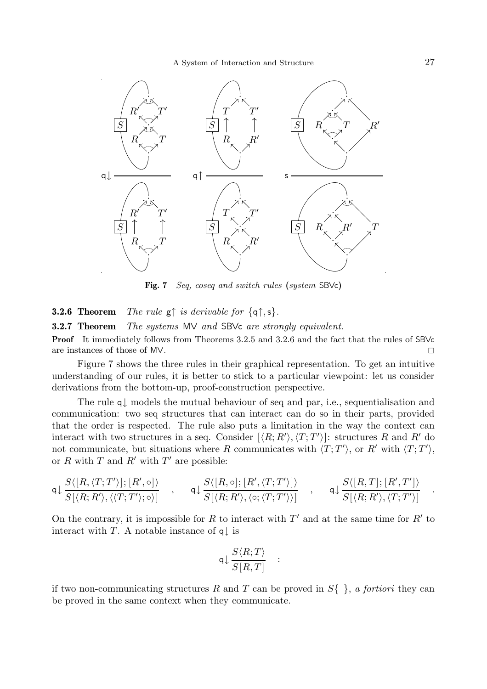

Fig. 7 Seq, coseq and switch rules (system SBVc)

# **3.2.6 Theorem** The rule  $g \uparrow$  is derivable for  $\{g \uparrow, s\}.$

**3.2.7 Theorem** The systems MV and SBVc are strongly equivalent.

Proof It immediately follows from Theorems 3.2.5 and 3.2.6 and the fact that the rules of SBVc are instances of those of MV.

Figure 7 shows the three rules in their graphical representation. To get an intuitive understanding of our rules, it is better to stick to a particular viewpoint: let us consider derivations from the bottom-up, proof-construction perspective.

The rule q↓ models the mutual behaviour of seq and par, i.e., sequentialisation and communication: two seq structures that can interact can do so in their parts, provided that the order is respected. The rule also puts a limitation in the way the context can interact with two structures in a seq. Consider  $[\langle R; R'\rangle, \langle T; T'\rangle]$ : structures R and R' do not communicate, but situations where R communicates with  $\langle T; T' \rangle$ , or R' with  $\langle T; T' \rangle$ , or R with T and R' with T' are possible:

$$
\mathsf{q} \downarrow \frac{S\langle [R, \langle T; T'\rangle]; [R', \circ]\rangle}{S[\langle R; R'\rangle, \langle\langle T; T'\rangle; \circ\rangle]} \quad , \quad \mathsf{q} \downarrow \frac{S\langle [R, \circ]; [R', \langle T; T'\rangle]\rangle}{S[\langle R; R'\rangle, \langle \circ; \langle T; T'\rangle\rangle]} \quad , \quad \mathsf{q} \downarrow \frac{S\langle [R, T]; [R', T']\rangle}{S[\langle R; R'\rangle, \langle T; T'\rangle]} \quad .
$$

On the contrary, it is impossible for R to interact with  $T'$  and at the same time for R' to interact with T. A notable instance of  $q \downarrow$  is

$$
\mathsf{q} \downarrow \frac{S\langle R;T\rangle}{S[R,T]} \quad :
$$

if two non-communicating structures R and T can be proved in  $S\{\}$ , a fortiori they can be proved in the same context when they communicate.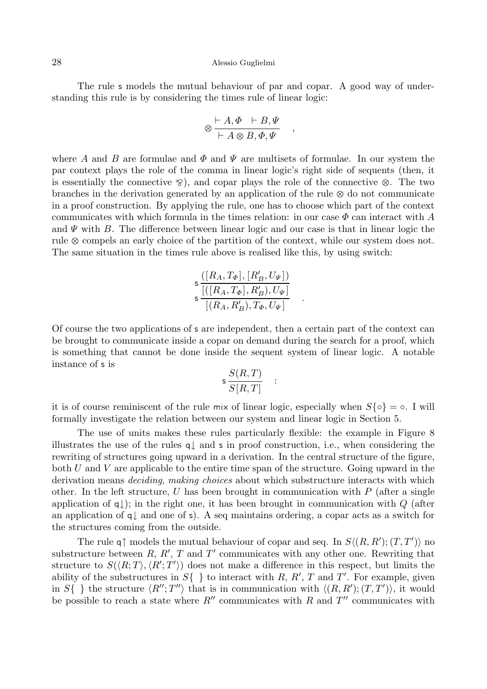#### 28 Alessio Guglielmi

The rule s models the mutual behaviour of par and copar. A good way of understanding this rule is by considering the times rule of linear logic:

$$
\otimes \frac{\vdash A, \varPhi \quad \vdash B, \varPsi}{\vdash A \otimes B, \varPhi, \varPsi}
$$

,

where A and B are formulae and  $\Phi$  and  $\Psi$  are multisets of formulae. In our system the par context plays the role of the comma in linear logic's right side of sequents (then, it is essentially the connective  $\otimes$ , and copar plays the role of the connective  $\otimes$ . The two branches in the derivation generated by an application of the rule  $\otimes$  do not communicate in a proof construction. By applying the rule, one has to choose which part of the context communicates with which formula in the times relation: in our case  $\Phi$  can interact with A and  $\Psi$  with B. The difference between linear logic and our case is that in linear logic the rule  $\otimes$  compels an early choice of the partition of the context, while our system does not. The same situation in the times rule above is realised like this, by using switch:

$$
\frac{\varsigma\left([R_A, T_{\Phi}], [R'_B, U_{\Psi}]\right)}{\varsigma\left[\left([R_A, T_{\Phi}], R'_B], U_{\Psi}\right]}\n\right. \n\frac{\varsigma\left[\left([R_A, T_{\Phi}], R'_B], U_{\Psi}\right]\right)}{\left[(R_A, R'_B), T_{\Phi}, U_{\Psi}\right]}.
$$

Of course the two applications of s are independent, then a certain part of the context can be brought to communicate inside a copar on demand during the search for a proof, which is something that cannot be done inside the sequent system of linear logic. A notable instance of s is

$$
\mathsf{s} \, \frac{S(R,T)}{S[R,T]} \quad :
$$

it is of course reminiscent of the rule mix of linear logic, especially when  $S\{\circ\} = \circ$ . I will formally investigate the relation between our system and linear logic in Section 5.

The use of units makes these rules particularly flexible: the example in Figure 8 illustrates the use of the rules q↓ and s in proof construction, i.e., when considering the rewriting of structures going upward in a derivation. In the central structure of the figure, both U and V are applicable to the entire time span of the structure. Going upward in the derivation means *deciding*, making choices about which substructure interacts with which other. In the left structure, U has been brought in communication with  $P$  (after a single application of  $q\downarrow$ ); in the right one, it has been brought in communication with Q (after an application of q↓ and one of s). A seq maintains ordering, a copar acts as a switch for the structures coming from the outside.

The rule  $\mathsf{q}\uparrow$  models the mutual behaviour of copar and seq. In  $S\langle (R, R'); (T, T')\rangle$  no substructure between  $R, R', T$  and  $T'$  communicates with any other one. Rewriting that structure to  $S(\langle R; T \rangle, \langle R'; T' \rangle)$  does not make a difference in this respect, but limits the ability of the substructures in  $S\{\}\$  to interact with R, R', T and T'. For example, given in S{ } the structure  $\langle R''; T'' \rangle$  that is in communication with  $\langle (R, R'); (T, T') \rangle$ , it would be possible to reach a state where  $R''$  communicates with R and T'' communicates with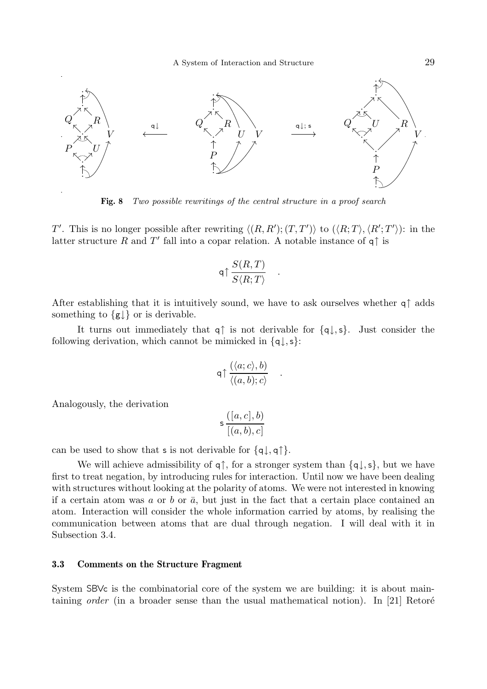

Fig. 8 Two possible rewritings of the central structure in a proof search

T'. This is no longer possible after rewriting  $\langle (R, R'); (T, T') \rangle$  to  $(\langle R; T \rangle, \langle R'; T' \rangle)$ : in the latter structure R and T' fall into a copar relation. A notable instance of  $q \uparrow$  is

$$
\mathsf{q} \mathop{\uparrow} \frac{S(R,T)}{S\langle R;T\rangle}
$$

.

.

After establishing that it is intuitively sound, we have to ask ourselves whether q↑ adds something to  $\{g\}\$  or is derivable.

It turns out immediately that  $\varphi \uparrow$  is not derivable for  $\{\varphi \downarrow, s\}$ . Just consider the following derivation, which cannot be mimicked in  $\{q\}, s\}$ :

$$
\mathsf{q} \!\uparrow\! \frac{(\langle a;c \rangle,b)}{\langle (a,b);c \rangle}
$$

Analogously, the derivation

$$
\mathsf{s}\,\frac{([a,c],b)}{[(a,b),c]}
$$

can be used to show that s is not derivable for  $\{q \mid, q \uparrow\}.$ 

We will achieve admissibility of  $\mathsf{q}\uparrow$ , for a stronger system than  $\{\mathsf{q}\downarrow,\mathsf{s}\}\,$ , but we have first to treat negation, by introducing rules for interaction. Until now we have been dealing with structures without looking at the polarity of atoms. We were not interested in knowing if a certain atom was a or b or  $\bar{a}$ , but just in the fact that a certain place contained an atom. Interaction will consider the whole information carried by atoms, by realising the communication between atoms that are dual through negation. I will deal with it in Subsection 3.4.

### 3.3 Comments on the Structure Fragment

System SBVc is the combinatorial core of the system we are building: it is about maintaining *order* (in a broader sense than the usual mathematical notion). In [21] Retore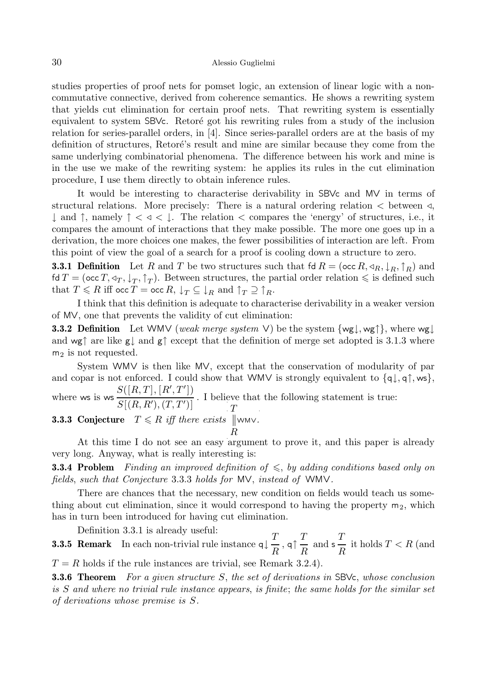#### 30 Alessio Guglielmi

studies properties of proof nets for pomset logic, an extension of linear logic with a noncommutative connective, derived from coherence semantics. He shows a rewriting system that yields cut elimination for certain proof nets. That rewriting system is essentially equivalent to system SBVc. Retoré got his rewriting rules from a study of the inclusion relation for series-parallel orders, in [4]. Since series-parallel orders are at the basis of my definition of structures, Retoré's result and mine are similar because they come from the same underlying combinatorial phenomena. The difference between his work and mine is in the use we make of the rewriting system: he applies its rules in the cut elimination procedure, I use them directly to obtain inference rules.

It would be interesting to characterise derivability in SBVc and MV in terms of structural relations. More precisely: There is a natural ordering relation  $\lt$  between  $\triangleleft$ ,  $\downarrow$  and  $\uparrow$ , namely  $\uparrow$  <  $\triangleleft$  <  $\downarrow$ . The relation < compares the 'energy' of structures, i.e., it compares the amount of interactions that they make possible. The more one goes up in a derivation, the more choices one makes, the fewer possibilities of interaction are left. From this point of view the goal of a search for a proof is cooling down a structure to zero.

**3.3.1 Definition** Let R and T be two structures such that  $dR = (\text{occ } R, \triangleleft_R, \downarrow_R, \uparrow_R)$  and  $\mathsf{fd}\,T = (\mathsf{occ}\,T, \triangleleft_T, \mathsf{f}_T)$ . Between structures, the partial order relation  $\leqslant$  is defined such that  $T \le R$  iff occ  $T = \text{occ } R$ ,  $\downarrow_T \subseteq \downarrow_R$  and  $\uparrow_T \supseteq \uparrow_R$ .

I think that this definition is adequate to characterise derivability in a weaker version of MV , one that prevents the validity of cut elimination:

**3.3.2 Definition** Let WMV (weak merge system V) be the system  $\{wg \}$ , wg $\uparrow$ , where wg and wg↑ are like g↓ and g↑ except that the definition of merge set adopted is 3.1.3 where  $m_2$  is not requested.

System WMV is then like MV , except that the conservation of modularity of par and copar is not enforced. I could show that WMV is strongly equivalent to  $\{q\}, q\uparrow, \mathsf{ws}\},\$  $S([R, T], [R', T'])$ 

where ws is ws  $\frac{S({}^{120},-1;1,-1)}{S[(R,R'),(T,T')]}$ . I believe that the following statement is true: T

**3.3.3 Conjecture** 
$$
T \leq R
$$
 *iff there exists*  $\parallel$   $\text{WMV}$ .

At this time I do not see an easy argument to prove it, and this paper is already very long. Anyway, what is really interesting is:

**3.3.4 Problem** Finding an improved definition of  $\leq$ , by adding conditions based only on fields, such that Conjecture 3.3.3 holds for MV , instead of WMV .

There are chances that the necessary, new condition on fields would teach us something about cut elimination, since it would correspond to having the property  $m_2$ , which has in turn been introduced for having cut elimination.

Definition 3.3.1 is already useful: **3.3.5 Remark** In each non-trivial rule instance T q↓ R , T q↑ R and T s R it holds  $T < R$  (and  $T = R$  holds if the rule instances are trivial, see Remark 3.2.4).

**3.3.6 Theorem** For a given structure  $S$ , the set of derivations in SBVc, whose conclusion is S and where no trivial rule instance appears, is finite; the same holds for the similar set of derivations whose premise is S.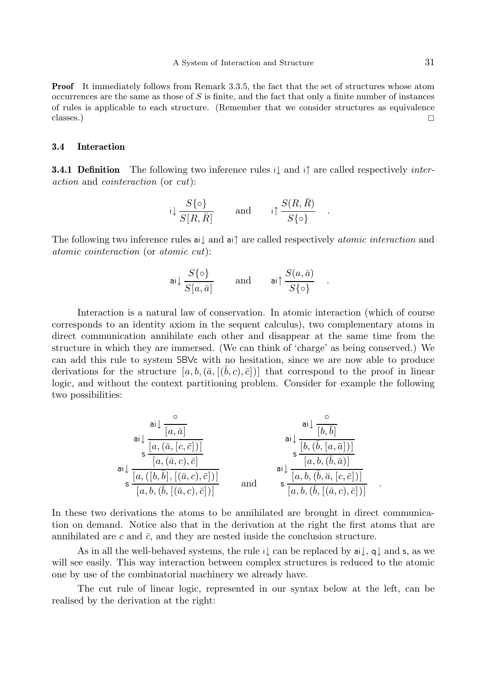Proof It immediately follows from Remark 3.3.5, the fact that the set of structures whose atom occurrences are the same as those of  $S$  is finite, and the fact that only a finite number of instances of rules is applicable to each structure. (Remember that we consider structures as equivalence classes.)

# 3.4 Interaction

**3.4.1 Definition** The following two inference rules i↓ and i↑ are called respectively *inter*action and cointeraction (or cut):

$$
\mathrm{i} \!\downarrow \frac{S\{\circ\}}{S[R,\bar{R}]} \qquad \text{and} \qquad \mathrm{i} \!\uparrow \frac{S(R,\bar{R})}{S\{\circ\}}
$$

.

.

The following two inference rules ai  $\downarrow$  and ai $\uparrow$  are called respectively *atomic interaction* and atomic cointeraction (or atomic cut):

$$
\mathsf{ai}\downarrow \frac{S\{\circ\}}{S[a,\bar{a}]} \qquad \text{and} \qquad \mathsf{ai}\uparrow \frac{S(a,\bar{a})}{S\{\circ\}}
$$

Interaction is a natural law of conservation. In atomic interaction (which of course corresponds to an identity axiom in the sequent calculus), two complementary atoms in direct communication annihilate each other and disappear at the same time from the structure in which they are immersed. (We can think of 'charge' as being conserved.) We can add this rule to system SBVc with no hesitation, since we are now able to produce derivations for the structure  $[a, b, (\bar{a}, [(\bar{b}, c), \bar{c}])]$  that correspond to the proof in linear logic, and without the context partitioning problem. Consider for example the following two possibilities:

$$
\mathsf{ai}\downarrow \frac{\circ}{[a,\bar{a}]} \\\mathsf{ai}\downarrow \frac{\circ}{[\underline{a},\bar{a}]} \\\mathsf{ai}\downarrow \frac{\circ}{[\underline{a},(\bar{a},[c,\bar{c}])]}\n\mathsf{ai}\downarrow \frac{\circ}{[\underline{b},\bar{b}]}\n\mathsf{ai}\downarrow \frac{\circ}{[\underline{b},\bar{b}]}\n\mathsf{ai}\downarrow \frac{\circ}{[\underline{b},\bar{b}]}\n\mathsf{ai}\downarrow \frac{\circ}{[\underline{b},\bar{b}]} \\\mathsf{ai}\downarrow \frac{\circ}{[\underline{a},(\bar{b},(\bar{a},c),\bar{c}])]} \\\mathsf{ai}\downarrow \frac{\circ}{[\underline{a},b,(\bar{b},[\bar{a},c),\bar{c}])]} \\\mathsf{and} \\\mathsf{s}\downarrow \frac{\circ}{[\underline{a},b,(\bar{b},\bar{a},[c,\bar{c}])]}\n\mathsf{and} \\\mathsf{s}\downarrow \frac{\circ}{[\underline{a},b,(\bar{b},\bar{a},[c,\bar{c}])]} \\\mathsf{s}\downarrow \frac{\circ}{[\underline{a},b,(\bar{b},\bar{a},[c,\bar{c}])]} \\\mathsf{and} \\\mathsf{s}\downarrow \frac{\circ}{[\underline{a},\underline{b},(\bar{b},[\bar{a},c),\bar{c}]})} \\\mathsf{and} \\\mathsf{s}\downarrow \frac{\circ}{[\underline{a},\underline{b},(\bar{b},[\bar{a},c),\bar{c}]})} \\\mathsf{and} \\\mathsf{s}\downarrow \frac{\circ}{[\underline{a},\underline{b},(\bar{b},[\bar{a},c),\bar{c}]})} \\\mathsf{and} \\\mathsf{s}\downarrow \frac{\circ}{[\underline{a},\underline{b},(\bar{b},[\bar{a},c),\bar{c}]})} \\\mathsf{and} \\\mathsf{s}\downarrow \frac{\circ}{[\underline{a},\underline{b},(\bar{b},[\bar{a},c),\bar{c}]})} \\\mathsf{s}\downarrow \frac{\circ}{[\underline{a},\underline{b},(\bar{b},[\bar{a},c),\bar{c}]})} \\\mathsf{s}\downarrow \frac{\circ}{[\underline{a},\underline{b},(\bar{b},[\bar{a},c),\bar{c}]})} \\\mathsf{s}\downarrow \frac{\circ}{[\underline{a},\underline{b},(\bar{b},[\bar{a},\bar{c})])} \\\math
$$

In these two derivations the atoms to be annihilated are brought in direct communication on demand. Notice also that in the derivation at the right the first atoms that are annihilated are c and  $\bar{c}$ , and they are nested inside the conclusion structure.

As in all the well-behaved systems, the rule  $\iota \downarrow$  can be replaced by ai $\downarrow$ , q $\downarrow$  and s, as we will see easily. This way interaction between complex structures is reduced to the atomic one by use of the combinatorial machinery we already have.

The cut rule of linear logic, represented in our syntax below at the left, can be realised by the derivation at the right: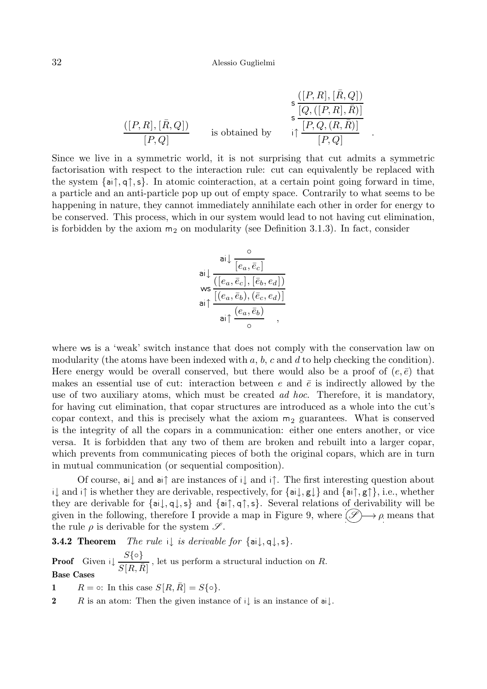$$
\frac{([P,R],[\bar{R},Q])}{[P,Q]}\qquad \text{is obtained by}\qquad \begin{array}{c}\n\mathsf{s}\frac{([P,R],[\bar{R},Q])}{[Q,([P,R],\bar{R})]} \\
\mathsf{s}\frac{[Q,([P,R],\bar{R})]}{[P,Q]}\n\end{array}.
$$

Since we live in a symmetric world, it is not surprising that cut admits a symmetric factorisation with respect to the interaction rule: cut can equivalently be replaced with the system  $\{a \uparrow, q \uparrow, s\}$ . In atomic cointeraction, at a certain point going forward in time, a particle and an anti-particle pop up out of empty space. Contrarily to what seems to be happening in nature, they cannot immediately annihilate each other in order for energy to be conserved. This process, which in our system would lead to not having cut elimination, is forbidden by the axiom  $m_2$  on modularity (see Definition 3.1.3). In fact, consider

$$
\mathsf{ai}\!\downarrow\!\frac{\mathsf{oi}\!\downarrow\!\frac{\mathsf{c}}{[e_a,\bar{e}_c]}}{\mathsf{ws}\,\frac{([e_a,\bar{e}_c],[\bar{e}_b,e_d])}{\mathsf{a}[\frac{([e_a,\bar{e}_b),(\bar{e}_c,e_d)]}{\mathsf{a}[\frac{(e_a,\bar{e}_b)}{\mathsf{c}}]}},
$$

where ws is a 'weak' switch instance that does not comply with the conservation law on modularity (the atoms have been indexed with  $a, b, c$  and  $d$  to help checking the condition). Here energy would be overall conserved, but there would also be a proof of  $(e, \bar{e})$  that makes an essential use of cut: interaction between e and  $\bar{e}$  is indirectly allowed by the use of two auxiliary atoms, which must be created ad hoc. Therefore, it is mandatory, for having cut elimination, that copar structures are introduced as a whole into the cut's copar context, and this is precisely what the axiom  $m_2$  guarantees. What is conserved is the integrity of all the copars in a communication: either one enters another, or vice versa. It is forbidden that any two of them are broken and rebuilt into a larger copar, which prevents from communicating pieces of both the original copars, which are in turn in mutual communication (or sequential composition).

Of course, ai↓ and ai↑ are instances of i↓ and i↑. The first interesting question about i↓ and i↑ is whether they are derivable, respectively, for {ai↓, g↓} and {ai↑, g↑}, i.e., whether they are derivable for {ai↓, q↓,s} and {ai↑, q↑,s}. Several relations of derivability will be given in the following, therefore I provide a map in Figure 9, where  $\mathcal{D} \rightarrow \rho$  means that the rule  $\rho$  is derivable for the system  $\mathscr{S}$ .

**3.4.2 Theorem** The rule i $\downarrow$  is derivable for  $\{a\downarrow, q\downarrow, s\}$ .

Proof Given  $S\{\circ\}$  $i\downarrow \frac{\sim 1}{S[R,\bar{R}]}$ , let us perform a structural induction on R. Base Cases

1  $R = \circ$ : In this case  $S[R, R] = S\{\circ\}.$ 

2 R is an atom: Then the given instance of i $\downarrow$  is an instance of ai $\downarrow$ .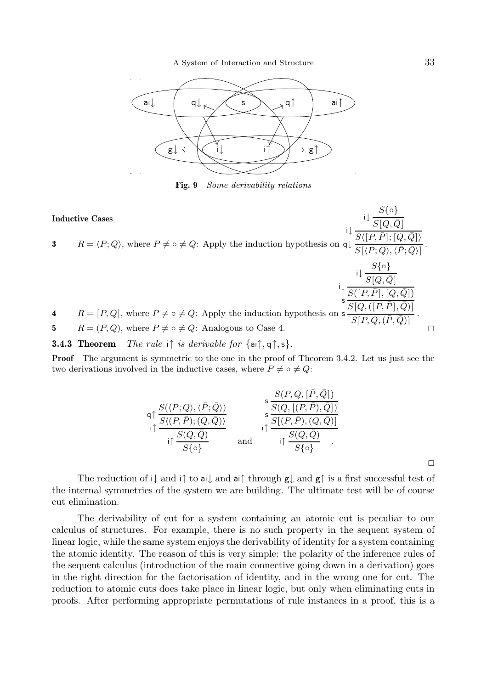

Fig. 9 Some derivability relations

#### Inductive Cases

 $S\{\circ\}$  $i\downarrow \frac{\infty}{S[Q,\bar{Q}]}$ 

3 R =  $\langle P; Q \rangle$ , where  $P \neq \circ \neq Q$ : Apply the induction hypothesis on q  $i\downarrow \frac{\overline{S\langle [P,\bar{P}];[Q,\bar{Q}]\rangle}}$  $\mathsf{q}\downarrow \frac{\mathcal{L}\setminus \{\mathsf{r}^2, \mathsf{r}^2\},\{\mathcal{L}},\{\mathcal{L}\},\mathcal{Q}}{S[\langle P; Q\rangle,\langle \bar{P}; \bar{Q}\rangle]}$ . 4  $R = [P, Q]$ , where  $P \neq \circ \neq Q$ : Apply the induction hypothesis on  $S\{\circ\}$  $i\downarrow \frac{\infty}{S[Q,\bar{Q}]}$  $\frac{1}{S}$ <br>
s  $\frac{S(P,\bar{P}], [Q,\bar{Q}])}{S[Q,([P,\bar{P}],\bar{Q})]}$ <br>
s  $\frac{S[P,Q,(\bar{P},\bar{Q})]}{S[P,Q,(\bar{P},\bar{Q})]}$ . 5  $R = (P, Q)$ , where  $P \neq \circ \neq Q$ : Analogous to Case 4.

**3.4.3 Theorem** The rule i† is derivable for  $\{\text{ai}\,\uparrow,\text{q}\,\uparrow,\text{s}\}.$ 

**Proof** The argument is symmetric to the one in the proof of Theorem 3.4.2. Let us just see the two derivations involved in the inductive cases, where  $P \neq \infty \neq Q$ :

$$
\mathsf{q} \uparrow \frac{S(\langle P; Q \rangle, \langle \bar{P}; \bar{Q} \rangle)}{\mathsf{i} \uparrow \frac{S(\langle P, \bar{Q} \rangle, \langle \bar{P}; \bar{Q} \rangle)}{\mathsf{i} \uparrow \frac{S(Q, \bar{Q})}{S\{\circ\}}}} \quad \mathsf{a} \mathsf{d} \quad \mathsf{i} \uparrow \frac{S(P, Q, [\bar{P}, \bar{Q}])}{\mathsf{i} \uparrow \frac{S(\langle P, \bar{P} \rangle, \langle Q, \bar{Q} \rangle)}{\mathsf{i} \uparrow \frac{S(Q, \bar{Q})}{S\{\circ\}}}} \quad \mathsf{and} \quad \mathsf{i} \uparrow \frac{S(Q, \bar{Q})}{S\{\circ\}}.
$$

The reduction of i $\downarrow$  and i $\uparrow$  to ai $\downarrow$  and ai $\uparrow$  through g $\downarrow$  and g $\uparrow$  is a first successful test of the internal symmetries of the system we are building. The ultimate test will be of course cut elimination.

The derivability of cut for a system containing an atomic cut is peculiar to our calculus of structures. For example, there is no such property in the sequent system of linear logic, while the same system enjoys the derivability of identity for a system containing the atomic identity. The reason of this is very simple: the polarity of the inference rules of the sequent calculus (introduction of the main connective going down in a derivation) goes in the right direction for the factorisation of identity, and in the wrong one for cut. The reduction to atomic cuts does take place in linear logic, but only when eliminating cuts in proofs. After performing appropriate permutations of rule instances in a proof, this is a

 $\Box$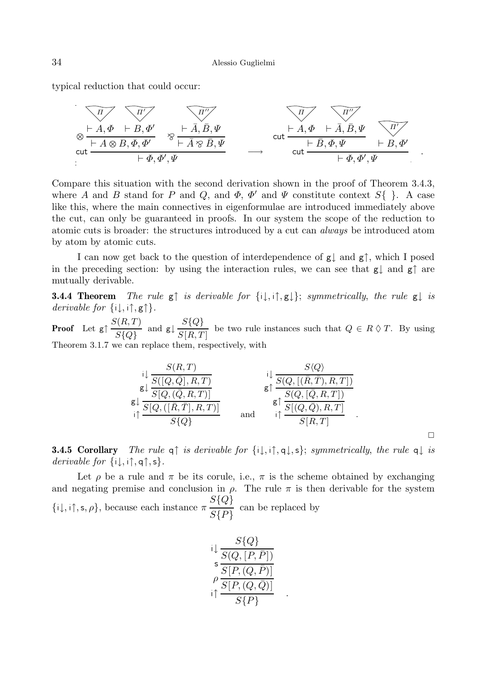typical reduction that could occur:

Π ` A, Φ Π0 ` B, Φ 0 ` A B, Φ, Φ 0 Π<sup>00</sup> ` A¯, B¯, Ψ O ` A¯ O B¯, Ψ cut −→ ` Φ, Φ 0 , Ψ Π ` A, Φ Π<sup>00</sup> ` A, ¯ B¯, Ψ cut ` B¯, Φ, Ψ Π0 ` B, Φ 0 cut . ` Φ, Φ 0 , Ψ

Compare this situation with the second derivation shown in the proof of Theorem 3.4.3, where A and B stand for P and Q, and  $\Phi$ ,  $\Phi'$  and  $\Psi$  constitute context  $S\{\}\.$  A case like this, where the main connectives in eigenformulae are introduced immediately above the cut, can only be guaranteed in proofs. In our system the scope of the reduction to atomic cuts is broader: the structures introduced by a cut can always be introduced atom by atom by atomic cuts.

I can now get back to the question of interdependence of g↓ and g↑, which I posed in the preceding section: by using the interaction rules, we can see that  $g\downarrow$  and  $g\uparrow$  are mutually derivable.

**3.4.4 Theorem** The rule  $g \uparrow$  is derivable for  $\{i\downarrow, i\uparrow, g\downarrow\}$ ; symmetrically, the rule  $g \downarrow$  is derivable for  $\{i\downarrow, i\uparrow, g\uparrow\}.$ 

Proof Let  $S(R,T)$ g↑  $S\{Q\}$ and  $S\{Q\}$ g↓  $S[R,T]$ be two rule instances such that  $Q \in R \land T$ . By using Theorem 3.1.7 we can replace them, respectively, with

$$
\begin{array}{ccc}\n\downarrow & S(R,T) \\
\mathbf{g} \downarrow & \frac{S([Q,\bar{Q}],R,T)}{S[Q,(\bar{Q},R,T)]} \\
\mathbf{g} \downarrow & \frac{S[Q,([\bar{R},\bar{T}],R,T)]}{S[Q,([\bar{R},\bar{T}],R,T)]} \\
\downarrow & \mathbf{g} \uparrow & \frac{S(Q,[(\bar{R},\bar{T}),R,T])}{S[Q,R,T]} \\
\mathbf{g} \uparrow & \frac{S(Q,[\bar{Q},R,T])}{S[R,T]} \\
\mathbf{h} \uparrow & \frac{S[(Q,\bar{Q}),R,T]}{S[R,T]} \\
\end{array}
$$

**3.4.5 Corollary** The rule  $q \uparrow$  is derivable for  $\{i\downarrow, i\uparrow, q\downarrow, s\}$ ; symmetrically, the rule  $q \downarrow$  is derivable for  $\{i\downarrow, i\uparrow, q\uparrow, s\}.$ 

Let  $\rho$  be a rule and  $\pi$  be its corule, i.e.,  $\pi$  is the scheme obtained by exchanging and negating premise and conclusion in  $\rho$ . The rule  $\pi$  is then derivable for the system  $\{i\downarrow, i\uparrow, s, \rho\}$ , because each instance  $S\{Q\}$ π  $S\{P\}$ can be replaced by

$$
\begin{array}{c}\n\downarrow \frac{S\{Q\}}{S(Q,[P,\bar{P}])} \\
\downarrow \frac{S[P,Q,\bar{P}])}{S[P,(Q,\bar{Q})]} \\
\downarrow \uparrow \frac{S[P,(Q,\bar{Q})]}{S\{P\}}\n\end{array}.
$$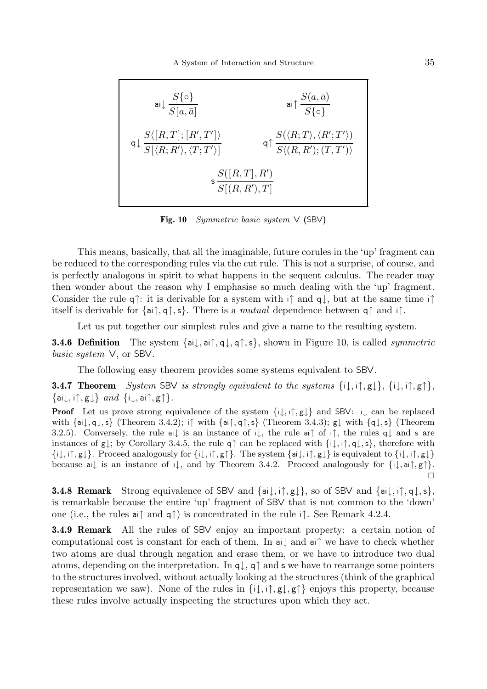$$
\begin{array}{lll} \operatorname{ai}\downarrow \frac{S\{\circ\}}{S[a,\bar{a}]} & \operatorname{ai}\uparrow \frac{S(a,\bar{a})}{S\{\circ\}} \\ \\ \operatorname{q}\downarrow \frac{S\langle [R,T];[R',T']\rangle}{S[\langle R;R'\rangle,\langle T;T'\rangle]} & \operatorname{q}\uparrow \frac{S(\langle R;T\rangle,\langle R';T'\rangle)}{S\langle (R,R');(T,T')\rangle} \\ \\ \operatorname{s}\frac{S([R,T],R')}{S[(R,R'),T]} & \end{array}
$$

Fig. 10 Symmetric basic system  $\vee$  (SBV)

This means, basically, that all the imaginable, future corules in the 'up' fragment can be reduced to the corresponding rules via the cut rule. This is not a surprise, of course, and is perfectly analogous in spirit to what happens in the sequent calculus. The reader may then wonder about the reason why I emphasise so much dealing with the 'up' fragment. Consider the rule q†: it is derivable for a system with  $\uparrow$  and  $q\downarrow$ , but at the same time  $\uparrow$ itself is derivable for  $\{\textsf{ai}\,\uparrow,\textsf{g}\,\uparrow,\textsf{s}\}.$  There is a *mutual* dependence between  $\textsf{g}\,\uparrow$  and  $\textsf{i}\,\uparrow$ .

Let us put together our simplest rules and give a name to the resulting system.

**3.4.6 Definition** The system  $\{a\downarrow, a\uparrow, a\downarrow, a\uparrow, s\}$ , shown in Figure 10, is called *symmetric* basic system  $\vee$ , or SBV.

The following easy theorem provides some systems equivalent to SBV .

**3.4.7 Theorem** System SBV is strongly equivalent to the systems  $\{i\downarrow, i\uparrow, g\downarrow\}, \{i\downarrow, i\uparrow, g\uparrow\},\$  $\{ai\downarrow, i\uparrow, g\downarrow\}$  and  $\{i\downarrow, ai\uparrow, g\uparrow\}.$ 

**Proof** Let us prove strong equivalence of the system  $\{i\}, i\uparrow, g\downarrow\}$  and SBV:  $i\downarrow$  can be replaced with  $\{a_i\}, q_i\},\$  (Theorem 3.4.2); i† with  $\{a_i\}, q_i\},\$  (Theorem 3.4.3);  $g_i\$  with  $\{q_i\}, s\}$  (Theorem 3.2.5). Conversely, the rule ai $\downarrow$  is an instance of i $\downarrow$ , the rule ai<sup> $\uparrow$ </sup> of i $\uparrow$ , the rules  $q\downarrow$  and s are instances of  $g\downarrow$ ; by Corollary 3.4.5, the rule  $\eta\uparrow$  can be replaced with  $\{i\downarrow, i\uparrow, q\downarrow, s\}$ , therefore with  $\{i\downarrow, \dagger\}$ , Proceed analogously for  $\{i\downarrow, \dagger\uparrow, g\uparrow\}$ . The system  $\{ai\downarrow, \dagger\uparrow, g\downarrow\}$  is equivalent to  $\{i\downarrow, \dagger\uparrow, g\downarrow\}$ because ai↓ is an instance of i↓, and by Theorem 3.4.2. Proceed analogously for {i↓, ai↑, g↑}.  $\Box$ 

**3.4.8 Remark** Strong equivalence of SBV and  $\{ai\downarrow, i\uparrow, g\downarrow\}$ , so of SBV and  $\{ai\downarrow, i\uparrow, q\downarrow, s\}$ , is remarkable because the entire 'up' fragment of SBV that is not common to the 'down' one (i.e., the rules ai $\uparrow$  and  $\uparrow$ ) is concentrated in the rule i $\uparrow$ . See Remark 4.2.4.

3.4.9 Remark All the rules of SBV enjoy an important property: a certain notion of computational cost is constant for each of them. In ai↓ and ai↑ we have to check whether two atoms are dual through negation and erase them, or we have to introduce two dual atoms, depending on the interpretation. In  $q \downarrow$ ,  $q \uparrow$  and s we have to rearrange some pointers to the structures involved, without actually looking at the structures (think of the graphical representation we saw). None of the rules in  $\{i\}, i\uparrow, g\downarrow, g\uparrow\}$  enjoys this property, because these rules involve actually inspecting the structures upon which they act.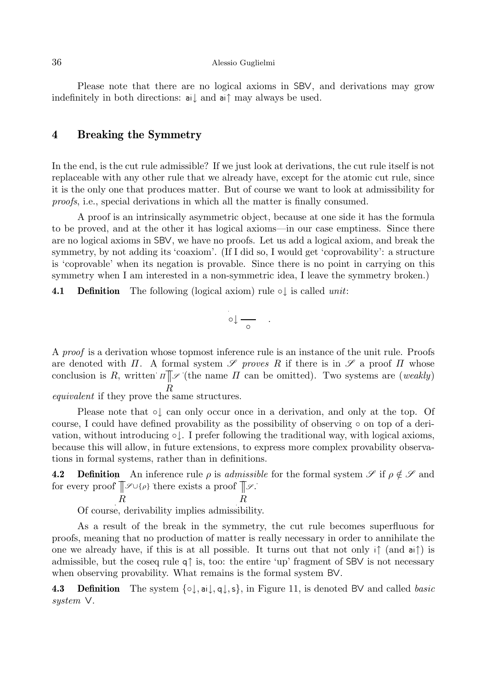Please note that there are no logical axioms in SBV , and derivations may grow indefinitely in both directions: ai↓ and ai↑ may always be used.

# 4 Breaking the Symmetry

In the end, is the cut rule admissible? If we just look at derivations, the cut rule itself is not replaceable with any other rule that we already have, except for the atomic cut rule, since it is the only one that produces matter. But of course we want to look at admissibility for proofs, i.e., special derivations in which all the matter is finally consumed.

A proof is an intrinsically asymmetric object, because at one side it has the formula to be proved, and at the other it has logical axioms—in our case emptiness. Since there are no logical axioms in SBV , we have no proofs. Let us add a logical axiom, and break the symmetry, by not adding its 'coaxiom'. (If I did so, I would get 'coprovability': a structure is 'coprovable' when its negation is provable. Since there is no point in carrying on this symmetry when I am interested in a non-symmetric idea, I leave the symmetry broken.)

**4.1 Definition** The following (logical axiom) rule  $\circ \downarrow$  is called unit:

$$
\circ\downarrow \xrightarrow{\circ}
$$

.

A proof is a derivation whose topmost inference rule is an instance of the unit rule. Proofs are denoted with  $\Pi$ . A formal system  $\mathscr S$  proves R if there is in  $\mathscr S$  a proof  $\Pi$  whose conclusion is R, written  $\pi$   $\mathbb{Z}$  (the name  $\Pi$  can be omitted). Two systems are (weakly) R

equivalent if they prove the same structures.

R

Please note that ∘⊥ can only occur once in a derivation, and only at the top. Of course, I could have defined provability as the possibility of observing  $\circ$  on top of a derivation, without introducing  $\circ$ . I prefer following the traditional way, with logical axioms, because this will allow, in future extensions, to express more complex provability observations in formal systems, rather than in definitions.

**4.2 Definition** An inference rule  $\rho$  is admissible for the formal system  $\mathscr S$  if  $\rho \notin \mathscr S$  and for every proof  $\mathscr{S} \cup \{\rho\}$  there exists a proof  $\mathscr{S}.$ 

R

Of course, derivability implies admissibility.

As a result of the break in the symmetry, the cut rule becomes superfluous for proofs, meaning that no production of matter is really necessary in order to annihilate the one we already have, if this is at all possible. It turns out that not only i↑ (and ai↑) is admissible, but the coseq rule q↑ is, too: the entire 'up' fragment of SBV is not necessary when observing provability. What remains is the formal system BV .

**4.3** Definition The system  $\{\circ\downarrow, \circ\downarrow, \circ\downarrow, \circ\}$ , in Figure 11, is denoted BV and called *basic* system  $\vee$ .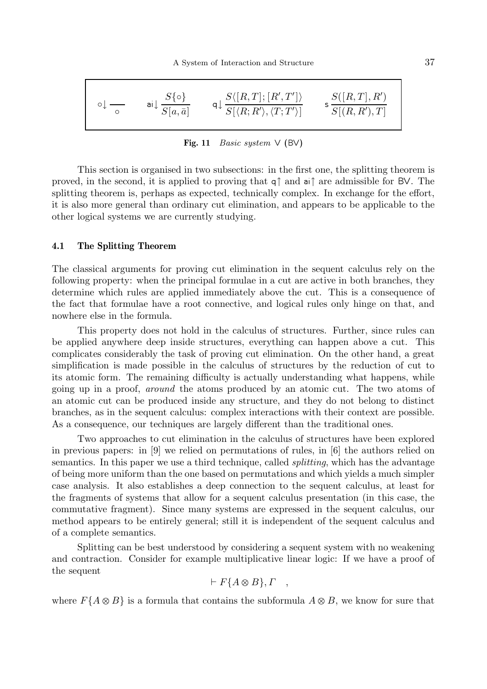$$
\circ \downarrow \frac{\circ}{\circ} \qquad \text{ai} \downarrow \frac{S\{\circ\}}{S[a,\bar{a}]} \qquad \mathsf{q} \downarrow \frac{S\langle [R,T]; [R',T'] \rangle}{S[\langle R;R' \rangle,\langle T;T' \rangle]} \qquad \mathsf{s} \frac{S([R,T],R')}{S[(R,R'),T]}
$$

Fig. 11 Basic system  $\vee$  (BV)

This section is organised in two subsections: in the first one, the splitting theorem is proved, in the second, it is applied to proving that q↑ and ai↑ are admissible for BV . The splitting theorem is, perhaps as expected, technically complex. In exchange for the effort, it is also more general than ordinary cut elimination, and appears to be applicable to the other logical systems we are currently studying.

# 4.1 The Splitting Theorem

The classical arguments for proving cut elimination in the sequent calculus rely on the following property: when the principal formulae in a cut are active in both branches, they determine which rules are applied immediately above the cut. This is a consequence of the fact that formulae have a root connective, and logical rules only hinge on that, and nowhere else in the formula.

This property does not hold in the calculus of structures. Further, since rules can be applied anywhere deep inside structures, everything can happen above a cut. This complicates considerably the task of proving cut elimination. On the other hand, a great simplification is made possible in the calculus of structures by the reduction of cut to its atomic form. The remaining difficulty is actually understanding what happens, while going up in a proof, around the atoms produced by an atomic cut. The two atoms of an atomic cut can be produced inside any structure, and they do not belong to distinct branches, as in the sequent calculus: complex interactions with their context are possible. As a consequence, our techniques are largely different than the traditional ones.

Two approaches to cut elimination in the calculus of structures have been explored in previous papers: in [9] we relied on permutations of rules, in [6] the authors relied on semantics. In this paper we use a third technique, called *splitting*, which has the advantage of being more uniform than the one based on permutations and which yields a much simpler case analysis. It also establishes a deep connection to the sequent calculus, at least for the fragments of systems that allow for a sequent calculus presentation (in this case, the commutative fragment). Since many systems are expressed in the sequent calculus, our method appears to be entirely general; still it is independent of the sequent calculus and of a complete semantics.

Splitting can be best understood by considering a sequent system with no weakening and contraction. Consider for example multiplicative linear logic: If we have a proof of the sequent

$$
\vdash F\{A\otimes B\}, \Gamma \quad ,
$$

where  $F\{A \otimes B\}$  is a formula that contains the subformula  $A \otimes B$ , we know for sure that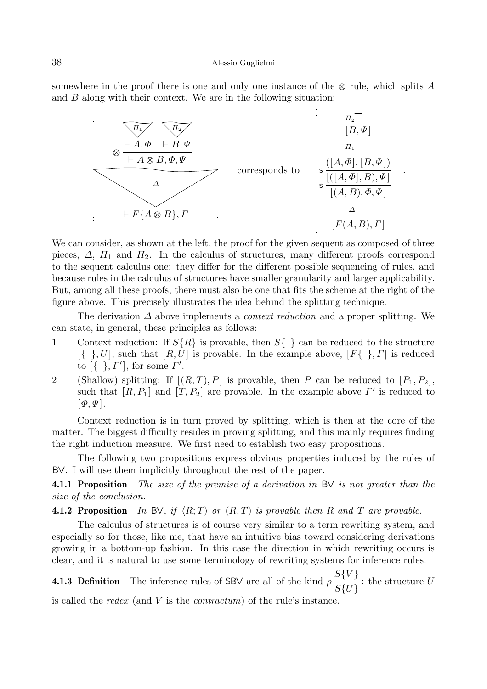## 38 Alessio Guglielmi

somewhere in the proof there is one and only one instance of the  $\otimes$  rule, which splits A and B along with their context. We are in the following situation:



We can consider, as shown at the left, the proof for the given sequent as composed of three pieces,  $\Delta$ ,  $\Pi_1$  and  $\Pi_2$ . In the calculus of structures, many different proofs correspond to the sequent calculus one: they differ for the different possible sequencing of rules, and because rules in the calculus of structures have smaller granularity and larger applicability. But, among all these proofs, there must also be one that fits the scheme at the right of the figure above. This precisely illustrates the idea behind the splitting technique.

The derivation  $\Delta$  above implements a *context reduction* and a proper splitting. We can state, in general, these principles as follows:

- 1 Context reduction: If  $S\{R\}$  is provable, then  $S\{\}\$  can be reduced to the structure  $[\{\}, U],$  such that  $[R, U]$  is provable. In the example above,  $[F\{\}, \Gamma]$  is reduced to  $[\{\ \},\Gamma'],$  for some  $\Gamma'.$
- 2 (Shallow) splitting: If  $[(R, T), P]$  is provable, then P can be reduced to  $[P_1, P_2]$ , such that  $[R, P_1]$  and  $[T, P_2]$  are provable. In the example above  $\Gamma'$  is reduced to  $[\Phi,\Psi].$

Context reduction is in turn proved by splitting, which is then at the core of the matter. The biggest difficulty resides in proving splitting, and this mainly requires finding the right induction measure. We first need to establish two easy propositions.

The following two propositions express obvious properties induced by the rules of BV . I will use them implicitly throughout the rest of the paper.

**4.1.1 Proposition** The size of the premise of a derivation in BV is not greater than the size of the conclusion.

**4.1.2 Proposition** In BV, if  $\langle R; T \rangle$  or  $(R, T)$  is provable then R and T are provable.

The calculus of structures is of course very similar to a term rewriting system, and especially so for those, like me, that have an intuitive bias toward considering derivations growing in a bottom-up fashion. In this case the direction in which rewriting occurs is clear, and it is natural to use some terminology of rewriting systems for inference rules.

**4.1.3 Definition** The inference rules of SBV are all of the kind  $S\{V\}$ ρ  $S\{U\}$ : the structure  $U$ 

is called the *redex* (and  $V$  is the *contractum*) of the rule's instance.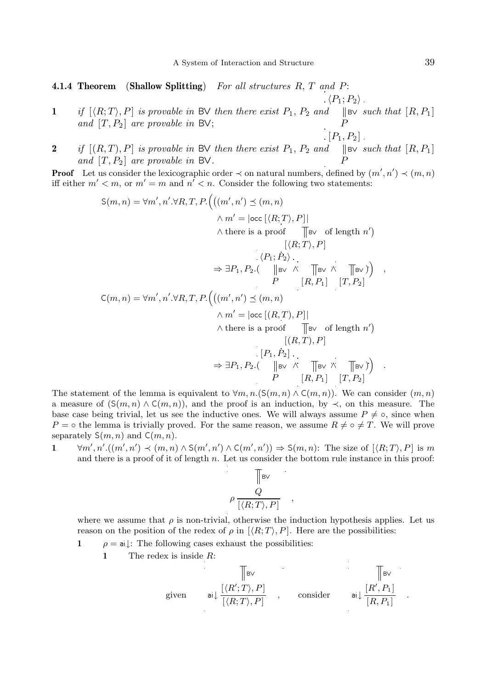4.1.4 Theorem (Shallow Splitting) For all structures R, T and P:  $\langle P_1; P_2 \rangle$ 

- $1$  if  $[\langle R; T \rangle, P]$  is provable in BV then there exist  $P_1, P_2$  and  $\parallel$  BV such that  $[R, P_1]$ P and  $[T, P_2]$  are provable in BV;
- 2 if  $[(R, T), P]$  is provable in BV then there exist  $P_1, P_2$  and  $\parallel$  BV such that  $[R, P_1]$  $[P_1, P_2]$ P and  $[T, P_2]$  are provable in BV.

**Proof** Let us consider the lexicographic order  $\prec$  on natural numbers, defined by  $(m', n') \prec (m, n)$ iff either  $m' < m$ , or  $m' = m$  and  $n' < n$ . Consider the following two statements:

S(m, n) = ∀m 0 0 , n .∀R, T, P. (m<sup>0</sup> , n 0 ) (m, n) ∧ m<sup>0</sup> = |occ [hR; Ti,P ]| ∧ there is a proof [hR; Ti, P ] BV of length n 0 ⇒ ∃P1, P2.( hP1; P2i P BV ∧ [R,P<sup>1</sup> ] BV ∧ [T,P<sup>2</sup> ] BV ) , C(m, n) = ∀m 0 , n 0 .∀R, T, P. (m<sup>0</sup> , n 0 ) (m, n) ∧ m<sup>0</sup> = |occ [(R, T),P ]| ∧ there is a proof [(R, T), P ] BV of length n 0 ⇒ ∃P1, P2.( [P1, P2] P BV ∧ [R,P<sup>1</sup> ] [T,P<sup>2</sup> ] BV ∧ BV ) .

The statement of the lemma is equivalent to  $\forall m, n.$  (S $(m, n) \wedge C(m, n)$ ). We can consider  $(m, n)$ a measure of  $(S(m, n) \wedge C(m, n))$ , and the proof is an induction, by  $\prec$ , on this measure. The base case being trivial, let us see the inductive ones. We will always assume  $P \neq \infty$ , since when  $P = \circ$  the lemma is trivially proved. For the same reason, we assume  $R \neq \circ \neq T$ . We will prove separately  $S(m, n)$  and  $C(m, n)$ .

1  $\forall m', n'.((m', n') \prec (m, n) \land S(m', n') \land C(m', n')) \Rightarrow S(m, n):$  The size of  $[\langle R; T \rangle, P]$  is m and there is a proof of it of length  $n$ . Let us consider the bottom rule instance in this proof:

$$
\begin{array}{ccc}\n & \text{else} & \text{else} & \text{else}\n\end{array}
$$

where we assume that  $\rho$  is non-trivial, otherwise the induction hypothesis applies. Let us reason on the position of the redex of  $\rho$  in  $\langle R; T \rangle$ , P ]. Here are the possibilities:

1  $\rho = \text{ai}$ : The following cases exhaust the possibilities:

1 The redex is inside  $R$ :

$$
\begin{array}{cc}\n\text{[By} & \text{[by} \\
\text{given} & \text{ai}\downarrow \frac{[\langle R';T\rangle,P]}{[\langle R;T\rangle,P]} & , \text{ consider} & \text{ai}\downarrow \frac{[R',P_1]}{[R,P_1]}\n\end{array}
$$

.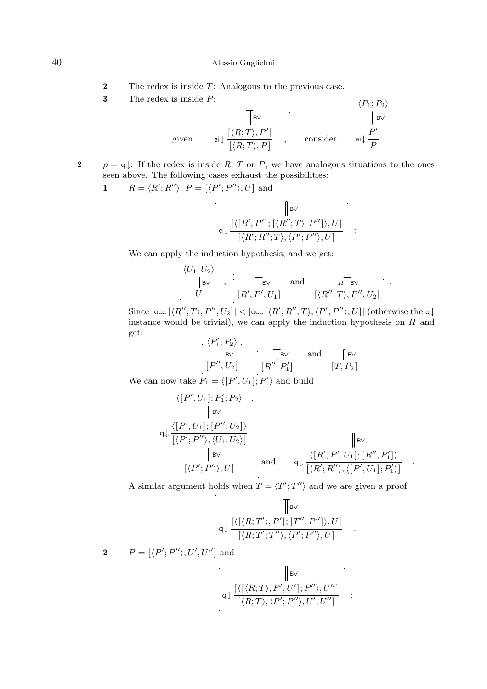# 40 Alessio Guglielmi

- 2 The redex is inside T: Analogous to the previous case.
- 3 The redex is inside P: given ai $\downarrow \frac{[\langle R; T\rangle, P']}{\frac{\Gamma}{\Gamma} \Gamma}$  ,  $\left[ \langle R; T \rangle, P \right]$ BV consider  $\langle P_1; P_2\rangle$  $P'$ ai $\downarrow \frac{1}{R}$  . P BV
- 2  $\rho = q \downarrow$ : If the redex is inside R, T or P, we have analogous situations to the ones seen above. The following cases exhaust the possibilities:

$$
1 \t R = \langle R'; R'' \rangle, P = [\langle P'; P'' \rangle, U] \text{ and}
$$

$$
\mathbb{R}^{\mathbb{N}}
$$
\n
$$
\mathsf{q} \downarrow \frac{\left[ \langle [R',P'] ; [\langle R'';T \rangle, P''] \rangle, U \right]}{\left[ \langle R';R'';T \rangle, \langle P';P'' \rangle, U \right]}.
$$

We can apply the induction hypothesis, and we get:

$$
\langle U_1; U_2 \rangle
$$
  
\n
$$
\begin{array}{ccc}\n\langle U_1; U_2 \rangle & \text{ or } \\
\langle \mathbf{I} \rangle & \mathbf{I} \end{array}
$$
 and 
$$
\begin{array}{ccc}\n\langle \mathbf{I} \rangle & \mathbf{I} \end{array}
$$
  
\n
$$
\begin{array}{ccc}\n\langle \mathbf{I} \rangle & \mathbf{I} \end{array}
$$

Since  $|\text{occ }[\langle R'';T\rangle, P'',U_2]|<|\text{occ }[\langle R';R'';T\rangle, \langle P';P''\rangle,U]|$  (otherwise the q $\downarrow$ instance would be trivial), we can apply the induction hypothesis on  $\Pi$  and get:

$$
\langle P'_1; P_2 \rangle
$$
  
\n
$$
\begin{array}{ccc}\n| \text{BV} & \text{and} & \text{For} \\
[P'', U_2] & [R'', P'_1]\n\end{array}
$$
 and 
$$
\begin{array}{ccc}\n[T, P_2]\n\end{array}
$$
.

We can now take  $P_1 = \langle [P', U_1]; P'_1 \rangle$  and build

$$
\langle [P', U_1]; P_1'; P_2 \rangle
$$
  
\n
$$
\parallel \text{sv}
$$
  
\n
$$
\mathcal{q} \downarrow \frac{\langle [P', U_1]; [P'', U_2] \rangle}{[\langle P'; P'' \rangle, \langle U_1; U_2 \rangle]}
$$
  
\n
$$
\parallel \text{sv}
$$
  
\n
$$
[\langle P'; P'' \rangle, U]
$$
 and 
$$
\mathcal{q} \downarrow \frac{\langle [R', P', U_1]; [R'', P_1'] \rangle}{[\langle R'; R'' \rangle, \langle [P', U_1]; P_1' \rangle]}
$$
.

A similar argument holds when  $T = \langle T'; T'' \rangle$  and we are given a proof

$$
\underset{\mathbf{q}, \downarrow}{\underset{\mathbb{I}\left\{ \left[\left\langle \left[\left\langle R; T'\right\rangle, P'\right]; \left[T'', P''\right]\right\rangle, U\right] \right.}{\left[\left\langle R; T'; T''\right\rangle, \left\langle P'; P''\right\rangle, U\right]}}} \qquad .
$$

2 
$$
P = [\langle P'; P'' \rangle, U', U'']
$$
 and

$$
\underset{\mathbf{q}, \downarrow}{\underset{\mathbb{I}\left\{ \left[\left\langle \left[\left\langle R; T\right\rangle, P', U'\right]; P''\right\rangle, U''\right\} \right\} }{\underset{\mathbb{I}\left\{ \left[\left\langle R; T\right\rangle, \left\langle P'; P''\right\rangle, U', U''\right\} \right\} }{\left[\left\langle R; T'\right\rangle, \langle P'; P''\right\rangle, U', U''\right]}}\quad.
$$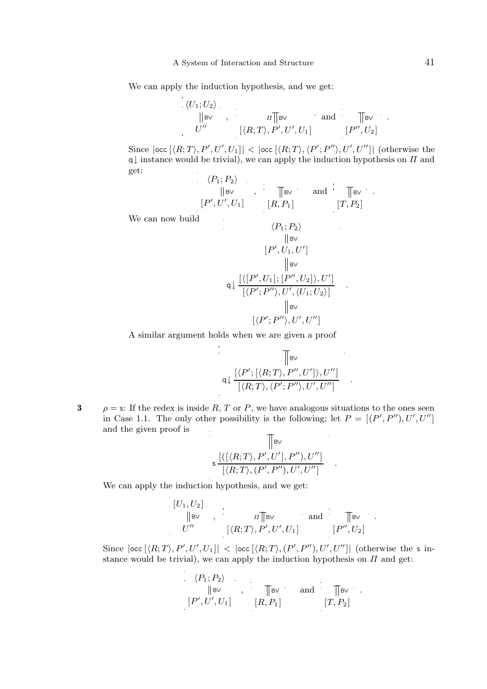We can apply the induction hypothesis, and we get:

$$
\langle U_1, U_2 \rangle
$$
  
\n
$$
\begin{array}{ccc}\n\lfloor \text{BV} & , & \pi \rceil \text{BV} & \text{and} & \rceil \text{BV} \\
U'' & \lfloor \langle R, T \rangle, P', U', U_1\n\end{array}.
$$

Since  $|\langle R; T \rangle, P', U', U_1]| < |\text{occ } [\langle R; T \rangle, \langle P'; P'' \rangle, U', U'']|$  (otherwise the  $q \downarrow$  instance would be trivial), we can apply the induction hypothesis on  $\Pi$  and get:  $\mathbb{P}^1$ 

$$
\langle P_1; P_2 \rangle
$$
  
\n
$$
\begin{array}{ccc}\n[ \text{B} \lor & , & \text{B} \lor & \text{and} & \text{B} \lor \\
[ \text{B} \lor & , & [R, P_1] & , & [T, P_2]\n\end{array}
$$

We can now build

$$
\langle P_1; P_2 \rangle
$$
  
\n
$$
||\text{BV}
$$
  
\n
$$
[P', U_1, U']
$$
  
\n
$$
||\text{BV}
$$
  
\n
$$
q \downarrow \frac{[\langle [P', U_1]; [P'', U_2] \rangle, U']}{[\langle P'; P'' \rangle, U', \langle U_1; U_2 \rangle]}
$$
  
\n
$$
||\text{BV}
$$
  
\n
$$
[\langle P'; P'' \rangle, U', U'']
$$

A similar argument holds when we are given a proof

 $\sim 1$ 

 $\sim 10^{11}$  m  $^{-1}$ 

$$
\mathbb{R}^{\mathbb{N}}
$$
\n
$$
\mathsf{q} \downarrow \frac{\left[ \langle P'; [\langle R;T \rangle, P'', U'] \rangle, U'' \right]}{\left[ \langle R;T \rangle, \langle P'; P'' \rangle, U', U'' \right]} \quad .
$$

3  $\rho = s$ : If the redex is inside R, T or P, we have analogous situations to the ones seen in Case 1.1. The only other possibility is the following; let  $P = [(P', P''), U', U'']$ and the given proof is  $\hat{\mathcal{I}}$  $\overline{\mathbf{T}}$ 

$$
\|\text{BV}\|_{\text{S}} \frac{\left[\left(\left[\langle R;T\rangle, P', U'\right], P''\right), U''\right]}{\left[\langle R;T\rangle, (P', P''), U', U''\right]}.
$$

We can apply the induction hypothesis, and we get:

$$
\begin{array}{ccc}\n[U_1, U_2] \\
\parallel \text{BV} \\
U''\n\end{array}, \n\quad \Pi \parallel \text{BV} \quad \text{and} \quad \parallel \text{BV} \quad .
$$
\n
$$
U''\n\qquad \left[ \langle R; T \rangle, P', U', U_1 \right] \n\qquad \left[ P'', U_2 \right]
$$

Since  $|\text{occ}\left[\langle R; T\rangle, P', U', U_1\right]| < |\text{occ}\left[\langle R; T\rangle, (P', P''), U', U''\right]|$  (otherwise the s instance would be trivial), we can apply the induction hypothesis on  $\Pi$  and get:

$$
\langle P_1; P_2 \rangle
$$
  
\n
$$
[\mathsf{B} \vee \qquad , \qquad \mathsf{B} \vee \qquad \text{and} \qquad \mathsf{B} \vee \qquad .
$$
  
\n
$$
[P', U', U_1] \qquad [R, P_1] \qquad [T, P_2]
$$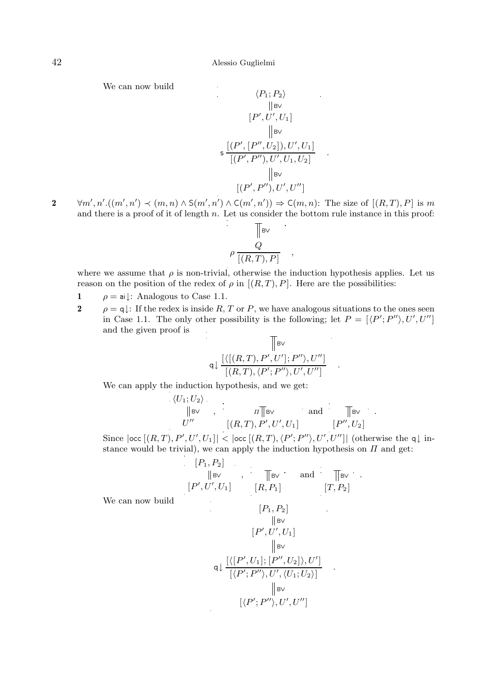$\sim$ 

We can now build

$$
\langle P_1; P_2 \rangle
$$
  
\n
$$
||_{\text{BV}}
$$
  
\n
$$
[P', U', U_1]
$$
  
\n
$$
||_{\text{BV}}
$$
  
\n
$$
\frac{[(P', [P'', U_2]), U', U_1]}{[(P', P''), U', U_1, U_2]}
$$
  
\n
$$
||_{\text{BV}}
$$
  
\n
$$
[(P', P''), U', U'']
$$

 $\mathbb{R}^2$ 

2  $\forall m', n'.((m', n') \prec (m, n) \land S(m', n') \land C(m', n')) \Rightarrow C(m, n):$  The size of  $[(R, T), P]$  is m and there is a proof of it of length  $n$ . Let us consider the bottom rule instance in this proof:

$$
\begin{array}{ccc}\n & \text{B} & \text{B} & \text{B} \\
 & Q & & \\
 & \text{B} & \text{B} & \text{B} & \text{B} \\
 & \text{B} & \text{B} & \text{B} & \text{B} \\
 & \text{B} & \text{B} & \text{B} & \text{B} & \text{B}\n\end{array}
$$

where we assume that  $\rho$  is non-trivial, otherwise the induction hypothesis applies. Let us reason on the position of the redex of  $\rho$  in  $[(R, T), P]$ . Here are the possibilities:

1 
$$
\rho = \text{ai} \downarrow
$$
: Analogous to Case 1.1.

2  $\rho = \mathsf{q} \perp$ : If the redex is inside R, T or P, we have analogous situations to the ones seen in Case 1.1. The only other possibility is the following; let  $P = [\langle P'; P'' \rangle, U', U'']$ and the given proof is 

$$
\|\mathbb{P} \vee
$$
\n
$$
\mathsf{q} \downarrow \frac{\left[ \langle [(R,T), P', U'], P'' \rangle, U'' \right]}{\left[ (R,T), \langle P'; P'' \rangle, U', U'' \right]} \quad .
$$

We can apply the induction hypothesis, and we get:

$$
\langle U_1; U_2 \rangle
$$
  
\n
$$
\begin{array}{c}\n\downarrow \downarrow & \downarrow \\
\downarrow \downarrow & \downarrow \\
\downarrow & \downarrow \\
\downarrow & \downarrow \\
\downarrow & \downarrow \\
\downarrow & \downarrow \\
\downarrow & \downarrow \\
\downarrow & \downarrow \\
\downarrow & \downarrow \\
\downarrow & \downarrow \\
\downarrow & \downarrow \\
\downarrow & \downarrow \\
\downarrow & \downarrow \\
\downarrow & \downarrow \\
\downarrow & \downarrow \\
\downarrow & \downarrow \\
\downarrow & \downarrow \\
\downarrow & \downarrow \\
\downarrow & \downarrow \\
\downarrow & \downarrow \\
\downarrow & \downarrow \\
\downarrow & \downarrow \\
\downarrow & \downarrow \\
\downarrow & \downarrow \\
\downarrow & \downarrow \\
\downarrow & \downarrow \\
\downarrow & \downarrow \\
\downarrow & \downarrow \\
\downarrow & \downarrow \\
\downarrow & \downarrow \\
\downarrow & \downarrow \\
\downarrow & \downarrow \\
\downarrow & \downarrow \\
\downarrow & \downarrow \\
\downarrow & \downarrow \\
\downarrow & \downarrow \\
\downarrow & \downarrow \\
\downarrow & \downarrow \\
\downarrow & \downarrow \\
\downarrow & \downarrow \\
\downarrow & \downarrow \\
\downarrow & \downarrow \\
\downarrow & \downarrow \\
\downarrow & \downarrow \\
\downarrow & \downarrow \\
\downarrow & \downarrow \\
\downarrow & \downarrow \\
\downarrow & \downarrow \\
\downarrow & \downarrow \\
\downarrow & \downarrow \\
\downarrow & \downarrow \\
\downarrow & \downarrow \\
\downarrow & \downarrow \\
\downarrow & \downarrow \\
\downarrow & \downarrow \\
\downarrow & \downarrow \\
\downarrow & \downarrow \\
\downarrow & \downarrow \\
\downarrow & \downarrow \\
\downarrow & \downarrow \\
\downarrow & \downarrow \\
\downarrow & \downarrow \\
\downarrow & \downarrow \\
\downarrow & \downarrow \\
\downarrow & \downarrow \\
\downarrow & \downarrow \\
\downarrow & \downarrow \\
\downarrow & \downarrow \\
\downarrow & \downarrow \\
\downarrow & \downarrow \\
\downarrow & \downarrow \\
\downarrow & \downarrow \\
\downarrow & \downarrow \\
\downarrow & \downarrow \\
\downarrow & \downarrow \\
\downarrow & \downarrow \\
\downarrow & \downarrow \\
\downarrow & \downarrow \\
\downarrow & \downarrow \\
\downarrow & \downarrow \\
\downarrow & \downarrow \\
\downarrow & \downarrow \\
\downarrow & \downarrow \\
\downarrow & \downarrow \\
\downarrow & \downarrow \\
\downarrow & \downarrow \\
\downarrow & \downarrow \\
\downarrow & \downarrow \\
\downarrow & \downarrow \\
\downarrow & \downarrow \\
\downarrow &
$$

Since  $|\text{occ } [(R, T), P', U', U_1]| < |\text{occ } [(R, T), \langle P'; P'' \rangle, U', U'']|$  (otherwise the q instance would be trivial), we can apply the induction hypothesis on  $\Pi$  and get:

$$
[P_1, P_2] \n\begin{array}{ccc}\n[P_1, P_2] & , & \mathbb{R} & \text{and} & \mathbb{R} & \mathbb{R} \\
[P', U', U_1] & [R, P_1] & & [T, P_2]\n\end{array}
$$

We can now build

[P1, P2] [P 0 , U 0 , U1] BV [h[P 0 , U1]; [P 00 , U2]i, U 0 ] q↓ . [hP 0 ; P <sup>00</sup>i, U 0 , hU1; U2i] BV [hP 0 ; P <sup>00</sup>i, U 0 , U 00] BV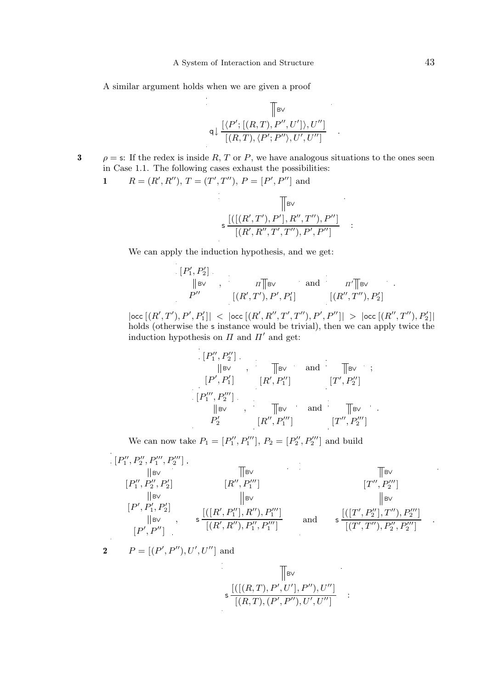A similar argument holds when we are given a proof

$$
\|\text{ev}\|_{\text{q},L} \frac{\left[\langle P'; [(R,T), P'', U']\rangle, U''\right]}{[(R,T), \langle P'; P''\rangle, U', U'']}\quad.
$$

3  $\rho = s$ : If the redex is inside R, T or P, we have analogous situations to the ones seen in Case 1.1. The following cases exhaust the possibilities:

1  $R = (R', R''), T = (T', T''), P = [P', P'']$  and

 $\mathcal{L}$ 

$$
\mathbb{R}^{\mathbb{N}}
$$
  
\n
$$
\mathsf{s}\frac{\left[\left(\left[(R',T'),P'\right],R'',T''\right),P''\right]}{\left[(R',R'',T',T''),P',P''\right]} \quad : \quad
$$

We can apply the induction hypothesis, and we get:

$$
[P'_1, P'_2] \n\begin{array}{c}\n\text{||BV} \\
P''\n\end{array}, \quad \pi \text{||BV} \quad \text{and} \quad \pi' \text{||BV} \\
[P''\quad [(R', T'), P', P'_1]\n\end{array}.
$$

 $|\text{occ}\left[(R',T'),P',P'_1\right]| \; < \; |\text{occ}\left[(R',R'',T',T''),P',P''\right]| \; > \; |\text{occ}\left[(R'',T''),P'_2\right]|$ holds (otherwise the s instance would be trivial), then we can apply twice the induction hypothesis on  $\Pi$  and  $\Pi'$  and get:

$$
[P''_1, P''_2] \t\t ||_{\text{BV}}, \t\t ||_{\text{BV}}, \text{and} \t\t ||_{\text{BV}}, \text{ } ;
$$
  
\n
$$
[P', P'_1] \t\t [R', P''_1] \t\t [T', P''_2]
$$
  
\n
$$
[P'''_1, P'''_2] \t\t ||_{\text{BV}}, \t\t ||_{\text{BV}}, \text{and} \t\t ||_{\text{BV}}, \text{ } s
$$
  
\n
$$
P'_2 \t\t [R'', P''_1] \t\t [T'', P'''_2]
$$

We can now take  $P_1 = [P''_1, P'''_1], P_2 = [P''_2, P'''_2]$  and build

$$
[P''_1, P''_2, P'''_1, P'''_2] \t\t\t\t\t\begin{array}{c}\n[\text{Bv} & \text{Bv} & \text{Bv} \\
[P''_1, P''_2, P'_2] & [R'', P'''_1] & [T'', P'''_2] \\
[[\text{Bv} & \text{Bv} & \text{Bv} & \text{Bv} \\
[P', P'_1, P'_2] & \text{Bv} & \text{Bv} \\
[[\text{Bv} & \text{Bv} & \text{Bv} & \text{Bv} \\
[[\text{Bv} & \text{Bv} & \text{Bv} & \text{Bv} \\
[[\text{Bv} & \text{Bv} & \text{Bv} & \text{Bv} \\
[[\text{Bv} & \text{Bv} & \text{Bv} & \text{Bv} \\
[[\text{Bv} & \text{Bv} & \text{Bv} & \text{Bv} \\
[[\text{Bv} & \text{Bv} & \text{Bv} & \text{Bv} \\
[[\text{Bv} & \text{Bv} & \text{Bv} & \text{Bv} \\
[[\text{Bv} & \text{Bv} & \text{Bv} & \text{Bv} \\
[[\text{Bv} & \text{Bv} & \text{Bv} & \text{Bv} \\
[[\text{Bv} & \text{Bv} & \text{Bv} & \text{Bv} \\
[[\text{Bv} & \text{Bv} & \text{Bv} & \text{Bv} \\
[[\text{Bv} & \text{Bv} & \text{Bv} & \text{Bv} \\
[[\text{Bv} & \text{Bv} & \text{Bv} & \text{Bv} \\
[[\text{Bv} & \text{Bv} & \text{Bv} & \text{Bv} \\
[[\text{Bv} & \text{Bv} & \text{Bv} & \text{Bv} \\
[[\text{Bv} & \text{Bv} & \text{Bv} & \text{Bv} \\
[[\text{Bv} & \text{Bv} & \text{Bv} & \text{Bv} \\
[[\text{Bv} & \text{Bv} & \text{Bv} & \text{Bv} & \text{Bv} \\
[[\text{Bv} & \text{Bv} & \text{Bv} & \text{Bv} & \text{Bv} \\
[[\text{Bv} & \text{Bv} & \text{Bv} & \text{Bv} & \text{Bv} \\
[[\text{Bv} & \text{Bv} &
$$

2 
$$
P = [(P', P''), U', U'']
$$
 and

$$
\mathbb{R}^{\mathbb{N}}
$$
  
\n
$$
\mathbf{s} \frac{[([R,T),P',U'],P''),U'']}{[(R,T),(P',P''),U',U'']}
$$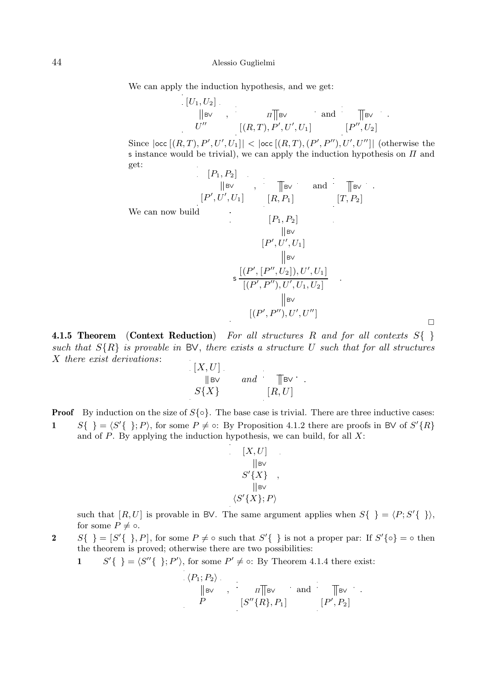We can apply the induction hypothesis, and we get:

$$
[U_1, U_2]
$$
  
\n
$$
[[\text{BV} \quad , \quad \pi]]_{\text{BV}} \quad \text{and} \quad [[\text{BV} \quad .
$$
  
\n
$$
U'' \quad [(R, T), P', U', U_1] \quad [P'', U_2]
$$

Since  $|occ [(R, T), P', U', U_1]| < |occ [(R, T), (P', P''), U', U'']|$  (otherwise the s instance would be trivial), we can apply the induction hypothesis on  $\Pi$  and get:  $[P_1, P_2]$ 

$$
[P_1, P_2]
$$
\n
$$
[[\mathsf{B}\vee \quad , \quad \mathsf{T}]\mathsf{B}\vee \quad \text{and} \quad \mathsf{T}]\mathsf{B}\vee
$$
\n
$$
[P', U', U_1] \qquad [R, P_1] \qquad [T, P_2]
$$
\n
$$
[[\mathsf{B}\vee \quad [[\mathsf{B}\vee \quad [P', U', U_1]]\quad [[\mathsf{B}\vee \quad \quad ]\mathsf{B}\vee \quad ]\mathsf{B}\vee \qquad ]\mathsf{B}\vee \qquad \qquad \mathsf{s} \frac{[(P', [P'', U_2]), U', U_1]}{[(P', P''), U', U_1, U_2]} \qquad [[\mathsf{B}\vee \quad \quad ]\mathsf{B}\vee \qquad ]\mathsf{B}\vee \qquad ]\mathsf{B}\vee \qquad [P', P''), U', U'']
$$

**4.1.5 Theorem** (Context Reduction) For all structures R and for all contexts  $S\{\}$ such that  $S\{R\}$  is provable in BV, there exists a structure U such that for all structures X there exist derivations:  $[X, U]$ 

| $\vert X,U \vert$ . |     |                 |  |
|---------------------|-----|-----------------|--|
| ∥ BV                | and | $\mathbb{T}$ bv |  |
| $S{X}$              |     | [R, U]          |  |

**Proof** By induction on the size of  $S\{\circ\}$ . The base case is trivial. There are three inductive cases:

1  $S\{\}\ = \ \langle S' \{\}\ \}; P \rangle$ , for some  $P \neq \circ$ : By Proposition 4.1.2 there are proofs in BV of  $S'\{R\}$ and of  $P$ . By applying the induction hypothesis, we can build, for all  $X$ :

$$
[X, U]
$$
  
\n
$$
[[\mathbf{B} \lor
$$
  
\n
$$
S'\{X\},
$$
  
\n
$$
[[\mathbf{B} \lor
$$
  
\n
$$
\langle S'\{X\}; P \rangle
$$

such that  $[R, U]$  is provable in BV. The same argument applies when  $S\{\} = \langle P; S'\{\}\rangle$ , for some  $P \neq \circ$ .

2  $S\{\}\equiv [S'\{\}\},P]$ , for some  $P\neq\infty$  such that  $S'\{\}\$ is not a proper par: If  $S'\{\circ\}=\infty$  then the theorem is proved; otherwise there are two possibilities:

1  $S' \{ \} = \langle S'' \{ \} ; P' \rangle$ , for some  $P' \neq \infty$ : By Theorem 4.1.4 there exist:

$$
\langle P_1; P_2 \rangle
$$
  
\n
$$
\begin{array}{c}\n\mid_{\text{BV}} \\
P\n\end{array}
$$
,  $\pi \parallel_{\text{BV}} \quad \text{and} \quad \parallel_{\text{BV}} \quad P$   
\n
$$
[S''\lbrace R \rbrace, P_1] \quad [P', P_2]
$$

 $\Box$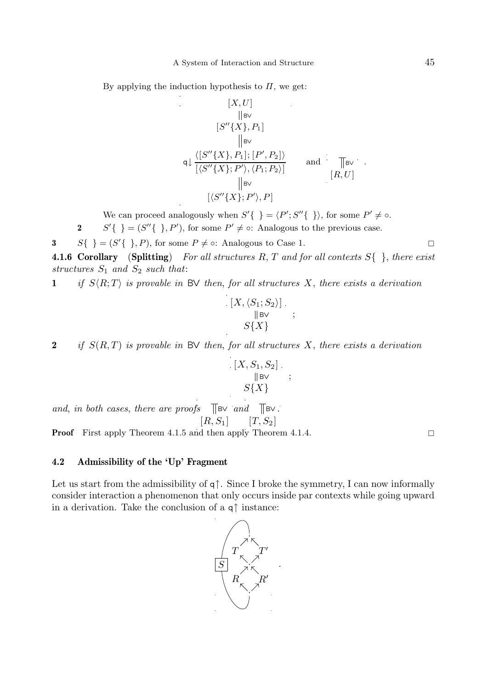By applying the induction hypothesis to  $\Pi$ , we get:

$$
[X, U]
$$
\n
$$
[[B] \text{B} \text{C} \text{D}]
$$
\n
$$
[[B] \text{C} \text{D}]
$$
\n
$$
[[B] \text{C} \text{D}]
$$
\n
$$
[S''\{X\}, P_1]; [P', P_2] \text{C}
$$
\n
$$
[S''\{X\}; P' \text{D}, \langle P_1; P_2 \rangle]
$$
\n
$$
[[B] \text{C} \text{D}]
$$
\n
$$
[[B, U] \text{D}]
$$
\n
$$
[[B, U] \text{D}]
$$
\n
$$
[[S''\{X\}; P' \text{D}], P]
$$

We can proceed analogously when  $S' \{ \} = \langle P'; S'' \{ \} \rangle$ , for some  $P' \neq \infty$ .

2  $S' \{ \} = (S'' \{ \}, P')$ , for some  $P' \neq \infty$ : Analogous to the previous case.

3  $S\{\}\equiv (S'\{\},P)$ , for some  $P\neq\infty$ : Analogous to Case 1.

4.1.6 Corollary (Splitting) For all structures R, T and for all contexts  $S\{\}$ , there exist structures  $S_1$  and  $S_2$  such that:

1 if  $S\langle R;T\rangle$  is provable in BV then, for all structures X, there exists a derivation

 $[X,\langle S_1; S_2\rangle]$  $S{X}$ BV ;

2 if  $S(R,T)$  is provable in BV then, for all structures X, there exists a derivation

$$
\begin{array}{c}\n[X, S_1, S_2] \\
\parallel_{\mathsf{BV}} \\
S\{X\}\n\end{array}
$$
;

and, in both cases, there are proofs  $\Box$  BV and  $\Box$  BV.  $[R, S_1]$   $[T, S_2]$ 

**Proof** First apply Theorem 4.1.5 and then apply Theorem 4.1.4. □

# 4.2 Admissibility of the 'Up' Fragment

Let us start from the admissibility of  $q \uparrow$ . Since I broke the symmetry, I can now informally consider interaction a phenomenon that only occurs inside par contexts while going upward in a derivation. Take the conclusion of a q↑ instance:

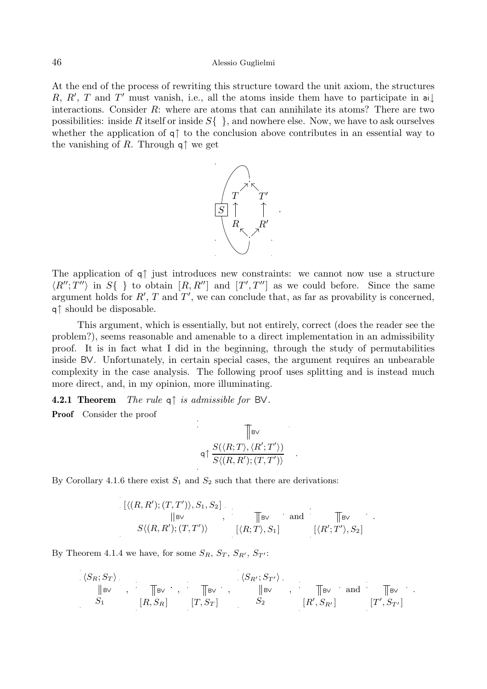At the end of the process of rewriting this structure toward the unit axiom, the structures R, R', T and T' must vanish, i.e., all the atoms inside them have to participate in  $a \downarrow$ interactions. Consider R: where are atoms that can annihilate its atoms? There are two possibilities: inside R itself or inside  $S\{\}$ , and nowhere else. Now, we have to ask ourselves whether the application of q↑ to the conclusion above contributes in an essential way to the vanishing of R. Through  $\mathsf{q} \uparrow$  we get



The application of q↑ just introduces new constraints: we cannot now use a structure  $\langle R''; T'' \rangle$  in S{ } to obtain  $[R, R'']$  and  $[T', T'']$  as we could before. Since the same argument holds for  $R'$ ,  $T$  and  $T'$ , we can conclude that, as far as provability is concerned, q↑ should be disposable.

This argument, which is essentially, but not entirely, correct (does the reader see the problem?), seems reasonable and amenable to a direct implementation in an admissibility proof. It is in fact what I did in the beginning, through the study of permutabilities inside BV . Unfortunately, in certain special cases, the argument requires an unbearable complexity in the case analysis. The following proof uses splitting and is instead much more direct, and, in my opinion, more illuminating.

**4.2.1 Theorem** The rule  $q \uparrow$  is admissible for BV.

Proof Consider the proof

$$
\mathbb{R}^{\mathbb{N}}
$$
\n
$$
\text{q} \uparrow \frac{S(\langle R;T \rangle, \langle R';T' \rangle)}{S\langle (R,R'); (T,T') \rangle}.
$$

By Corollary 4.1.6 there exist  $S_1$  and  $S_2$  such that there are derivations:

$$
[\langle (R, R'); (T, T')\rangle, S_1, S_2] \qquad \qquad \mathbb{R}^{\triangleright} \qquad \text{and} \qquad \mathbb{R}^{\triangleright} \qquad \mathbb{R}^{\triangleright} \qquad \mathbb{R}^{\triangleright} \qquad \mathbb{R}^{\triangleright} \qquad \mathbb{R}^{\triangleright} \qquad \mathbb{R}^{\triangleright} \qquad \mathbb{R}^{\triangleright} \qquad \mathbb{R}^{\triangleright} \qquad \mathbb{R}^{\triangleright} \qquad \mathbb{R}^{\triangleright} \qquad \mathbb{R}^{\triangleright} \qquad \mathbb{R}^{\triangleright} \qquad \mathbb{R}^{\triangleright} \qquad \mathbb{R}^{\triangleright} \qquad \mathbb{R}^{\triangleright} \qquad \mathbb{R}^{\triangleright} \qquad \mathbb{R}^{\triangleright} \qquad \mathbb{R}^{\triangleright} \qquad \mathbb{R}^{\triangleright} \qquad \mathbb{R}^{\triangleright} \qquad \mathbb{R}^{\triangleright} \qquad \mathbb{R}^{\triangleright} \qquad \mathbb{R}^{\triangleright} \qquad \mathbb{R}^{\triangleright} \qquad \mathbb{R}^{\triangleright} \qquad \mathbb{R}^{\triangleright} \qquad \mathbb{R}^{\triangleright} \qquad \mathbb{R}^{\triangleright} \qquad \mathbb{R}^{\triangleright} \qquad \mathbb{R}^{\triangleright} \qquad \mathbb{R}^{\triangleright} \qquad \mathbb{R}^{\triangleright} \qquad \mathbb{R}^{\triangleright} \qquad \mathbb{R}^{\triangleright} \qquad \mathbb{R}^{\triangleright} \qquad \mathbb{R}^{\triangleright} \qquad \mathbb{R}^{\triangleright} \qquad \mathbb{R}^{\triangleright} \qquad \mathbb{R}^{\triangleright} \qquad \mathbb{R}^{\triangleright} \qquad \mathbb{R}^{\triangleright} \qquad \mathbb{R}^{\triangleright} \qquad \mathbb{R}^{\triangleright} \qquad \mathbb{R}^{\triangleright} \qquad \mathbb{R}^{\triangleright} \qquad \mathbb{R}^{\triangleright} \qquad \mathbb{R}^{\triangleright} \qquad \math
$$

By Theorem 4.1.4 we have, for some  $S_R$ ,  $S_T$ ,  $S_{R'}$ ,  $S_{T'}$ :

$$
\langle S_R; S_T \rangle
$$
  
\n $\|\mathbf{B} \vee \mathbf{B} \wedge \mathbf{B} \mathbf{B} \|\mathbf{B} \vee \mathbf{B} \mathbf{B} \mathbf{B} \mathbf{C} \mathbf{C} \mathbf{B} \mathbf{C} \mathbf{C} \mathbf{B} \mathbf{C} \mathbf{C} \mathbf{B} \mathbf{C} \mathbf{C} \mathbf{C} \mathbf{C} \mathbf{B} \mathbf{C} \mathbf{C} \mathbf{C} \mathbf{C} \mathbf{C} \mathbf{C} \mathbf{C} \mathbf{C} \mathbf{C} \mathbf{C} \mathbf{C} \mathbf{C} \mathbf{C} \mathbf{C} \mathbf{C} \mathbf{C} \mathbf{C} \mathbf{C} \mathbf{C} \mathbf{C} \mathbf{C} \mathbf{C} \mathbf{C} \mathbf{C} \mathbf{C} \mathbf{C} \mathbf{C} \mathbf{C} \mathbf{C} \mathbf{C} \mathbf{C} \mathbf{C} \mathbf{C} \mathbf{C} \mathbf{C} \mathbf{C} \mathbf{C} \mathbf{C} \mathbf{C} \mathbf{C} \mathbf{C} \mathbf{C} \mathbf{C} \mathbf{C} \mathbf{C} \mathbf{C} \mathbf{C} \mathbf{C} \mathbf{C} \mathbf{C} \mathbf{C} \mathbf{C} \mathbf{C} \mathbf{C} \mathbf{C} \mathbf{C} \mathbf{C} \mathbf{C} \mathbf{C} \mathbf{C} \mathbf{C} \mathbf{C} \mathbf{C} \mathbf{C} \mathbf{C} \mathbf{C} \mathbf{C} \mathbf{C} \mathbf{C} \mathbf{C} \mathbf{C} \mathbf{C} \mathbf{C} \mathbf{C} \mathbf{C} \mathbf{C} \mathbf{C} \mathbf{C} \mathbf{C} \mathbf{C} \mathbf{C} \mathbf{C} \mathbf{C} \mathbf{C} \mathbf{C} \mathbf{C} \mathbf{C} \mathbf{C} \mathbf{C} \mathbf{C} \mathbf{C} \mathbf{C} \mathbf{C} \mathbf{C} \mathbf{C} \mathbf{C} \mathbf{C} \mathbf{C} \mathbf{C} \mathbf{C}$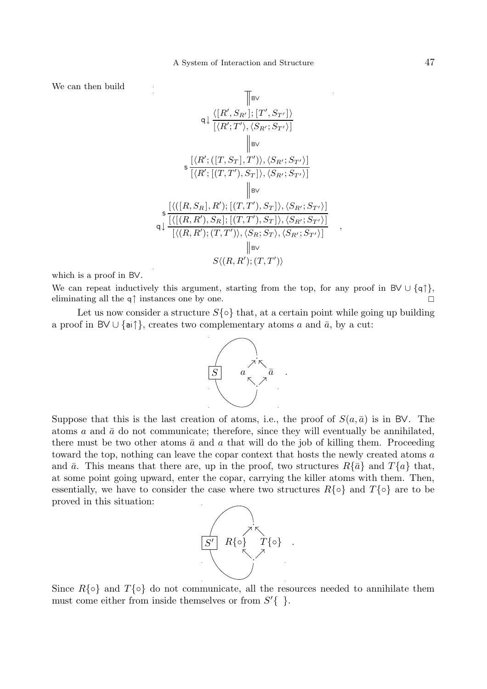We can then build

$$
\|\mathbf{B}\|_{\mathcal{S}}
$$
\n
$$
q \downarrow \frac{\langle [R', S_{R'}]; [T', S_{T'}]\rangle}{[(R'; T'), \langle S_{R'}; S_{T'}\rangle]}
$$
\n
$$
\|\mathbf{B}\|_{\mathcal{S}}
$$
\n
$$
s \frac{[\langle R';([T, S_T], T')\rangle, \langle S_{R'}; S_{T'}\rangle]}{[\langle R';[(T, T'), S_T]\rangle, \langle S_{R'}; S_{T'}\rangle]}
$$
\n
$$
\|\mathbf{B}\|_{\mathcal{S}}
$$
\n
$$
s \frac{[\langle ([R, S_R], R'); [T, T'), S_T]\rangle, \langle S_{R'}; S_{T'}\rangle]}{[\langle ([R, R'), S_R]; [(T, T'), S_T]\rangle, \langle S_{R'}; S_{T'}\rangle]}
$$
\n
$$
\|\mathbf{B}\|_{\mathcal{S}}
$$
\n
$$
S \langle (R, R'); (T, T')\rangle
$$

which is a proof in BV.

We can repeat inductively this argument, starting from the top, for any proof in BV  $\cup$  {q↑}, eliminating all the  $q \uparrow$  instances one by one.

Let us now consider a structure  $S\{\circ\}$  that, at a certain point while going up building a proof in BV ∪ {ai^}, creates two complementary atoms a and  $\bar{a}$ , by a cut:



Suppose that this is the last creation of atoms, i.e., the proof of  $S(a, \bar{a})$  is in BV. The atoms  $a$  and  $\bar{a}$  do not communicate; therefore, since they will eventually be annihilated, there must be two other atoms  $\bar{a}$  and a that will do the job of killing them. Proceeding toward the top, nothing can leave the copar context that hosts the newly created atoms a and  $\bar{a}$ . This means that there are, up in the proof, two structures  $R{\bar{a}}$  and  $T{a}$  that, at some point going upward, enter the copar, carrying the killer atoms with them. Then, essentially, we have to consider the case where two structures  $R\{\circ\}$  and  $T\{\circ\}$  are to be proved in this situation:



Since  $R\{\circ\}$  and  $T\{\circ\}$  do not communicate, all the resources needed to annihilate them must come either from inside themselves or from  $S'$ { }.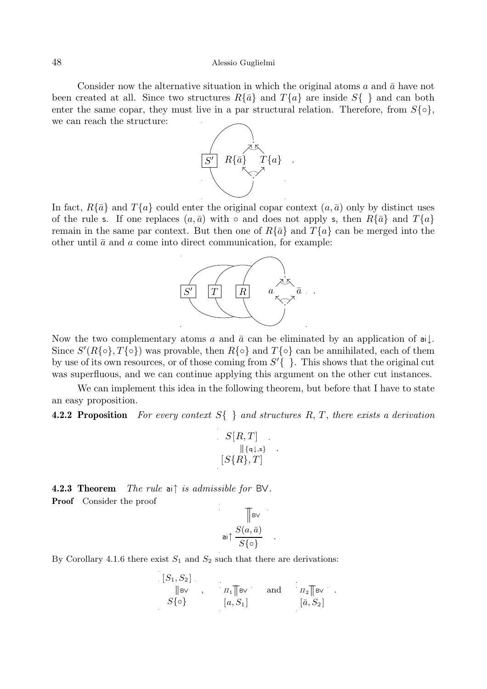#### 48 Alessio Guglielmi

Consider now the alternative situation in which the original atoms  $a$  and  $\bar{a}$  have not been created at all. Since two structures  $R\{\bar{a}\}\$  and  $T\{a\}$  are inside  $S\{\}$  and can both enter the same copar, they must live in a par structural relation. Therefore, from  $S\{\circ\}$ , we can reach the structure:



In fact,  $R\{\bar{a}\}\$  and  $T\{a\}$  could enter the original copar context  $(a,\bar{a})$  only by distinct uses of the rule s. If one replaces  $(a, \bar{a})$  with ∘ and does not apply s, then  $R\{\bar{a}\}\$  and  $T\{a\}$ remain in the same par context. But then one of  $R\{\bar{a}\}\$  and  $T\{a\}$  can be merged into the other until  $\bar{a}$  and a come into direct communication, for example:



Now the two complementary atoms a and  $\bar{a}$  can be eliminated by an application of ai. Since  $S'(R\{\circ\}, T\{\circ\})$  was provable, then  $R\{\circ\}$  and  $T\{\circ\}$  can be annihilated, each of them by use of its own resources, or of those coming from  $S'$  }. This shows that the original cut was superfluous, and we can continue applying this argument on the other cut instances.

We can implement this idea in the following theorem, but before that I have to state an easy proposition.

**4.2.2 Proposition** For every context  $S\{\}$  and structures R, T, there exists a derivation

$$
S[R,T]
$$

$$
\mathbb{I}\{\mathsf{q}\downarrow,\mathsf{s}\}
$$

$$
[S\{R\},T]
$$

**4.2.3 Theorem** The rule ai<sup> $\uparrow$ </sup> is admissible for BV. Proof Consider the proof

$$
\|\mathsf{BV}\|_{\mathsf{B}\vee}
$$
\n
$$
\mathsf{ai}\uparrow \frac{S(a,\bar{a})}{S\{\circ\}}.
$$

By Corollary 4.1.6 there exist  $S_1$  and  $S_2$  such that there are derivations:

$$
\begin{array}{ccc}\n[S_1, S_2] \\
\parallel \text{BV} \\
S\{\circ\} \\
\end{array}, \qquad\n\begin{array}{ccc}\n\pi_1 \parallel \text{BV} \\
a, S_1\n\end{array}\n\text{ and } \qquad\n\begin{array}{ccc}\n\pi_2 \parallel \text{BV} \\
\bar{a}, S_2\n\end{array}.
$$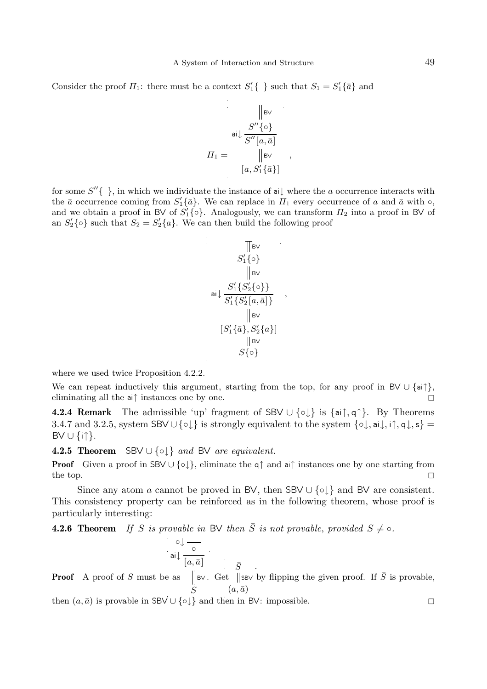Consider the proof  $\Pi_1$ : there must be a context  $S'_1\{\}\}$  such that  $S_1 = S'_1\{\bar{a}\}\$  and

$$
\begin{aligned}\n\mathbb{B} \times \mathbb{B} \\
\mathbb{B} \times \mathbb{B} \\
\mathbb{B} \times \mathbb{B} \\
\mathbb{B} \times \mathbb{B} \\
\mathbb{B} \times \mathbb{B} \\
\mathbb{B} \times \mathbb{B} \\
\mathbb{B} \times \mathbb{B} \\
\mathbb{B} \times \mathbb{B} \\
\mathbb{B} \times \mathbb{B} \\
\mathbb{B} \times \mathbb{B} \\
\mathbb{B} \times \mathbb{B} \\
\mathbb{B} \times \mathbb{B} \\
\mathbb{B} \times \mathbb{B} \\
\mathbb{B} \times \mathbb{B} \\
\mathbb{B} \times \mathbb{B} \\
\mathbb{B} \times \mathbb{B} \\
\mathbb{B} \times \mathbb{B} \\
\mathbb{B} \times \mathbb{B} \\
\mathbb{B} \times \mathbb{B} \\
\mathbb{B} \times \mathbb{B} \\
\mathbb{B} \times \mathbb{B} \\
\mathbb{B} \times \mathbb{B} \\
\mathbb{B} \times \mathbb{B} \\
\mathbb{B} \times \mathbb{B} \\
\mathbb{B} \times \mathbb{B} \\
\mathbb{B} \times \mathbb{B} \\
\mathbb{B} \times \mathbb{B} \\
\mathbb{B} \times \mathbb{B} \\
\mathbb{B} \times \mathbb{B} \\
\mathbb{B} \times \mathbb{B} \\
\mathbb{B} \times \mathbb{B} \\
\mathbb{B} \times \mathbb{B} \\
\mathbb{B} \times \mathbb{B} \\
\mathbb{B} \times \mathbb{B} \\
\mathbb{B} \times \mathbb{B} \\
\mathbb{B} \times \mathbb{B} \\
\mathbb{B} \times \mathbb{B} \\
\mathbb{B} \times \mathbb{B} \\
\mathbb{B} \times \mathbb{B} \\
\mathbb{B} \times \mathbb{B} \\
\mathbb{B} \times \mathbb{B} \\
\mathbb{B} \times \mathbb{B} \\
\mathbb{B} \times \mathbb{B} \\
\mathbb{B} \times \mathbb{B} \\
\mathbb{B} \times \mathbb{B} \\
\mathbb{B} \times \mathbb{B} \\
\mathbb{B} \times \mathbb{B} \\
\mathbb{B} \times \mathbb{B} \\
\mathbb{B} \times \mathbb{B} \\
\mathbb{B} \times \mathbb{B} \\
\mathbb{
$$

for some  $S''\{\}\$ , in which we individuate the instance of ai $\downarrow$  where the a occurrence interacts with the  $\bar{a}$  occurrence coming from  $S'_{1}\{\bar{a}\}\$ . We can replace in  $\Pi_{1}$  every occurrence of a and  $\bar{a}$  with  $\circ$ , and we obtain a proof in BV of  $S'_{1}\{\circ\}$ . Analogously, we can transform  $\Pi_2$  into a proof in BV of an  $S'_2\{\circ\}$  such that  $S_2 = S'_2\{a\}$ . We can then build the following proof

$$
\begin{array}{c}\n\begin{array}{c}\n\text{[By]} \\
S_1' \{\circ\} \\
\text{[By]} \\
\text{ai} \downarrow \frac{S_1' \{S_2' \{\circ\}\}}{S_1' \{S_2' \{a, \bar{a}\}\}} \\
\text{[By]} \\
\text{[By]} \\
\text{[By]} \\
S_1' \{\bar{a}\}, S_2' \{a\}\n\end{array}\n\end{array}
$$

where we used twice Proposition 4.2.2.

We can repeat inductively this argument, starting from the top, for any proof in BV ∪ {ai^}, eliminating all the ai↑ instances one by one.

**4.2.4 Remark** The admissible 'up' fragment of SBV  $\cup$  {∘ $\downarrow$ } is {ai $\uparrow$ , q $\uparrow$ }. By Theorems 3.4.7 and 3.2.5, system SBV  $\cup$  {∘ $\downarrow$ } is strongly equivalent to the system {∘ $\downarrow$ , ai $\downarrow$ , i $\uparrow$ ,  $q\downarrow$ , s} =  $BV \cup \{i\uparrow\}.$ 

**4.2.5 Theorem** SBV  $\cup$  {∘ $\downarrow$ } and BV are equivalent.

Proof Given a proof in SBV ∪ {◦↓}, eliminate the q↑ and ai↑ instances one by one starting from the top.  $\Box$ 

Since any atom a cannot be proved in BV, then SBV ∪ {∘ $\downarrow$ } and BV are consistent. This consistency property can be reinforced as in the following theorem, whose proof is particularly interesting:

**4.2.6 Theorem** If S is provable in BV then  $\overline{S}$  is not provable, provided  $S \neq \infty$ .

$$
\circ \downarrow \frac{\circ}{\circ}
$$
\n
$$
\mathsf{ai} \downarrow \frac{\circ}{[a, \bar{a}]}
$$
\n
$$
\parallel \qquad \qquad \Box
$$

**Proof** A proof of S must be as S BV . Get  $(a, \bar{a})$  $\mathsf{S}$ B $\vee$  by flipping the given proof. If  $\overline{S}$  is provable,

 $\bar{S}$ 

then  $(a, \bar{a})$  is provable in SBV  $\cup \{ \circ \downarrow \}$  and then in BV: impossible.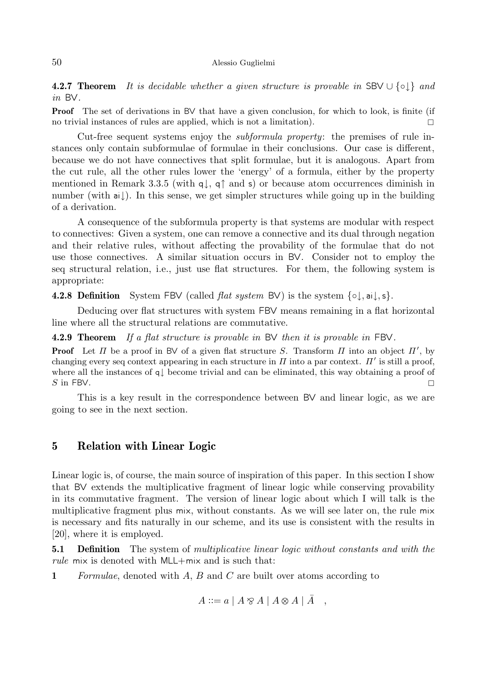**4.2.7 Theorem** It is decidable whether a given structure is provable in SBV ∪ {**○**<sup>1</sup>} and in BV .

**Proof** The set of derivations in BV that have a given conclusion, for which to look, is finite (if no trivial instances of rules are applied, which is not a limitation).

Cut-free sequent systems enjoy the subformula property: the premises of rule instances only contain subformulae of formulae in their conclusions. Our case is different, because we do not have connectives that split formulae, but it is analogous. Apart from the cut rule, all the other rules lower the 'energy' of a formula, either by the property mentioned in Remark 3.3.5 (with  $q\downarrow$ ,  $q\uparrow$  and s) or because atom occurrences diminish in number (with ai↓). In this sense, we get simpler structures while going up in the building of a derivation.

A consequence of the subformula property is that systems are modular with respect to connectives: Given a system, one can remove a connective and its dual through negation and their relative rules, without affecting the provability of the formulae that do not use those connectives. A similar situation occurs in BV . Consider not to employ the seq structural relation, i.e., just use flat structures. For them, the following system is appropriate:

4.2.8 Definition System FBV (called *flat system* BV) is the system  $\{\circ, \mathsf{a} \}$ ,  $\mathsf{a} \}$ ,

Deducing over flat structures with system FBV means remaining in a flat horizontal line where all the structural relations are commutative.

**4.2.9 Theorem** If a flat structure is provable in BV then it is provable in FBV.

**Proof** Let  $\Pi$  be a proof in BV of a given flat structure S. Transform  $\Pi$  into an object  $\Pi'$ , by changing every seq context appearing in each structure in  $\Pi$  into a par context.  $\Pi'$  is still a proof, where all the instances of q↓ become trivial and can be eliminated, this way obtaining a proof of S in FBV.  $\Box$ 

This is a key result in the correspondence between BV and linear logic, as we are going to see in the next section.

# 5 Relation with Linear Logic

Linear logic is, of course, the main source of inspiration of this paper. In this section I show that BV extends the multiplicative fragment of linear logic while conserving provability in its commutative fragment. The version of linear logic about which I will talk is the multiplicative fragment plus mix, without constants. As we will see later on, the rule mix is necessary and fits naturally in our scheme, and its use is consistent with the results in [20], where it is employed.

**5.1** Definition The system of multiplicative linear logic without constants and with the *rule* mix is denoted with MLL+mix and is such that:

1 Formulae, denoted with  $A, B$  and  $C$  are built over atoms according to

 $A ::= a | A \otimes A | A \otimes A | \overline{A}$ ,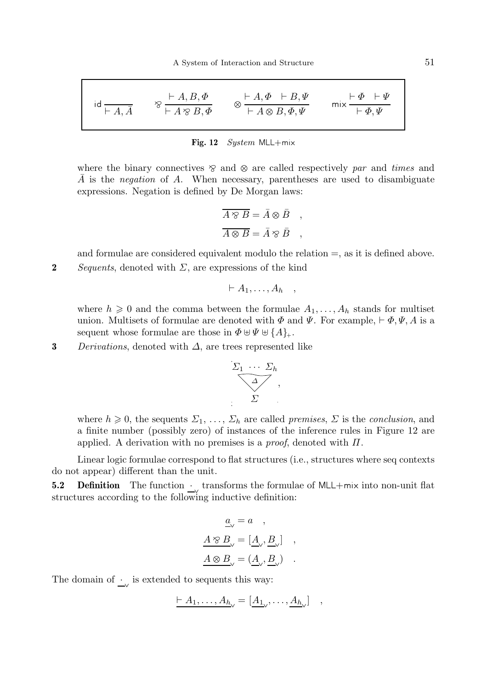$$
\mathrm{id}\xrightarrow[\vdash A,\bar{A}]{} \qquad \otimes \xrightarrow[\vdash A\otimes B,\Phi]{} \qquad \otimes \xrightarrow[\vdash A\otimes B,\Phi,\Psi]{} \qquad \mathrm{mix}\xrightarrow[\vdash \Phi \vdash \Psi]{} \\
$$

Fig. 12 System MLL+mix

where the binary connectives  $\otimes$  and  $\otimes$  are called respectively par and times and A is the negation of A. When necessary, parentheses are used to disambiguate expressions. Negation is defined by De Morgan laws:

$$
\overline{A \otimes B} = \overline{A} \otimes \overline{B} ,
$$
  

$$
\overline{A \otimes B} = \overline{A} \otimes \overline{B} ,
$$

and formulae are considered equivalent modulo the relation =, as it is defined above. 2 Sequents, denoted with  $\Sigma$ , are expressions of the kind

$$
\vdash A_1,\ldots,A_h\quad,
$$

where  $h \geq 0$  and the comma between the formulae  $A_1, \ldots, A_h$  stands for multiset union. Multisets of formulae are denoted with  $\Phi$  and  $\Psi$ . For example,  $\vdash \Phi, \Psi, A$  is a sequent whose formulae are those in  $\Phi \oplus \Psi \oplus \{A\}_{\pm}$ .

3 Derivations, denoted with  $\Delta$ , are trees represented like

$$
\begin{array}{c}\n\Sigma_1 \cdots \Sigma_h \\
\hline\n\searrow^{\Delta} \\
\Sigma\n\end{array}
$$

where  $h \geq 0$ , the sequents  $\Sigma_1, \ldots, \Sigma_h$  are called *premises*,  $\Sigma$  is the *conclusion*, and a finite number (possibly zero) of instances of the inference rules in Figure 12 are applied. A derivation with no premises is a *proof*, denoted with  $\Pi$ .

Linear logic formulae correspond to flat structures (i.e., structures where seq contexts do not appear) different than the unit.

**5.2** Definition The function  $\frac{1}{x}$  transforms the formulae of MLL+mix into non-unit flat structures according to the following inductive definition:

$$
\underline{a}_{\vee} = a \quad ,
$$
  

$$
\underline{A \otimes B}_{\vee} = [\underline{A}_{\vee}, \underline{B}_{\vee}] \quad ,
$$
  

$$
\underline{A \otimes B}_{\vee} = (\underline{A}_{\vee}, \underline{B}_{\vee}) \quad .
$$

The domain of  $\frac{1}{x}$  is extended to sequents this way:

$$
\vdash A_1, \ldots, A_{h_v} = [A_1, \ldots, A_{h_v}] \quad ,
$$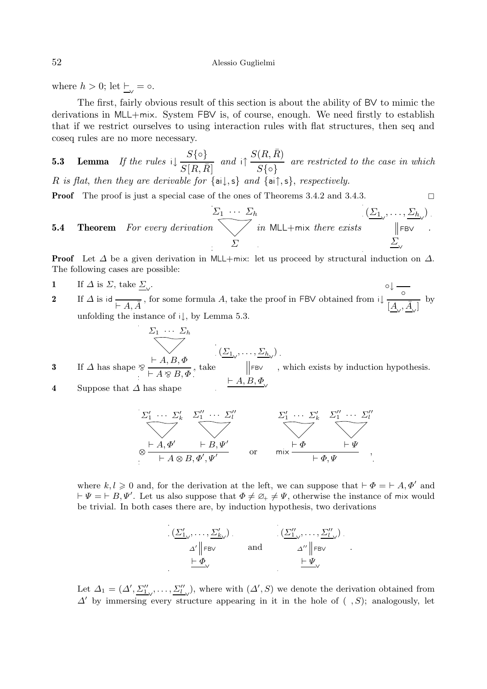where  $h > 0$ ; let  $\underline{\vdash}_{\vee} = \circ$ .

The first, fairly obvious result of this section is about the ability of BV to mimic the derivations in MLL+mix. System FBV is, of course, enough. We need firstly to establish that if we restrict ourselves to using interaction rules with flat structures, then seq and coseq rules are no more necessary.

**5.3** Lemma If the rules  $S\{\circ\}$  $i\downarrow \frac{\infty}{S[R,\bar{R}]}$  and  $S(R,\bar{R})$ i↑  $S\{\circ\}$ are restricted to the case in which R is flat, then they are derivable for  $\{a\downarrow, s\}$  and  $\{a\uparrow, s\}$ , respectively.

**Proof** The proof is just a special case of the ones of Theorems 3.4.2 and 3.4.3.

**5.4 Theorem** For every derivation  $\Sigma_1 \cdots \Sigma_h$ Σ in MLL+mix there exists  $(\underline{\Sigma_1},\ldots,\underline{\Sigma_h})$  $\varSigma_{\check{}}$ FBV .

**Proof** Let  $\Delta$  be a given derivation in MLL+mix: let us proceed by structural induction on  $\Delta$ . The following cases are possible:

- 1 If  $\Delta$  is  $\Sigma$ , take  $\underline{\Sigma}_{\vee}$ .
- 2 If  $\Delta$  is id  $\frac{1}{\Box A, \overline{A}}$ , for some formula A, take the proof in FBV obtained from ◦↓ ◦ i↓  $[\underline{A}_{\mathsf{v}}, \overline{A}_{\mathsf{v}}]$ by unfolding the instance of  $i\downarrow$ , by Lemma 5.3.

3 If 
$$
\triangle
$$
 has shape  $\otimes \frac{\vdash A, B, \Phi}{\vdash A \otimes B, \Phi}$ , take  $\frac{(\Sigma_1, \ldots, \Sigma_{h_\vee})}{\vdash A, B, \Phi}$ , which exists by induction hypothesis.

4 Suppose that  $\Delta$  has shape



where  $k, l \geq 0$  and, for the derivation at the left, we can suppose that  $\vdash \Phi = \vdash A, \Phi'$  and  $\vdash \Psi = \vdash B, \Psi'$ . Let us also suppose that  $\Phi \neq \emptyset_+ \neq \Psi$ , otherwise the instance of mix would be trivial. In both cases there are, by induction hypothesis, two derivations

$$
\underbrace{(\underline{\Sigma'_{1\vee}},\ldots,\underline{\Sigma'_{k\vee}})}_{\Delta' \parallel \text{FBV}} \qquad \text{and} \qquad \underbrace{(\underline{\Sigma''_{1\vee}},\ldots,\underline{\Sigma''_{l\vee}})}_{\Delta'' \parallel \text{FBV}})
$$
\n
$$
\underbrace{\vdots\vdots}_{\Delta'' \parallel \text{FBV}} \qquad \text{and} \qquad \underbrace{\Delta'' \parallel}_{\Delta'' \parallel \text{FBV}}
$$

.

Let  $\Delta_1 = (\Delta', \underline{\Sigma''_{1}}_{\vee}, \ldots, \underline{\Sigma''_{l}}_{\vee}),$  where with  $(\Delta', S)$  we denote the derivation obtained from  $\Delta'$  by immersing every structure appearing in it in the hole of (, S); analogously, let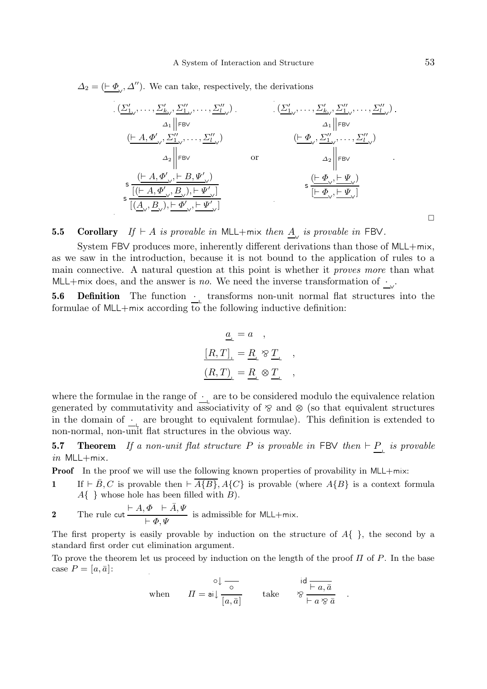$\Delta_2 = (\underline{\vdash \Phi}_{\vee}, \Delta'')$ . We can take, respectively, the derivations

$$
\frac{(\Sigma'_{1\vee}, \dots, \Sigma'_{k\vee}, \Sigma''_{1\vee}, \dots, \Sigma''_{l\vee})}{\Delta_1 || \text{rev}}
$$
\n
$$
\frac{(\Sigma'_{1\vee}, \dots, \Sigma'_{k\vee}, \Sigma''_{1\vee}, \dots, \Sigma''_{l\vee})}{\Delta_1 || \text{rev}}
$$
\n
$$
\frac{(\vdash A, \Phi'_{\vee}, \Sigma''_{1\vee}, \dots, \Sigma''_{l\vee})}{\Delta_2 || \text{rev}}
$$
\nor\n
$$
\frac{\Delta_2 || \text{rev}}{\Delta_2 || \text{rev}}
$$
\n
$$
\frac{\Delta_2 || \text{rev}}{\Delta_2 || \text{rev}}
$$
\n
$$
\frac{\Delta_2 || \text{rev}}{\Delta_2 || \text{rev}}
$$
\n
$$
\frac{\Delta_2 || \text{rev}}{\Delta_2 || \text{rev}}
$$
\n
$$
\frac{\Delta_2 || \text{rev}}{\Delta_2 || \text{rev}}
$$

**5.5 Corollary** If  $\vdash A$  is provable in MLL+mix then  $\underline{A}_{\vee}$  is provable in FBV.

System FBV produces more, inherently different derivations than those of MLL+mix, as we saw in the introduction, because it is not bound to the application of rules to a main connective. A natural question at this point is whether it *proves more* than what MLL+mix does, and the answer is no. We need the inverse transformation of  $\frac{1}{x}$ .

**5.6 Definition** The function  $\frac{1}{\sqrt{1}}$  transforms non-unit normal flat structures into the formulae of MLL $+m$ ix according to the following inductive definition:

$$
\begin{aligned} \underline{a}_{\rm L} &= a \quad , \\ \underline{[R,T]}_{\rm L} &= \underline{R}_{\rm L} \otimes \underline{T}_{\rm L} \quad , \\ \underline{(R,T)}_{\rm L} &= \underline{R}_{\rm L} \otimes \underline{T}_{\rm L} \quad , \end{aligned}
$$

where the formulae in the range of  $\frac{1}{\sqrt{2}}$  are to be considered modulo the equivalence relation generated by commutativity and associativity of  $\vartheta$  and  $\vartheta$  (so that equivalent structures in the domain of  $\frac{1}{\sqrt{2}}$  are brought to equivalent formulae). This definition is extended to non-normal, non-unit flat structures in the obvious way.

**5.7** Theorem If a non-unit flat structure P is provable in FBV then  $\vdash p$  is provable  $in$  MLL+mix.

**Proof** In the proof we will use the following known properties of provability in MLL+mix:

1 If  $\vdash \bar{B}, C$  is provable then  $\vdash \overline{A\{B\}}, A\{C\}$  is provable (where  $A\{B\}$  is a context formula  $A\{\}\$  whose hole has been filled with  $B$ ).

2 The rule cut 
$$
\frac{\vdash A, \Phi \vdash \bar{A}, \Psi}{\vdash \Phi, \Psi}
$$
 is admissible for MLL+mix.

The first property is easily provable by induction on the structure of  $A\{\}$ , the second by a standard first order cut elimination argument.

To prove the theorem let us proceed by induction on the length of the proof  $\Pi$  of  $P$ . In the base case  $P = [a, \bar{a}]$ :

when 
$$
\Pi = \text{ai}\downarrow \frac{\text{ol}}{[a,\bar{a}]}
$$
 take  $\text{ab} = \frac{\text{id}}{\text{a} \times \bar{a}}$ .

 $\Box$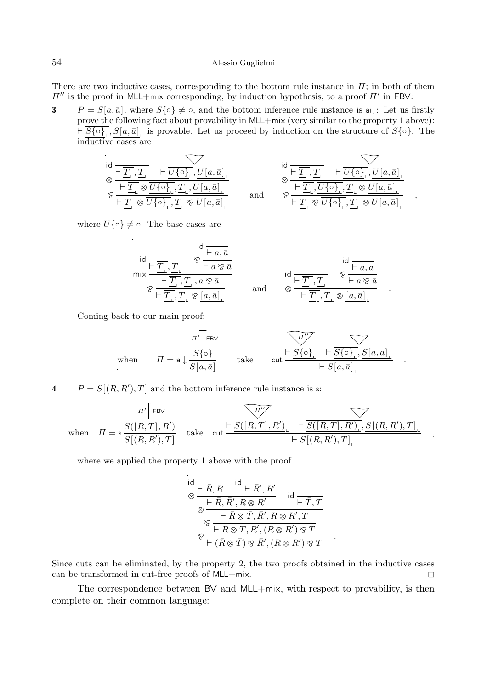# 54 Alessio Guglielmi

There are two inductive cases, corresponding to the bottom rule instance in  $\Pi$ ; in both of them  $\Pi''$  is the proof in MLL+mix corresponding, by induction hypothesis, to a proof  $\Pi'$  in FBV:

3 P =  $S[a, \bar{a}]$ , where  $S\{o\} \neq o$ , and the bottom inference rule instance is  $a \downarrow$ : Let us firstly prove the following fact about provability in MLL+mix (very similar to the property 1 above):  $\vdash S\{\circ\}, S[a, \bar{a}]$  is provable. Let us proceed by induction on the structure of  $S\{\circ\}$ . The inductive cases are

$$
\begin{array}{ccc} \overset{\mathsf{id}}{\otimes} & \frac{\overbrace{\vdash \overline{T_{\llcorner}}, \underline{T_{\llcorner}}} + \overbrace{\underline{U\{\circ\}}_{\llcorner}, \underline{U\left[a, \bar{a}\right]_{\ll}} } & & \overset{\mathsf{id}}{\otimes} & \frac{\overbrace{\vdash \overline{T_{\llcorner}}, \underline{T_{\llcorner}}} + \overbrace{\underline{U\{\circ\}}_{\llcorner}, \underline{U\left[a, \bar{a}\right]_{\ll}} } }{\otimes & \frac{\vdash \overline{T_{\llcorner}}, \underline{T_{\llcorner}}} \end{array} \qquad \text{and} \qquad \begin{array}{c} \overset{\mathsf{id}}{\otimes} & \frac{\overbrace{\vdash \overline{T_{\llcorner}}, \underline{T_{\llcorner}}} + \overbrace{\underline{U\{\circ\}}_{\llcorner}, \underline{U\left[a, \bar{a}\right]_{\ll}} } }{\otimes & \frac{\vdash \overline{T_{\llcorner}}, \overline{U\{\circ\}}_{\llcorner}, \underline{T_{\llcorner}} \otimes \underline{U\left[a, \bar{a}\right]_{\ll}} } \\ & \overset{\mathsf{id}}{\otimes} & \frac{\vdash \overline{T_{\llcorner}}, \overline{U\{\circ\}}_{\llcorner}, \underline{T_{\llcorner} \otimes \underline{U\left[a, \bar{a}\right]_{\ll}} } }{\otimes & \frac{\vdash \overline{T_{\llcorner}}, \overline{U\{\circ\}}_{\llcorner}, \underline{T_{\llcorner} \otimes \underline{U\left[a, \bar{a}\right]_{\ll}} } } \end{array} \qquad ,
$$

where  $U\{\circ\} \neq \circ$ . The base cases are

$$
\operatorname{ind} \frac{\overline{\mathcal{F}}_{\mathcal{L}}, \underline{T}_{\mathcal{L}}}{\gamma \overline{\mathcal{F}}_{\mathcal{L}}, \underline{T}_{\mathcal{L}}} \frac{\gamma \overline{\mathcal{F}}_{\mathcal{L}} \overline{a}, \overline{a}}{\gamma \overline{\mathcal{F}}_{\mathcal{L}}, \underline{T}_{\mathcal{L}}} \qquad \text{and} \qquad \operatorname{id} \frac{\overline{\mathcal{F}}_{\mathcal{L}}, \underline{T}_{\mathcal{L}}}{\gamma \overline{\mathcal{F}}_{\mathcal{L}}, \underline{T}_{\mathcal{L}}} \frac{\overline{\mathcal{F}}_{\mathcal{L}} \overline{a}, \overline{a}}{\gamma \overline{\mathcal{F}}_{\mathcal{L}}, \underline{T}_{\mathcal{L}}} \qquad \text{and} \qquad \otimes \frac{\overline{\mathcal{F}}_{\mathcal{L}}, \underline{T}_{\mathcal{L}}}{\overline{\mathcal{F}}_{\mathcal{L}}, \underline{T}_{\mathcal{L}}} \frac{\gamma \overline{\mathcal{F}}_{\mathcal{L}} \overline{a}, \overline{a}}{\gamma \overline{\mathcal{F}}_{\mathcal{L}}} \qquad \text{and} \qquad \otimes \frac{\overline{\mathcal{F}}_{\mathcal{L}} \overline{a}, \underline{T}_{\mathcal{L}}} {\overline{\mathcal{F}}_{\mathcal{L}}} \frac{\gamma \overline{\mathcal{F}}_{\mathcal{L}} \overline{a}, \overline{a}}{\overline{\mathcal{F}}_{\mathcal{L}}} \qquad \text{and} \qquad \otimes \frac{\overline{\mathcal{F}}_{\mathcal{L}} \overline{a}, \underline{T}_{\mathcal{L}}} \frac{\gamma \overline{\mathcal{F}}_{\mathcal{L}} \overline{a}, \overline{a}}{\overline{\mathcal{F}}_{\mathcal{L}}} \qquad \qquad \mathcal{F}_{\mathcal{L}} \qquad \qquad \mathcal{F}_{\mathcal{L}} \qquad \qquad \mathcal{F}_{\mathcal{L}} \qquad \qquad \mathcal{F}_{\mathcal{L}} \qquad \qquad \mathcal{F}_{\mathcal{L}} \qquad \qquad \mathcal{F}_{\mathcal{L}} \qquad \qquad \mathcal{F}_{\mathcal{L}} \qquad \qquad \mathcal{F}_{\mathcal{L}} \qquad \qquad \mathcal{F}_{\mathcal{L}} \qquad \qquad \mathcal{F}_{\mathcal{L
$$

Coming back to our main proof:

$$
\pi' \overline{\rVert_{\text{FBV}}} \qquad \qquad \overbrace{\frac{S\{\text{o}\}}{S[a,\bar{a}]}} \qquad \text{take} \qquad \overbrace{\text{cut} \frac{S\{\text{o}\}}{\text{CE} \underline{S\{\text{o}\}}_{\bot} \cdot S[a,\bar{a}]}} \qquad \text{.}
$$

4  $P = S[(R, R'), T]$  and the bottom inference rule instance is s:

$$
\pi' \parallel^{FBV} \frac{\pi'}{\pi'}
$$
  
when  $\Pi = s \frac{S([R, T], R')}{S[(R, R'), T]}$  take cut 
$$
\frac{\vdash S([R, T], R')_{\llcorner} \vdash \overline{S([R, T], R')_{\llcorner}}, \underline{S[(R, R'), T]}_{\llcorner}, \underline{S[(R, R'), T]}_{\llcorner}, \underline{S[(R, R'), T]}_{\llcorner}, \underline{S[(R, R'), T]}_{\llcorner}, \underline{S[(R, R'), T]}_{\llcorner}, \underline{S[(R, R'), T]}_{\llcorner}, \underline{S[(R, R'), T]}_{\llcorner}
$$

where we applied the property 1 above with the proof

$$
\frac{\mathsf{Id}}{\otimes \frac{\vdash \bar{R}, R}{\vdash \bar{R}, \bar{R}', R \otimes R'}} \quad \mathsf{Id} \xrightarrow{\vdash \bar{T}, T}
$$
\n
$$
\otimes \frac{\vdash \bar{R}, \bar{R}', R \otimes R'}{\vdash \bar{R} \otimes \bar{T}, \bar{R}', R \otimes R', T}
$$
\n
$$
\otimes \frac{\vdash \bar{R} \otimes \bar{T}, \bar{R}', (R \otimes R') \otimes T}{\vdash (\bar{R} \otimes \bar{T}) \otimes \bar{R}', (R \otimes R') \otimes T} \quad .
$$

Since cuts can be eliminated, by the property 2, the two proofs obtained in the inductive cases can be transformed in cut-free proofs of MLL+mix.  $\Box$ 

The correspondence between BV and MLL+mix, with respect to provability, is then complete on their common language: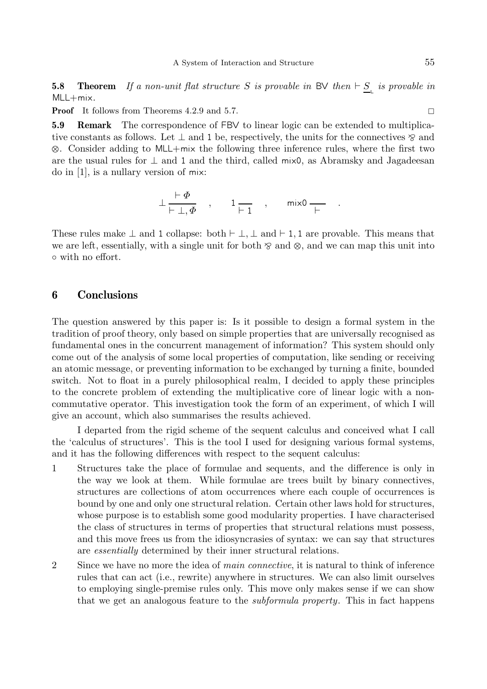**5.8** Theorem If a non-unit flat structure S is provable in BV then  $\vdash \underline{S}_{\perp}$  is provable in MLL+mix.

**Proof** It follows from Theorems 4.2.9 and 5.7. □

5.9 Remark The correspondence of FBV to linear logic can be extended to multiplicative constants as follows. Let  $\perp$  and 1 be, respectively, the units for the connectives  $\otimes$  and  $\otimes$ . Consider adding to MLL+mix the following three inference rules, where the first two are the usual rules for  $\perp$  and 1 and the third, called mix0, as Abramsky and Jagadeesan do in [1], is a nullary version of mix:

$$
\perp \frac{\vdash \varPhi}{\vdash \perp, \varPhi} \quad , \qquad 1 \underset{\vdash}{\rightrightarrows} \quad , \qquad \text{mix0} \underset{\vdash}{\rightrightarrows} \quad .
$$

These rules make  $\perp$  and 1 collapse: both  $\vdash \perp, \perp$  and  $\vdash$  1, 1 are provable. This means that we are left, essentially, with a single unit for both  $\vartheta$  and  $\vartheta$ , and we can map this unit into ◦ with no effort.

# 6 Conclusions

The question answered by this paper is: Is it possible to design a formal system in the tradition of proof theory, only based on simple properties that are universally recognised as fundamental ones in the concurrent management of information? This system should only come out of the analysis of some local properties of computation, like sending or receiving an atomic message, or preventing information to be exchanged by turning a finite, bounded switch. Not to float in a purely philosophical realm, I decided to apply these principles to the concrete problem of extending the multiplicative core of linear logic with a noncommutative operator. This investigation took the form of an experiment, of which I will give an account, which also summarises the results achieved.

I departed from the rigid scheme of the sequent calculus and conceived what I call the 'calculus of structures'. This is the tool I used for designing various formal systems, and it has the following differences with respect to the sequent calculus:

- 1 Structures take the place of formulae and sequents, and the difference is only in the way we look at them. While formulae are trees built by binary connectives, structures are collections of atom occurrences where each couple of occurrences is bound by one and only one structural relation. Certain other laws hold for structures, whose purpose is to establish some good modularity properties. I have characterised the class of structures in terms of properties that structural relations must possess, and this move frees us from the idiosyncrasies of syntax: we can say that structures are essentially determined by their inner structural relations.
- 2 Since we have no more the idea of main connective, it is natural to think of inference rules that can act (i.e., rewrite) anywhere in structures. We can also limit ourselves to employing single-premise rules only. This move only makes sense if we can show that we get an analogous feature to the subformula property. This in fact happens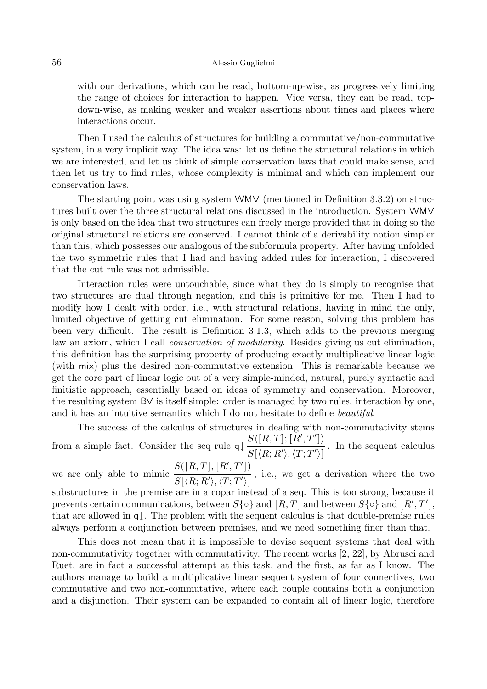with our derivations, which can be read, bottom-up-wise, as progressively limiting the range of choices for interaction to happen. Vice versa, they can be read, topdown-wise, as making weaker and weaker assertions about times and places where interactions occur.

Then I used the calculus of structures for building a commutative/non-commutative system, in a very implicit way. The idea was: let us define the structural relations in which we are interested, and let us think of simple conservation laws that could make sense, and then let us try to find rules, whose complexity is minimal and which can implement our conservation laws.

The starting point was using system WMV (mentioned in Definition 3.3.2) on structures built over the three structural relations discussed in the introduction. System WMV is only based on the idea that two structures can freely merge provided that in doing so the original structural relations are conserved. I cannot think of a derivability notion simpler than this, which possesses our analogous of the subformula property. After having unfolded the two symmetric rules that I had and having added rules for interaction, I discovered that the cut rule was not admissible.

Interaction rules were untouchable, since what they do is simply to recognise that two structures are dual through negation, and this is primitive for me. Then I had to modify how I dealt with order, i.e., with structural relations, having in mind the only, limited objective of getting cut elimination. For some reason, solving this problem has been very difficult. The result is Definition 3.1.3, which adds to the previous merging law an axiom, which I call *conservation of modularity*. Besides giving us cut elimination, this definition has the surprising property of producing exactly multiplicative linear logic (with mix) plus the desired non-commutative extension. This is remarkable because we get the core part of linear logic out of a very simple-minded, natural, purely syntactic and finitistic approach, essentially based on ideas of symmetry and conservation. Moreover, the resulting system BV is itself simple: order is managed by two rules, interaction by one, and it has an intuitive semantics which I do not hesitate to define beautiful.

The success of the calculus of structures in dealing with non-commutativity stems from a simple fact. Consider the seq rule  $S\langle [R,T]; [R',T']\rangle$  $\mathsf{q} \downarrow \frac{\overbrace{S[\langle R;R'\rangle,\langle T; T'\rangle]}}$ . In the sequent calculus

we are only able to mimic  $S([R, T], [R', T'])$  $S[\langle R;R'\rangle,\langle T;T'\rangle]$ , i.e., we get a derivation where the two substructures in the premise are in a copar instead of a seq. This is too strong, because it

prevents certain communications, between  $S\{\circ\}$  and  $[R, T]$  and between  $S\{\circ\}$  and  $[R', T']$ , that are allowed in q↓. The problem with the sequent calculus is that double-premise rules always perform a conjunction between premises, and we need something finer than that.

This does not mean that it is impossible to devise sequent systems that deal with non-commutativity together with commutativity. The recent works [2, 22], by Abrusci and Ruet, are in fact a successful attempt at this task, and the first, as far as I know. The authors manage to build a multiplicative linear sequent system of four connectives, two commutative and two non-commutative, where each couple contains both a conjunction and a disjunction. Their system can be expanded to contain all of linear logic, therefore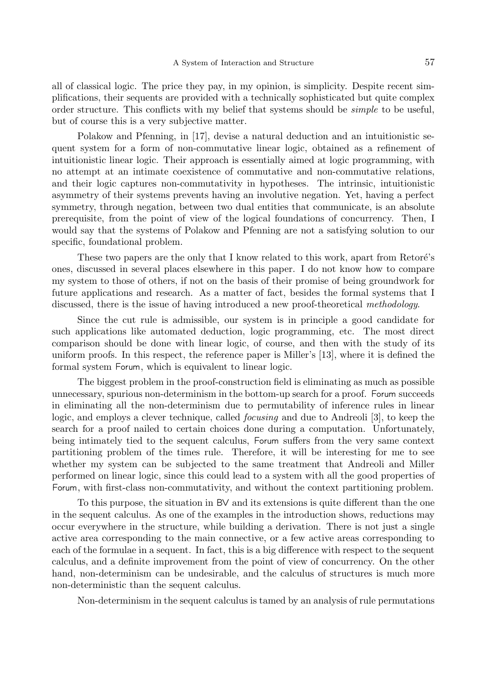all of classical logic. The price they pay, in my opinion, is simplicity. Despite recent simplifications, their sequents are provided with a technically sophisticated but quite complex order structure. This conflicts with my belief that systems should be *simple* to be useful, but of course this is a very subjective matter.

Polakow and Pfenning, in [17], devise a natural deduction and an intuitionistic sequent system for a form of non-commutative linear logic, obtained as a refinement of intuitionistic linear logic. Their approach is essentially aimed at logic programming, with no attempt at an intimate coexistence of commutative and non-commutative relations, and their logic captures non-commutativity in hypotheses. The intrinsic, intuitionistic asymmetry of their systems prevents having an involutive negation. Yet, having a perfect symmetry, through negation, between two dual entities that communicate, is an absolute prerequisite, from the point of view of the logical foundations of concurrency. Then, I would say that the systems of Polakow and Pfenning are not a satisfying solution to our specific, foundational problem.

These two papers are the only that I know related to this work, apart from Retoré's ones, discussed in several places elsewhere in this paper. I do not know how to compare my system to those of others, if not on the basis of their promise of being groundwork for future applications and research. As a matter of fact, besides the formal systems that I discussed, there is the issue of having introduced a new proof-theoretical methodology.

Since the cut rule is admissible, our system is in principle a good candidate for such applications like automated deduction, logic programming, etc. The most direct comparison should be done with linear logic, of course, and then with the study of its uniform proofs. In this respect, the reference paper is Miller's [13], where it is defined the formal system Forum, which is equivalent to linear logic.

The biggest problem in the proof-construction field is eliminating as much as possible unnecessary, spurious non-determinism in the bottom-up search for a proof. Forum succeeds in eliminating all the non-determinism due to permutability of inference rules in linear logic, and employs a clever technique, called *focusing* and due to Andreoli [3], to keep the search for a proof nailed to certain choices done during a computation. Unfortunately, being intimately tied to the sequent calculus, Forum suffers from the very same context partitioning problem of the times rule. Therefore, it will be interesting for me to see whether my system can be subjected to the same treatment that Andreoli and Miller performed on linear logic, since this could lead to a system with all the good properties of Forum, with first-class non-commutativity, and without the context partitioning problem.

To this purpose, the situation in BV and its extensions is quite different than the one in the sequent calculus. As one of the examples in the introduction shows, reductions may occur everywhere in the structure, while building a derivation. There is not just a single active area corresponding to the main connective, or a few active areas corresponding to each of the formulae in a sequent. In fact, this is a big difference with respect to the sequent calculus, and a definite improvement from the point of view of concurrency. On the other hand, non-determinism can be undesirable, and the calculus of structures is much more non-deterministic than the sequent calculus.

Non-determinism in the sequent calculus is tamed by an analysis of rule permutations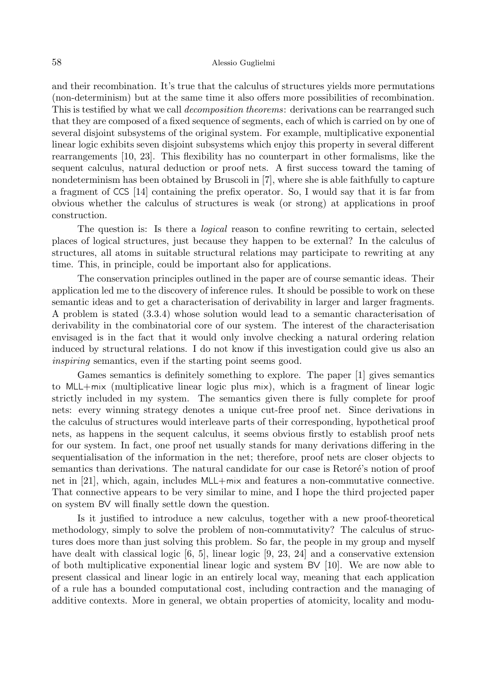and their recombination. It's true that the calculus of structures yields more permutations (non-determinism) but at the same time it also offers more possibilities of recombination. This is testified by what we call *decomposition theorems*: derivations can be rearranged such that they are composed of a fixed sequence of segments, each of which is carried on by one of several disjoint subsystems of the original system. For example, multiplicative exponential linear logic exhibits seven disjoint subsystems which enjoy this property in several different rearrangements [10, 23]. This flexibility has no counterpart in other formalisms, like the sequent calculus, natural deduction or proof nets. A first success toward the taming of nondeterminism has been obtained by Bruscoli in [7], where she is able faithfully to capture a fragment of CCS [14] containing the prefix operator. So, I would say that it is far from obvious whether the calculus of structures is weak (or strong) at applications in proof construction.

The question is: Is there a *logical* reason to confine rewriting to certain, selected places of logical structures, just because they happen to be external? In the calculus of structures, all atoms in suitable structural relations may participate to rewriting at any time. This, in principle, could be important also for applications.

The conservation principles outlined in the paper are of course semantic ideas. Their application led me to the discovery of inference rules. It should be possible to work on these semantic ideas and to get a characterisation of derivability in larger and larger fragments. A problem is stated (3.3.4) whose solution would lead to a semantic characterisation of derivability in the combinatorial core of our system. The interest of the characterisation envisaged is in the fact that it would only involve checking a natural ordering relation induced by structural relations. I do not know if this investigation could give us also an inspiring semantics, even if the starting point seems good.

Games semantics is definitely something to explore. The paper [1] gives semantics to MLL+mix (multiplicative linear logic plus mix), which is a fragment of linear logic strictly included in my system. The semantics given there is fully complete for proof nets: every winning strategy denotes a unique cut-free proof net. Since derivations in the calculus of structures would interleave parts of their corresponding, hypothetical proof nets, as happens in the sequent calculus, it seems obvious firstly to establish proof nets for our system. In fact, one proof net usually stands for many derivations differing in the sequentialisation of the information in the net; therefore, proof nets are closer objects to semantics than derivations. The natural candidate for our case is Retoré's notion of proof net in [21], which, again, includes MLL+mix and features a non-commutative connective. That connective appears to be very similar to mine, and I hope the third projected paper on system BV will finally settle down the question.

Is it justified to introduce a new calculus, together with a new proof-theoretical methodology, simply to solve the problem of non-commutativity? The calculus of structures does more than just solving this problem. So far, the people in my group and myself have dealt with classical logic [6, 5], linear logic [9, 23, 24] and a conservative extension of both multiplicative exponential linear logic and system BV [10]. We are now able to present classical and linear logic in an entirely local way, meaning that each application of a rule has a bounded computational cost, including contraction and the managing of additive contexts. More in general, we obtain properties of atomicity, locality and modu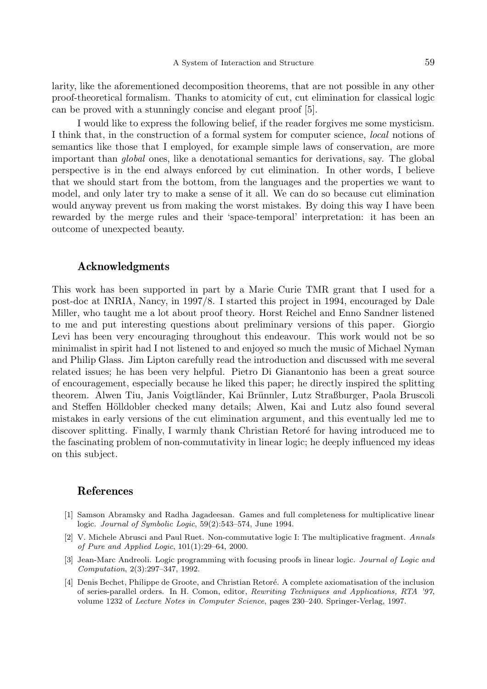larity, like the aforementioned decomposition theorems, that are not possible in any other proof-theoretical formalism. Thanks to atomicity of cut, cut elimination for classical logic can be proved with a stunningly concise and elegant proof [5].

I would like to express the following belief, if the reader forgives me some mysticism. I think that, in the construction of a formal system for computer science, local notions of semantics like those that I employed, for example simple laws of conservation, are more important than global ones, like a denotational semantics for derivations, say. The global perspective is in the end always enforced by cut elimination. In other words, I believe that we should start from the bottom, from the languages and the properties we want to model, and only later try to make a sense of it all. We can do so because cut elimination would anyway prevent us from making the worst mistakes. By doing this way I have been rewarded by the merge rules and their 'space-temporal' interpretation: it has been an outcome of unexpected beauty.

# Acknowledgments

This work has been supported in part by a Marie Curie TMR grant that I used for a post-doc at INRIA, Nancy, in 1997/8. I started this project in 1994, encouraged by Dale Miller, who taught me a lot about proof theory. Horst Reichel and Enno Sandner listened to me and put interesting questions about preliminary versions of this paper. Giorgio Levi has been very encouraging throughout this endeavour. This work would not be so minimalist in spirit had I not listened to and enjoyed so much the music of Michael Nyman and Philip Glass. Jim Lipton carefully read the introduction and discussed with me several related issues; he has been very helpful. Pietro Di Gianantonio has been a great source of encouragement, especially because he liked this paper; he directly inspired the splitting theorem. Alwen Tiu, Janis Voigtländer, Kai Brünnler, Lutz Straßburger, Paola Bruscoli and Steffen Hölldobler checked many details; Alwen, Kai and Lutz also found several mistakes in early versions of the cut elimination argument, and this eventually led me to discover splitting. Finally, I warmly thank Christian Retoré for having introduced me to the fascinating problem of non-commutativity in linear logic; he deeply influenced my ideas on this subject.

# References

- [1] Samson Abramsky and Radha Jagadeesan. Games and full completeness for multiplicative linear logic. Journal of Symbolic Logic, 59(2):543–574, June 1994.
- [2] V. Michele Abrusci and Paul Ruet. Non-commutative logic I: The multiplicative fragment. Annals of Pure and Applied Logic, 101(1):29–64, 2000.
- [3] Jean-Marc Andreoli. Logic programming with focusing proofs in linear logic. Journal of Logic and Computation, 2(3):297–347, 1992.
- [4] Denis Bechet, Philippe de Groote, and Christian Retoré. A complete axiomatisation of the inclusion of series-parallel orders. In H. Comon, editor, Rewriting Techniques and Applications, RTA '97, volume 1232 of Lecture Notes in Computer Science, pages 230–240. Springer-Verlag, 1997.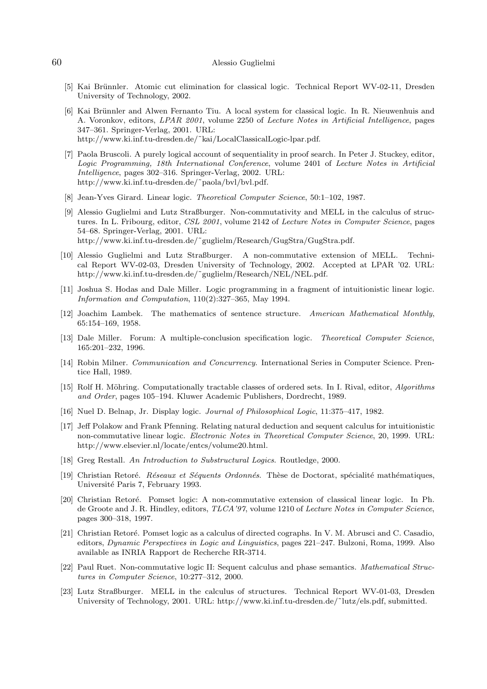### 60 Alessio Guglielmi

- [5] Kai Brünnler. Atomic cut elimination for classical logic. Technical Report WV-02-11, Dresden University of Technology, 2002.
- [6] Kai Brünnler and Alwen Fernanto Tiu. A local system for classical logic. In R. Nieuwenhuis and A. Voronkov, editors, LPAR 2001, volume 2250 of Lecture Notes in Artificial Intelligence, pages 347–361. Springer-Verlag, 2001. URL: http://www.ki.inf.tu-dresden.de/˜kai/LocalClassicalLogic-lpar.pdf.
- [7] Paola Bruscoli. A purely logical account of sequentiality in proof search. In Peter J. Stuckey, editor, Logic Programming, 18th International Conference, volume 2401 of Lecture Notes in Artificial Intelligence, pages 302–316. Springer-Verlag, 2002. URL: http://www.ki.inf.tu-dresden.de/˜paola/bvl/bvl.pdf.
- [8] Jean-Yves Girard. Linear logic. Theoretical Computer Science, 50:1–102, 1987.
- [9] Alessio Guglielmi and Lutz Straßburger. Non-commutativity and MELL in the calculus of structures. In L. Fribourg, editor, CSL 2001, volume 2142 of Lecture Notes in Computer Science, pages 54–68. Springer-Verlag, 2001. URL: http://www.ki.inf.tu-dresden.de/˜guglielm/Research/GugStra/GugStra.pdf.
- [10] Alessio Guglielmi and Lutz Straßburger. A non-commutative extension of MELL. Technical Report WV-02-03, Dresden University of Technology, 2002. Accepted at LPAR '02. URL: http://www.ki.inf.tu-dresden.de/˜guglielm/Research/NEL/NEL.pdf.
- [11] Joshua S. Hodas and Dale Miller. Logic programming in a fragment of intuitionistic linear logic. Information and Computation, 110(2):327–365, May 1994.
- [12] Joachim Lambek. The mathematics of sentence structure. American Mathematical Monthly, 65:154–169, 1958.
- [13] Dale Miller. Forum: A multiple-conclusion specification logic. Theoretical Computer Science, 165:201–232, 1996.
- [14] Robin Milner. Communication and Concurrency. International Series in Computer Science. Prentice Hall, 1989.
- [15] Rolf H. Möhring. Computationally tractable classes of ordered sets. In I. Rival, editor, Algorithms and Order, pages 105–194. Kluwer Academic Publishers, Dordrecht, 1989.
- [16] Nuel D. Belnap, Jr. Display logic. Journal of Philosophical Logic, 11:375–417, 1982.
- [17] Jeff Polakow and Frank Pfenning. Relating natural deduction and sequent calculus for intuitionistic non-commutative linear logic. Electronic Notes in Theoretical Computer Science, 20, 1999. URL: http://www.elsevier.nl/locate/entcs/volume20.html.
- [18] Greg Restall. An Introduction to Substructural Logics. Routledge, 2000.
- [19] Christian Retoré. Réseaux et Séquents Ordonnés. Thèse de Doctorat, spécialité mathématiques, Université Paris 7, February 1993.
- [20] Christian Retoré. Pomset logic: A non-commutative extension of classical linear logic. In Ph. de Groote and J. R. Hindley, editors, TLCA'97, volume 1210 of Lecture Notes in Computer Science, pages 300–318, 1997.
- [21] Christian Retoré. Pomset logic as a calculus of directed cographs. In V. M. Abrusci and C. Casadio, editors, Dynamic Perspectives in Logic and Linguistics, pages 221–247. Bulzoni, Roma, 1999. Also available as INRIA Rapport de Recherche RR-3714.
- [22] Paul Ruet. Non-commutative logic II: Sequent calculus and phase semantics. Mathematical Structures in Computer Science, 10:277–312, 2000.
- [23] Lutz Straßburger. MELL in the calculus of structures. Technical Report WV-01-03, Dresden University of Technology, 2001. URL: http://www.ki.inf.tu-dresden.de/˜lutz/els.pdf, submitted.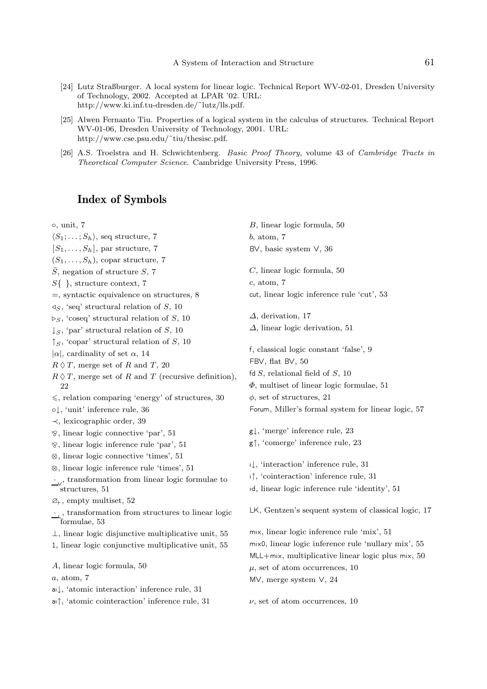- [24] Lutz Straßburger. A local system for linear logic. Technical Report WV-02-01, Dresden University of Technology, 2002. Accepted at LPAR '02. URL: http://www.ki.inf.tu-dresden.de/˜lutz/lls.pdf.
- [25] Alwen Fernanto Tiu. Properties of a logical system in the calculus of structures. Technical Report WV-01-06, Dresden University of Technology, 2001. URL: http://www.cse.psu.edu/˜tiu/thesisc.pdf.
- [26] A.S. Troelstra and H. Schwichtenberg. Basic Proof Theory, volume 43 of Cambridge Tracts in Theoretical Computer Science. Cambridge University Press, 1996.

# Index of Symbols

◦, unit, 7

 $\langle S_1; \ldots; S_h \rangle$ , seq structure, 7  $[S_1, \ldots, S_h]$ , par structure, 7  $(S_1, \ldots, S_h)$ , copar structure, 7  $\bar{S}$ , negation of structure S, 7 S{ }, structure context, 7 =, syntactic equivalence on structures, 8  $\triangleleft$  s, 'seq' structural relation of S, 10  $\triangleright_S$ , 'coseq' structural relation of S, 10  $\downarrow$ <sub>S</sub>, 'par' structural relation of S, 10  $\uparrow_S$ , 'copar' structural relation of S, 10  $|\alpha|$ , cardinality of set  $\alpha$ , 14  $R \land T$ , merge set of R and T, 20  $R \land T$ , merge set of R and T (recursive definition). 22  $\leq$ , relation comparing 'energy' of structures, 30 ◦↓, 'unit' inference rule, 36 ≺, lexicographic order, 39  $\delta$ , linear logic connective 'par', 51  $\%$ , linear logic inference rule 'par', 51 , linear logic connective 'times', 51 , linear logic inference rule 'times', 51  $\cdot \rightarrow$ , transformation from linear logic formulae to structures, 51  $\varnothing_+$ , empty multiset, 52  $\cdot$ <sub>L</sub>, transformation from structures to linear logic formulae, 53  $\perp$ , linear logic disjunctive multiplicative unit, 55 1, linear logic conjunctive multiplicative unit, 55 A, linear logic formula, 50 a, atom, 7 ai↓, 'atomic interaction' inference rule, 31 ai↑, 'atomic cointeraction' inference rule, 31

B, linear logic formula, 50 b, atom, 7 BV, basic system  $\vee$ , 36 C, linear logic formula, 50 c, atom, 7 cut, linear logic inference rule 'cut', 53  $\Delta$ , derivation, 17  $\Delta$ , linear logic derivation, 51 f, classical logic constant 'false', 9 FBV, flat BV, 50 fd  $S$ , relational field of  $S$ , 10  $\Phi$ , multiset of linear logic formulae, 51  $\phi$ , set of structures, 21 Forum, Miller's formal system for linear logic, 57 g↓, 'merge' inference rule, 23 g↑, 'comerge' inference rule, 23 i↓, 'interaction' inference rule, 31

- i↑, 'cointeraction' inference rule, 31
- id, linear logic inference rule 'identity', 51

LK, Gentzen's sequent system of classical logic, 17

mix, linear logic inference rule 'mix', 51 mix0, linear logic inference rule 'nullary mix', 55 MLL+mix, multiplicative linear logic plus mix, 50  $\mu$ , set of atom occurrences, 10 MV, merge system  $\sqrt{24}$ 

 $\nu$ , set of atom occurrences, 10